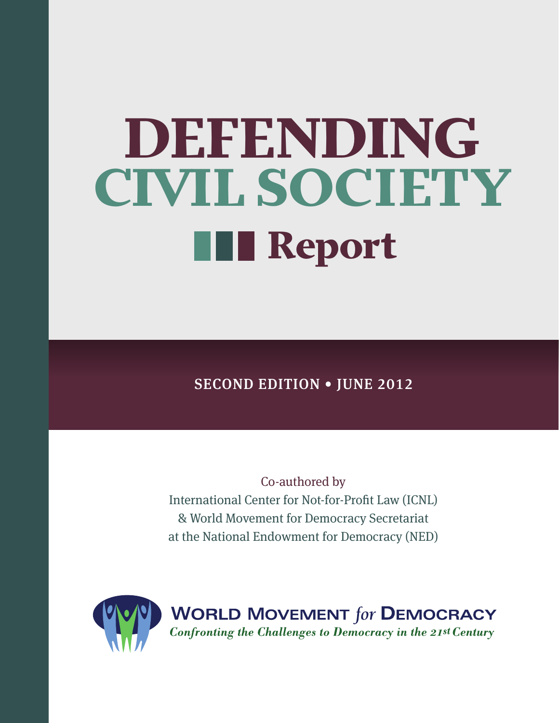# DEFENDING CIVIL SOCIETY **THE Report**

SECOND EDITION • JUNE 2012

Co-authored by International Center for Not-for-Profit Law (ICNL) & World Movement for Democracy Secretariat at the National Endowment for Democracy (NED)

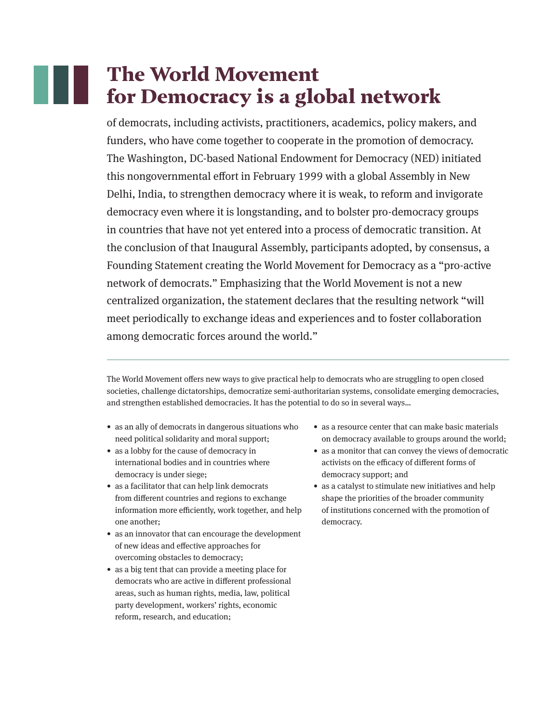# The World Movement for Democracy is a global network

of democrats, including activists, practitioners, academics, policy makers, and funders, who have come together to cooperate in the promotion of democracy. The Washington, DC-based National Endowment for Democracy (NED) initiated this nongovernmental effort in February 1999 with a global Assembly in New Delhi, India, to strengthen democracy where it is weak, to reform and invigorate democracy even where it is longstanding, and to bolster pro-democracy groups in countries that have not yet entered into a process of democratic transition. At the conclusion of that Inaugural Assembly, participants adopted, by consensus, a Founding Statement creating the World Movement for Democracy as a "pro-active network of democrats." Emphasizing that the World Movement is not a new centralized organization, the statement declares that the resulting network "will meet periodically to exchange ideas and experiences and to foster collaboration among democratic forces around the world."

The World Movement offers new ways to give practical help to democrats who are struggling to open closed societies, challenge dictatorships, democratize semi-authoritarian systems, consolidate emerging democracies, and strengthen established democracies. It has the potential to do so in several ways…

- as an ally of democrats in dangerous situations who need political solidarity and moral support;
- as a lobby for the cause of democracy in international bodies and in countries where democracy is under siege;
- as a facilitator that can help link democrats from different countries and regions to exchange information more efficiently, work together, and help one another;
- as an innovator that can encourage the development of new ideas and effective approaches for overcoming obstacles to democracy;
- as a big tent that can provide a meeting place for democrats who are active in different professional areas, such as human rights, media, law, political party development, workers' rights, economic reform, research, and education;
- as a resource center that can make basic materials on democracy available to groups around the world;
- as a monitor that can convey the views of democratic activists on the efficacy of different forms of democracy support; and
- as a catalyst to stimulate new initiatives and help shape the priorities of the broader community of institutions concerned with the promotion of democracy.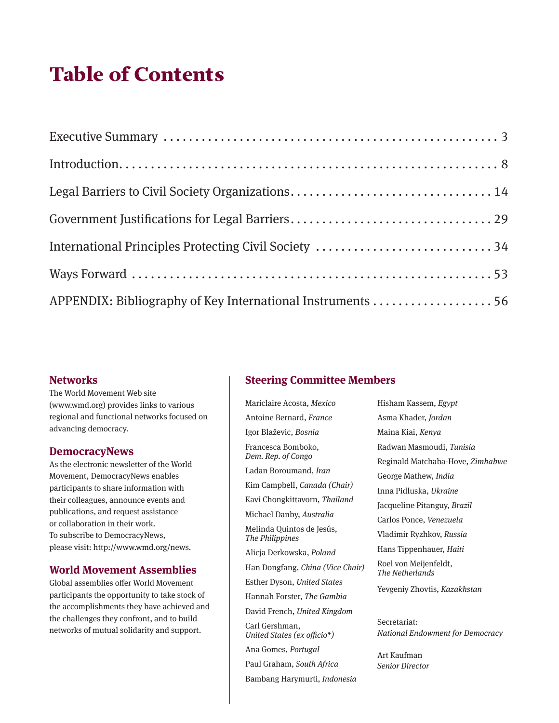# Table of Contents

| International Principles Protecting Civil Society 34        |  |
|-------------------------------------------------------------|--|
|                                                             |  |
| APPENDIX: Bibliography of Key International Instruments  56 |  |

#### **Networks**

The World Movement Web site (www.wmd.org) provides links to various regional and functional networks focused on advancing democracy.

#### **DemocracyNews**

As the electronic newsletter of the World Movement, DemocracyNews enables participants to share information with their colleagues, announce events and publications, and request assistance or collaboration in their work. To subscribe to DemocracyNews, please visit: http://www.wmd.org/news.

#### **World Movement Assemblies**

Global assemblies offer World Movement participants the opportunity to take stock of the accomplishments they have achieved and the challenges they confront, and to build networks of mutual solidarity and support.

#### **Steering Committee Members**

Mariclaire Acosta, *Mexico*

Antoine Bernard, *France* Igor Blaževic, *Bosnia* Francesca Bomboko, *Dem. Rep. of Congo* Ladan Boroumand, *Iran* Kim Campbell, *Canada (Chair)* Kavi Chongkittavorn, *Thailand* Michael Danby, *Australia* Melinda Quintos de Jesús, *The Philippines* Alicja Derkowska, *Poland* Han Dongfang, *China (Vice Chair)* Esther Dyson, *United States* Hannah Forster, *The Gambia* David French, *United Kingdom* Carl Gershman, *United States (ex officio\*)* Ana Gomes, *Portugal* Paul Graham, *South Africa* Bambang Harymurti, *Indonesia*

Hisham Kassem, *Egypt* Asma Khader, *Jordan* Maina Kiai, *Kenya* Radwan Masmoudi, *Tunisia* Reginald Matchaba-Hove, *Zimbabwe* George Mathew, *India* Inna Pidluska, *Ukraine* Jacqueline Pitanguy, *Brazil* Carlos Ponce, *Venezuela* Vladimir Ryzhkov, *Russia* Hans Tippenhauer, *Haiti* Roel von Meijenfeldt, *The Netherlands* Yevgeniy Zhovtis, *Kazakhstan* Secretariat: *National Endowment for Democracy*

Art Kaufman *Senior Director*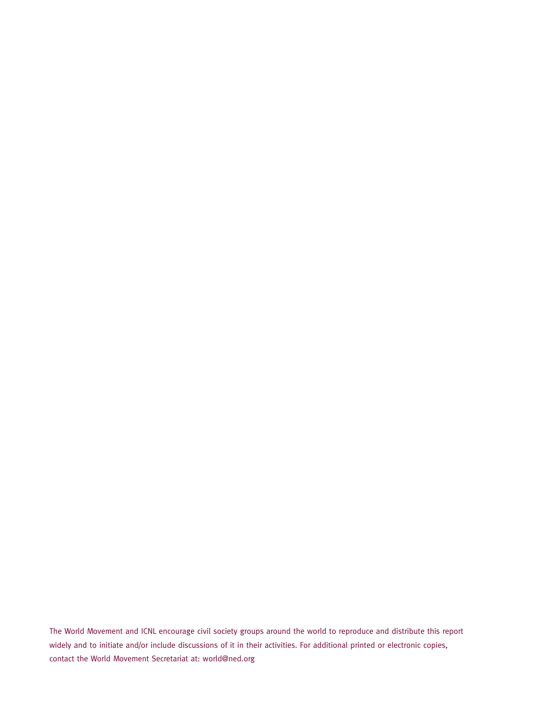The World Movement and ICNL encourage civil society groups around the world to reproduce and distribute this report widely and to initiate and/or include discussions of it in their activities. For additional printed or electronic copies, contact the World Movement Secretariat at: world@ned.org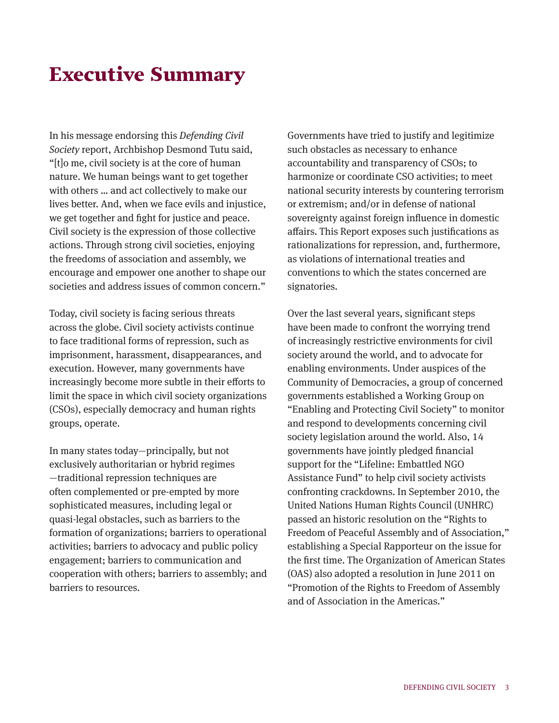# Executive Summary

In his message endorsing this *Defending Civil Society* report, Archbishop Desmond Tutu said, "[t]o me, civil society is at the core of human nature. We human beings want to get together with others … and act collectively to make our lives better. And, when we face evils and injustice, we get together and fight for justice and peace. Civil society is the expression of those collective actions. Through strong civil societies, enjoying the freedoms of association and assembly, we encourage and empower one another to shape our societies and address issues of common concern."

Today, civil society is facing serious threats across the globe. Civil society activists continue to face traditional forms of repression, such as imprisonment, harassment, disappearances, and execution. However, many governments have increasingly become more subtle in their efforts to limit the space in which civil society organizations (CSOs), especially democracy and human rights groups, operate.

In many states today—principally, but not exclusively authoritarian or hybrid regimes —traditional repression techniques are often complemented or pre-empted by more sophisticated measures, including legal or quasi-legal obstacles, such as barriers to the formation of organizations; barriers to operational activities; barriers to advocacy and public policy engagement; barriers to communication and cooperation with others; barriers to assembly; and barriers to resources.

Governments have tried to justify and legitimize such obstacles as necessary to enhance accountability and transparency of CSOs; to harmonize or coordinate CSO activities; to meet national security interests by countering terrorism or extremism; and/or in defense of national sovereignty against foreign influence in domestic affairs. This Report exposes such justifications as rationalizations for repression, and, furthermore, as violations of international treaties and conventions to which the states concerned are signatories.

Over the last several years, significant steps have been made to confront the worrying trend of increasingly restrictive environments for civil society around the world, and to advocate for enabling environments. Under auspices of the Community of Democracies, a group of concerned governments established a Working Group on "Enabling and Protecting Civil Society" to monitor and respond to developments concerning civil society legislation around the world. Also, 14 governments have jointly pledged financial support for the "Lifeline: Embattled NGO Assistance Fund" to help civil society activists confronting crackdowns. In September 2010, the United Nations Human Rights Council (UNHRC) passed an historic resolution on the "Rights to Freedom of Peaceful Assembly and of Association," establishing a Special Rapporteur on the issue for the first time. The Organization of American States (OAS) also adopted a resolution in June 2011 on "Promotion of the Rights to Freedom of Assembly and of Association in the Americas."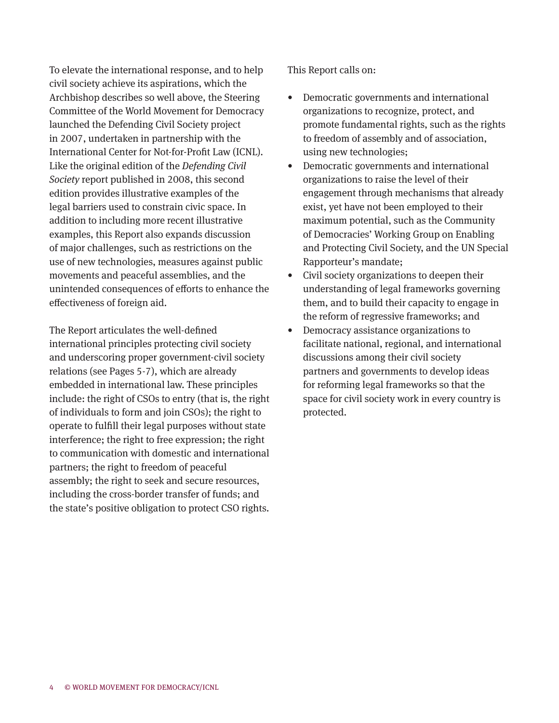To elevate the international response, and to help civil society achieve its aspirations, which the Archbishop describes so well above, the Steering Committee of the World Movement for Democracy launched the Defending Civil Society project in 2007, undertaken in partnership with the International Center for Not-for-Profit Law (ICNL). Like the original edition of the *Defending Civil Society* report published in 2008, this second edition provides illustrative examples of the legal barriers used to constrain civic space. In addition to including more recent illustrative examples, this Report also expands discussion of major challenges, such as restrictions on the use of new technologies, measures against public movements and peaceful assemblies, and the unintended consequences of efforts to enhance the effectiveness of foreign aid.

The Report articulates the well-defined international principles protecting civil society and underscoring proper government-civil society relations (see Pages 5-7), which are already embedded in international law. These principles include: the right of CSOs to entry (that is, the right of individuals to form and join CSOs); the right to operate to fulfill their legal purposes without state interference; the right to free expression; the right to communication with domestic and international partners; the right to freedom of peaceful assembly; the right to seek and secure resources, including the cross-border transfer of funds; and the state's positive obligation to protect CSO rights.

This Report calls on:

- Democratic governments and international organizations to recognize, protect, and promote fundamental rights, such as the rights to freedom of assembly and of association, using new technologies;
- Democratic governments and international organizations to raise the level of their engagement through mechanisms that already exist, yet have not been employed to their maximum potential, such as the Community of Democracies' Working Group on Enabling and Protecting Civil Society, and the UN Special Rapporteur's mandate;
- Civil society organizations to deepen their understanding of legal frameworks governing them, and to build their capacity to engage in the reform of regressive frameworks; and
- Democracy assistance organizations to facilitate national, regional, and international discussions among their civil society partners and governments to develop ideas for reforming legal frameworks so that the space for civil society work in every country is protected.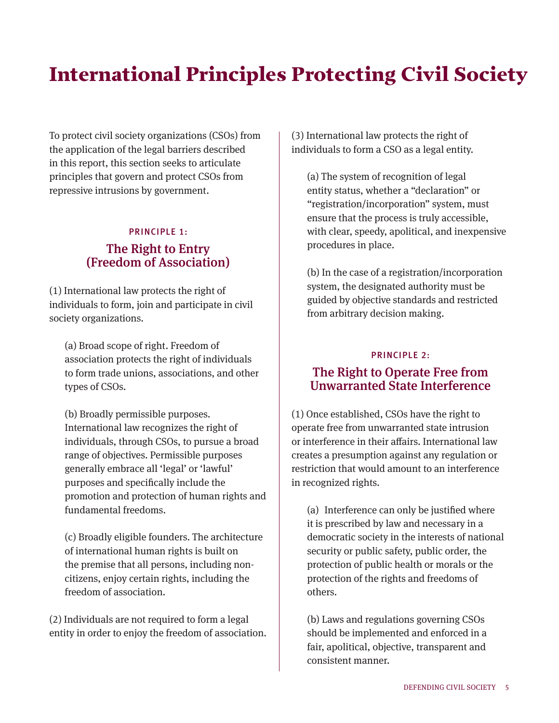# International Principles Protecting Civil Society

To protect civil society organizations (CSOs) from the application of the legal barriers described in this report, this section seeks to articulate principles that govern and protect CSOs from repressive intrusions by government.

#### PRINCIPLE 1:

#### The Right to Entry (Freedom of Association)

(1) International law protects the right of individuals to form, join and participate in civil society organizations.

(a) Broad scope of right. Freedom of association protects the right of individuals to form trade unions, associations, and other types of CSOs.

 (b) Broadly permissible purposes. International law recognizes the right of individuals, through CSOs, to pursue a broad range of objectives. Permissible purposes generally embrace all 'legal' or 'lawful' purposes and specifically include the promotion and protection of human rights and fundamental freedoms.

(c) Broadly eligible founders. The architecture of international human rights is built on the premise that all persons, including noncitizens, enjoy certain rights, including the freedom of association.

(2) Individuals are not required to form a legal entity in order to enjoy the freedom of association. (3) International law protects the right of individuals to form a CSO as a legal entity.

(a) The system of recognition of legal entity status, whether a "declaration" or "registration/incorporation" system, must ensure that the process is truly accessible, with clear, speedy, apolitical, and inexpensive procedures in place.

(b) In the case of a registration/incorporation system, the designated authority must be guided by objective standards and restricted from arbitrary decision making.

#### PRINCIPLE 2: The Right to Operate Free from Unwarranted State Interference

(1) Once established, CSOs have the right to operate free from unwarranted state intrusion or interference in their affairs. International law creates a presumption against any regulation or restriction that would amount to an interference in recognized rights.

(a) Interference can only be justified where it is prescribed by law and necessary in a democratic society in the interests of national security or public safety, public order, the protection of public health or morals or the protection of the rights and freedoms of others.

 (b) Laws and regulations governing CSOs should be implemented and enforced in a fair, apolitical, objective, transparent and consistent manner.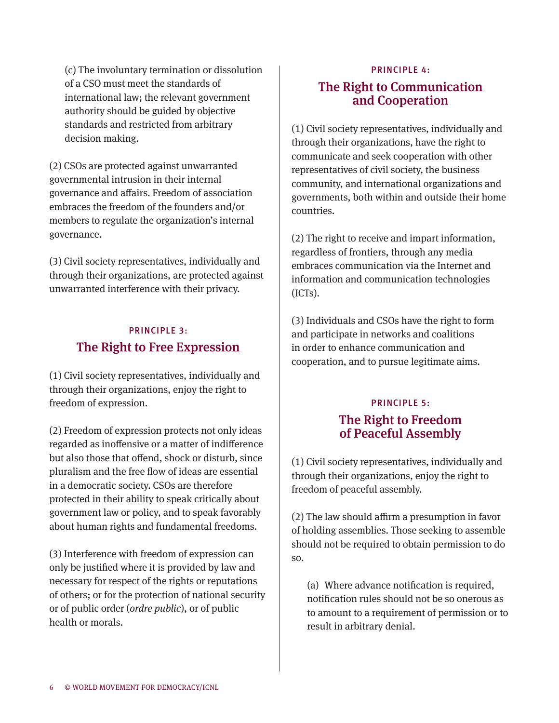(c) The involuntary termination or dissolution of a CSO must meet the standards of international law; the relevant government authority should be guided by objective standards and restricted from arbitrary decision making.

(2) CSOs are protected against unwarranted governmental intrusion in their internal governance and affairs. Freedom of association embraces the freedom of the founders and/or members to regulate the organization's internal governance.

(3) Civil society representatives, individually and through their organizations, are protected against unwarranted interference with their privacy.

# PRINCIPLE 3: The Right to Free Expression

(1) Civil society representatives, individually and through their organizations, enjoy the right to freedom of expression.

(2) Freedom of expression protects not only ideas regarded as inoffensive or a matter of indifference but also those that offend, shock or disturb, since pluralism and the free flow of ideas are essential in a democratic society. CSOs are therefore protected in their ability to speak critically about government law or policy, and to speak favorably about human rights and fundamental freedoms.

(3) Interference with freedom of expression can only be justified where it is provided by law and necessary for respect of the rights or reputations of others; or for the protection of national security or of public order (*ordre public*), or of public health or morals.

## PRINCIPLE 4:

# The Right to Communication and Cooperation

(1) Civil society representatives, individually and through their organizations, have the right to communicate and seek cooperation with other representatives of civil society, the business community, and international organizations and governments, both within and outside their home countries.

(2) The right to receive and impart information, regardless of frontiers, through any media embraces communication via the Internet and information and communication technologies (ICTs).

(3) Individuals and CSOs have the right to form and participate in networks and coalitions in order to enhance communication and cooperation, and to pursue legitimate aims.

#### PRINCIPLE 5:

## The Right to Freedom of Peaceful Assembly

(1) Civil society representatives, individually and through their organizations, enjoy the right to freedom of peaceful assembly.

(2) The law should affirm a presumption in favor of holding assemblies. Those seeking to assemble should not be required to obtain permission to do so.

(a) Where advance notification is required, notification rules should not be so onerous as to amount to a requirement of permission or to result in arbitrary denial.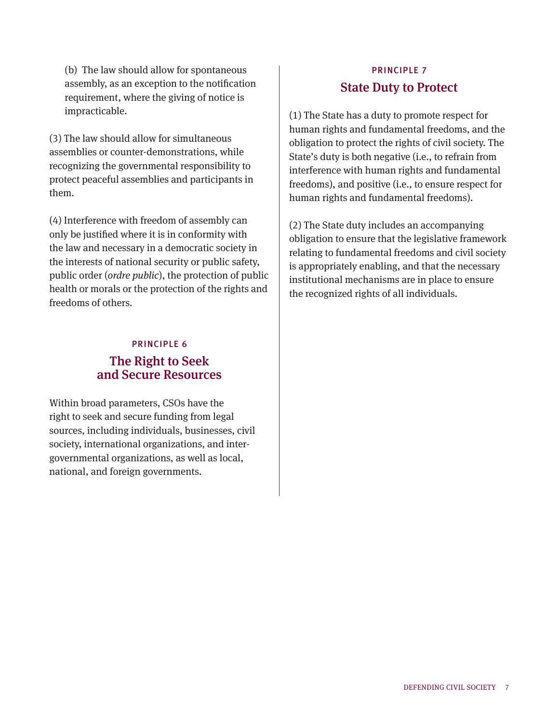(b) The law should allow for spontaneous assembly, as an exception to the notification requirement, where the giving of notice is impracticable.

(3) The law should allow for simultaneous assemblies or counter-demonstrations, while recognizing the governmental responsibility to protect peaceful assemblies and participants in them.

(4) Interference with freedom of assembly can only be justified where it is in conformity with the law and necessary in a democratic society in the interests of national security or public safety, public order (*ordre public*), the protection of public health or morals or the protection of the rights and freedoms of others.

## PRINCIPLE 6 The Right to Seek and Secure Resources

Within broad parameters, CSOs have the right to seek and secure funding from legal sources, including individuals, businesses, civil society, international organizations, and intergovernmental organizations, as well as local, national, and foreign governments.

# PRINCIPLE 7 State Duty to Protect

(1) The State has a duty to promote respect for human rights and fundamental freedoms, and the obligation to protect the rights of civil society. The State's duty is both negative (i.e., to refrain from interference with human rights and fundamental freedoms), and positive (i.e., to ensure respect for human rights and fundamental freedoms).

(2) The State duty includes an accompanying obligation to ensure that the legislative framework relating to fundamental freedoms and civil society is appropriately enabling, and that the necessary institutional mechanisms are in place to ensure the recognized rights of all individuals.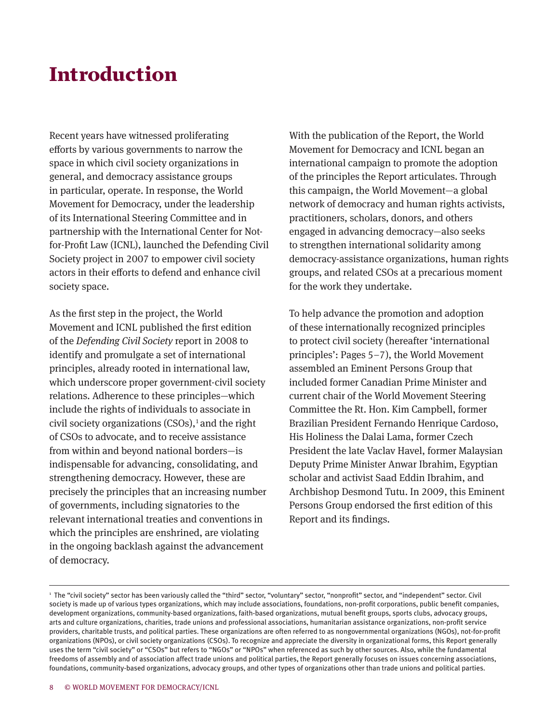# Introduction

Recent years have witnessed proliferating efforts by various governments to narrow the space in which civil society organizations in general, and democracy assistance groups in particular, operate. In response, the World Movement for Democracy, under the leadership of its International Steering Committee and in partnership with the International Center for Notfor-Profit Law (ICNL), launched the Defending Civil Society project in 2007 to empower civil society actors in their efforts to defend and enhance civil society space.

As the first step in the project, the World Movement and ICNL published the first edition of the *Defending Civil Society* report in 2008 to identify and promulgate a set of international principles, already rooted in international law, which underscore proper government-civil society relations. Adherence to these principles—which include the rights of individuals to associate in civil society organizations  $(CSOS)$ ,<sup>1</sup> and the right of CSOs to advocate, and to receive assistance from within and beyond national borders—is indispensable for advancing, consolidating, and strengthening democracy. However, these are precisely the principles that an increasing number of governments, including signatories to the relevant international treaties and conventions in which the principles are enshrined, are violating in the ongoing backlash against the advancement of democracy.

With the publication of the Report, the World Movement for Democracy and ICNL began an international campaign to promote the adoption of the principles the Report articulates. Through this campaign, the World Movement—a global network of democracy and human rights activists, practitioners, scholars, donors, and others engaged in advancing democracy—also seeks to strengthen international solidarity among democracy-assistance organizations, human rights groups, and related CSOs at a precarious moment for the work they undertake.

To help advance the promotion and adoption of these internationally recognized principles to protect civil society (hereafter 'international principles': Pages 5–7), the World Movement assembled an Eminent Persons Group that included former Canadian Prime Minister and current chair of the World Movement Steering Committee the Rt. Hon. Kim Campbell, former Brazilian President Fernando Henrique Cardoso, His Holiness the Dalai Lama, former Czech President the late Vaclav Havel, former Malaysian Deputy Prime Minister Anwar Ibrahim, Egyptian scholar and activist Saad Eddin Ibrahim, and Archbishop Desmond Tutu. In 2009, this Eminent Persons Group endorsed the first edition of this Report and its findings.

<sup>1</sup> The "civil society" sector has been variously called the "third" sector, "voluntary" sector, "nonprofit" sector, and "independent" sector. Civil society is made up of various types organizations, which may include associations, foundations, non-profit corporations, public benefit companies, development organizations, community-based organizations, faith-based organizations, mutual benefit groups, sports clubs, advocacy groups, arts and culture organizations, charities, trade unions and professional associations, humanitarian assistance organizations, non-profit service providers, charitable trusts, and political parties. These organizations are often referred to as nongovernmental organizations (NGOs), not-for-profit organizations (NPOs), or civil society organizations (CSOs). To recognize and appreciate the diversity in organizational forms, this Report generally uses the term "civil society" or "CSOs" but refers to "NGOs" or "NPOs" when referenced as such by other sources. Also, while the fundamental freedoms of assembly and of association affect trade unions and political parties, the Report generally focuses on issues concerning associations, foundations, community-based organizations, advocacy groups, and other types of organizations other than trade unions and political parties.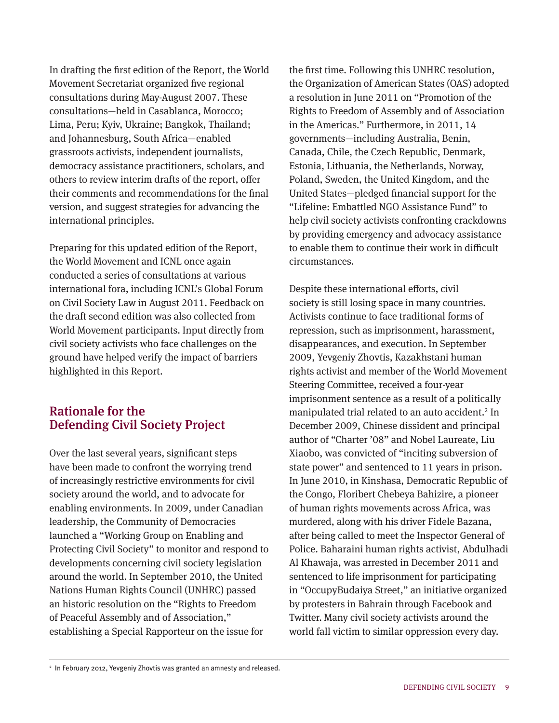In drafting the first edition of the Report, the World Movement Secretariat organized five regional consultations during May-August 2007. These consultations—held in Casablanca, Morocco; Lima, Peru; Kyiv, Ukraine; Bangkok, Thailand; and Johannesburg, South Africa—enabled grassroots activists, independent journalists, democracy assistance practitioners, scholars, and others to review interim drafts of the report, offer their comments and recommendations for the final version, and suggest strategies for advancing the international principles.

Preparing for this updated edition of the Report, the World Movement and ICNL once again conducted a series of consultations at various international fora, including ICNL's Global Forum on Civil Society Law in August 2011. Feedback on the draft second edition was also collected from World Movement participants. Input directly from civil society activists who face challenges on the ground have helped verify the impact of barriers highlighted in this Report.

# Rationale for the Defending Civil Society Project

Over the last several years, significant steps have been made to confront the worrying trend of increasingly restrictive environments for civil society around the world, and to advocate for enabling environments. In 2009, under Canadian leadership, the Community of Democracies launched a "Working Group on Enabling and Protecting Civil Society" to monitor and respond to developments concerning civil society legislation around the world. In September 2010, the United Nations Human Rights Council (UNHRC) passed an historic resolution on the "Rights to Freedom of Peaceful Assembly and of Association," establishing a Special Rapporteur on the issue for

the first time. Following this UNHRC resolution, the Organization of American States (OAS) adopted a resolution in June 2011 on "Promotion of the Rights to Freedom of Assembly and of Association in the Americas." Furthermore, in 2011, 14 governments—including Australia, Benin, Canada, Chile, the Czech Republic, Denmark, Estonia, Lithuania, the Netherlands, Norway, Poland, Sweden, the United Kingdom, and the United States—pledged financial support for the "Lifeline: Embattled NGO Assistance Fund" to help civil society activists confronting crackdowns by providing emergency and advocacy assistance to enable them to continue their work in difficult circumstances.

Despite these international efforts, civil society is still losing space in many countries. Activists continue to face traditional forms of repression, such as imprisonment, harassment, disappearances, and execution. In September 2009, Yevgeniy Zhovtis, Kazakhstani human rights activist and member of the World Movement Steering Committee, received a four-year imprisonment sentence as a result of a politically manipulated trial related to an auto accident. 2 In December 2009, Chinese dissident and principal author of "Charter '08" and Nobel Laureate, Liu Xiaobo, was convicted of "inciting subversion of state power" and sentenced to 11 years in prison. In June 2010, in Kinshasa, Democratic Republic of the Congo, Floribert Chebeya Bahizire, a pioneer of human rights movements across Africa, was murdered, along with his driver Fidele Bazana, after being called to meet the Inspector General of Police. Baharaini human rights activist, Abdulhadi Al Khawaja, was arrested in December 2011 and sentenced to life imprisonment for participating in "OccupyBudaiya Street," an initiative organized by protesters in Bahrain through Facebook and Twitter. Many civil society activists around the world fall victim to similar oppression every day.

<sup>2</sup> In February 2012, Yevgeniy Zhovtis was granted an amnesty and released.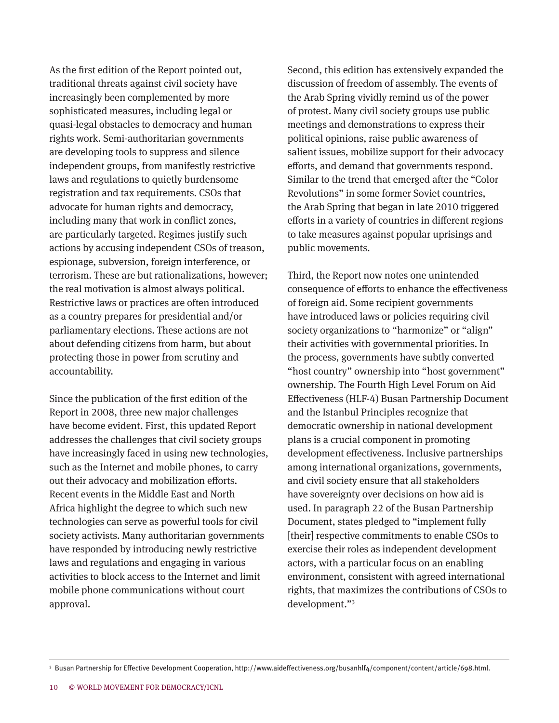As the first edition of the Report pointed out, traditional threats against civil society have increasingly been complemented by more sophisticated measures, including legal or quasi-legal obstacles to democracy and human rights work. Semi-authoritarian governments are developing tools to suppress and silence independent groups, from manifestly restrictive laws and regulations to quietly burdensome registration and tax requirements. CSOs that advocate for human rights and democracy, including many that work in conflict zones, are particularly targeted. Regimes justify such actions by accusing independent CSOs of treason, espionage, subversion, foreign interference, or terrorism. These are but rationalizations, however; the real motivation is almost always political. Restrictive laws or practices are often introduced as a country prepares for presidential and/or parliamentary elections. These actions are not about defending citizens from harm, but about protecting those in power from scrutiny and accountability.

Since the publication of the first edition of the Report in 2008, three new major challenges have become evident. First, this updated Report addresses the challenges that civil society groups have increasingly faced in using new technologies, such as the Internet and mobile phones, to carry out their advocacy and mobilization efforts. Recent events in the Middle East and North Africa highlight the degree to which such new technologies can serve as powerful tools for civil society activists. Many authoritarian governments have responded by introducing newly restrictive laws and regulations and engaging in various activities to block access to the Internet and limit mobile phone communications without court approval.

Second, this edition has extensively expanded the discussion of freedom of assembly. The events of the Arab Spring vividly remind us of the power of protest. Many civil society groups use public meetings and demonstrations to express their political opinions, raise public awareness of salient issues, mobilize support for their advocacy efforts, and demand that governments respond. Similar to the trend that emerged after the "Color Revolutions" in some former Soviet countries, the Arab Spring that began in late 2010 triggered efforts in a variety of countries in different regions to take measures against popular uprisings and public movements.

Third, the Report now notes one unintended consequence of efforts to enhance the effectiveness of foreign aid. Some recipient governments have introduced laws or policies requiring civil society organizations to "harmonize" or "align" their activities with governmental priorities. In the process, governments have subtly converted "host country" ownership into "host government" ownership. The Fourth High Level Forum on Aid Effectiveness (HLF-4) Busan Partnership Document and the Istanbul Principles recognize that democratic ownership in national development plans is a crucial component in promoting development effectiveness. Inclusive partnerships among international organizations, governments, and civil society ensure that all stakeholders have sovereignty over decisions on how aid is used. In paragraph 22 of the Busan Partnership Document, states pledged to "implement fully [their] respective commitments to enable CSOs to exercise their roles as independent development actors, with a particular focus on an enabling environment, consistent with agreed international rights, that maximizes the contributions of CSOs to development."<sup>3</sup>

<sup>3</sup> Busan Partnership for Effective Development Cooperation, http://www.aideffectiveness.org/busanhlf4/component/content/article/698.html.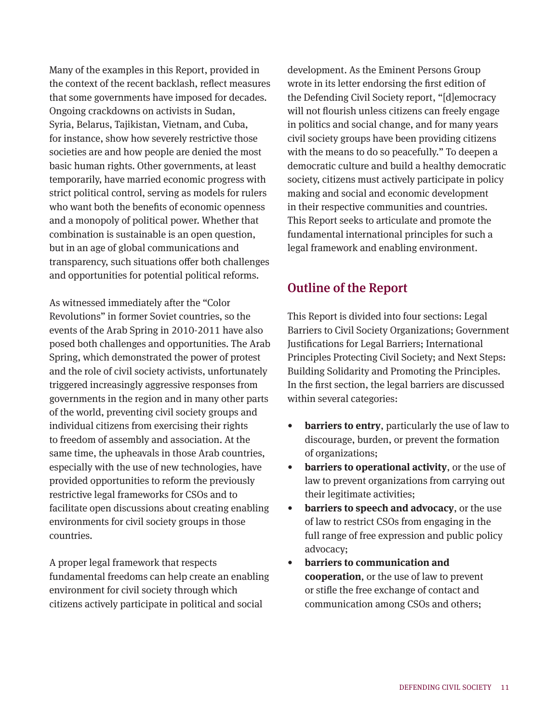Many of the examples in this Report, provided in the context of the recent backlash, reflect measures that some governments have imposed for decades. Ongoing crackdowns on activists in Sudan, Syria, Belarus, Tajikistan, Vietnam, and Cuba, for instance, show how severely restrictive those societies are and how people are denied the most basic human rights. Other governments, at least temporarily, have married economic progress with strict political control, serving as models for rulers who want both the benefits of economic openness and a monopoly of political power. Whether that combination is sustainable is an open question, but in an age of global communications and transparency, such situations offer both challenges and opportunities for potential political reforms.

As witnessed immediately after the "Color Revolutions" in former Soviet countries, so the events of the Arab Spring in 2010-2011 have also posed both challenges and opportunities. The Arab Spring, which demonstrated the power of protest and the role of civil society activists, unfortunately triggered increasingly aggressive responses from governments in the region and in many other parts of the world, preventing civil society groups and individual citizens from exercising their rights to freedom of assembly and association. At the same time, the upheavals in those Arab countries, especially with the use of new technologies, have provided opportunities to reform the previously restrictive legal frameworks for CSOs and to facilitate open discussions about creating enabling environments for civil society groups in those countries.

A proper legal framework that respects fundamental freedoms can help create an enabling environment for civil society through which citizens actively participate in political and social

development. As the Eminent Persons Group wrote in its letter endorsing the first edition of the Defending Civil Society report, "[d]emocracy will not flourish unless citizens can freely engage in politics and social change, and for many years civil society groups have been providing citizens with the means to do so peacefully." To deepen a democratic culture and build a healthy democratic society, citizens must actively participate in policy making and social and economic development in their respective communities and countries. This Report seeks to articulate and promote the fundamental international principles for such a legal framework and enabling environment.

# Outline of the Report

This Report is divided into four sections: Legal Barriers to Civil Society Organizations; Government Justifications for Legal Barriers; International Principles Protecting Civil Society; and Next Steps: Building Solidarity and Promoting the Principles. In the first section, the legal barriers are discussed within several categories:

- **barriers to entry**, particularly the use of law to discourage, burden, or prevent the formation of organizations;
- **barriers to operational activity**, or the use of law to prevent organizations from carrying out their legitimate activities;
- **barriers to speech and advocacy**, or the use of law to restrict CSOs from engaging in the full range of free expression and public policy advocacy;
- **barriers to communication and cooperation**, or the use of law to prevent or stifle the free exchange of contact and communication among CSOs and others;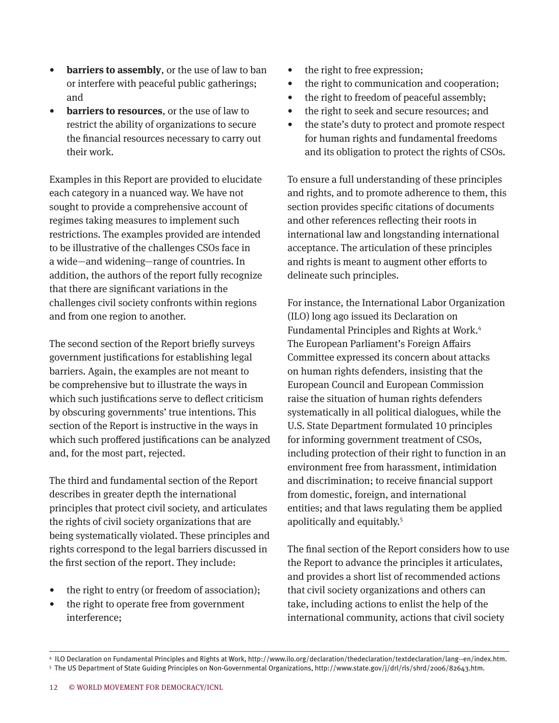- **barriers to assembly**, or the use of law to ban or interfere with peaceful public gatherings; and
- **barriers to resources**, or the use of law to restrict the ability of organizations to secure the financial resources necessary to carry out their work.

Examples in this Report are provided to elucidate each category in a nuanced way. We have not sought to provide a comprehensive account of regimes taking measures to implement such restrictions. The examples provided are intended to be illustrative of the challenges CSOs face in a wide—and widening—range of countries. In addition, the authors of the report fully recognize that there are significant variations in the challenges civil society confronts within regions and from one region to another.

The second section of the Report briefly surveys government justifications for establishing legal barriers. Again, the examples are not meant to be comprehensive but to illustrate the ways in which such justifications serve to deflect criticism by obscuring governments' true intentions. This section of the Report is instructive in the ways in which such proffered justifications can be analyzed and, for the most part, rejected.

The third and fundamental section of the Report describes in greater depth the international principles that protect civil society, and articulates the rights of civil society organizations that are being systematically violated. These principles and rights correspond to the legal barriers discussed in the first section of the report. They include:

- the right to entry (or freedom of association);
- the right to operate free from government interference;
- the right to free expression;
- the right to communication and cooperation;
- the right to freedom of peaceful assembly;
- the right to seek and secure resources; and
- the state's duty to protect and promote respect for human rights and fundamental freedoms and its obligation to protect the rights of CSOs.

To ensure a full understanding of these principles and rights, and to promote adherence to them, this section provides specific citations of documents and other references reflecting their roots in international law and longstanding international acceptance. The articulation of these principles and rights is meant to augment other efforts to delineate such principles.

For instance, the International Labor Organization (ILO) long ago issued its Declaration on Fundamental Principles and Rights at Work. 4 The European Parliament's Foreign Affairs Committee expressed its concern about attacks on human rights defenders, insisting that the European Council and European Commission raise the situation of human rights defenders systematically in all political dialogues, while the U.S. State Department formulated 10 principles for informing government treatment of CSOs, including protection of their right to function in an environment free from harassment, intimidation and discrimination; to receive financial support from domestic, foreign, and international entities; and that laws regulating them be applied apolitically and equitably. 5

The final section of the Report considers how to use the Report to advance the principles it articulates, and provides a short list of recommended actions that civil society organizations and others can take, including actions to enlist the help of the international community, actions that civil society

<sup>4</sup> ILO Declaration on Fundamental Principles and Rights at Work, http://www.ilo.org/declaration/thedeclaration/textdeclaration/lang--en/index.htm. 5 The US Department of State Guiding Principles on Non-Governmental Organizations, http://www.state.gov/j/drl/rls/shrd/2006/82643.htm.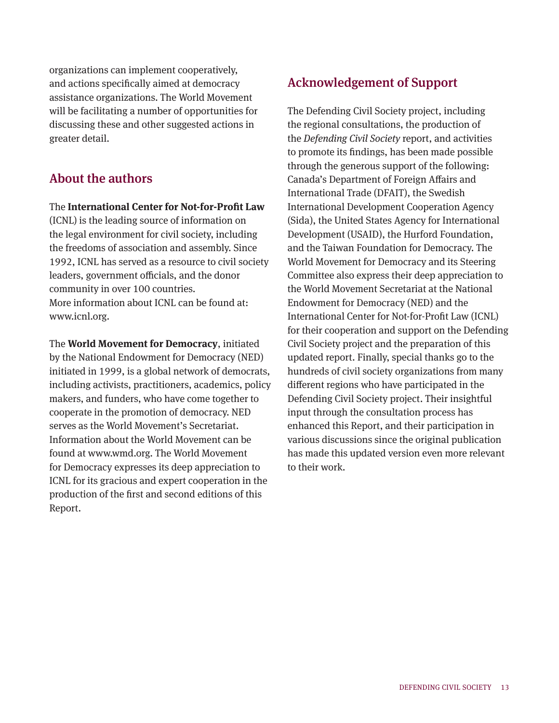organizations can implement cooperatively, and actions specifically aimed at democracy assistance organizations. The World Movement will be facilitating a number of opportunities for discussing these and other suggested actions in greater detail.

# About the authors

The **International Center for Not-for-Profit Law**

(ICNL) is the leading source of information on the legal environment for civil society, including the freedoms of association and assembly. Since 1992, ICNL has served as a resource to civil society leaders, government officials, and the donor community in over 100 countries. More information about ICNL can be found at: www.icnl.org.

The **World Movement for Democracy**, initiated by the National Endowment for Democracy (NED) initiated in 1999, is a global network of democrats, including activists, practitioners, academics, policy makers, and funders, who have come together to cooperate in the promotion of democracy. NED serves as the World Movement's Secretariat. Information about the World Movement can be found at www.wmd.org. The World Movement for Democracy expresses its deep appreciation to ICNL for its gracious and expert cooperation in the production of the first and second editions of this Report.

# Acknowledgement of Support

The Defending Civil Society project, including the regional consultations, the production of the *Defending Civil Society* report, and activities to promote its findings, has been made possible through the generous support of the following: Canada's Department of Foreign Affairs and International Trade (DFAIT), the Swedish International Development Cooperation Agency (Sida), the United States Agency for International Development (USAID), the Hurford Foundation, and the Taiwan Foundation for Democracy. The World Movement for Democracy and its Steering Committee also express their deep appreciation to the World Movement Secretariat at the National Endowment for Democracy (NED) and the International Center for Not-for-Profit Law (ICNL) for their cooperation and support on the Defending Civil Society project and the preparation of this updated report. Finally, special thanks go to the hundreds of civil society organizations from many different regions who have participated in the Defending Civil Society project. Their insightful input through the consultation process has enhanced this Report, and their participation in various discussions since the original publication has made this updated version even more relevant to their work.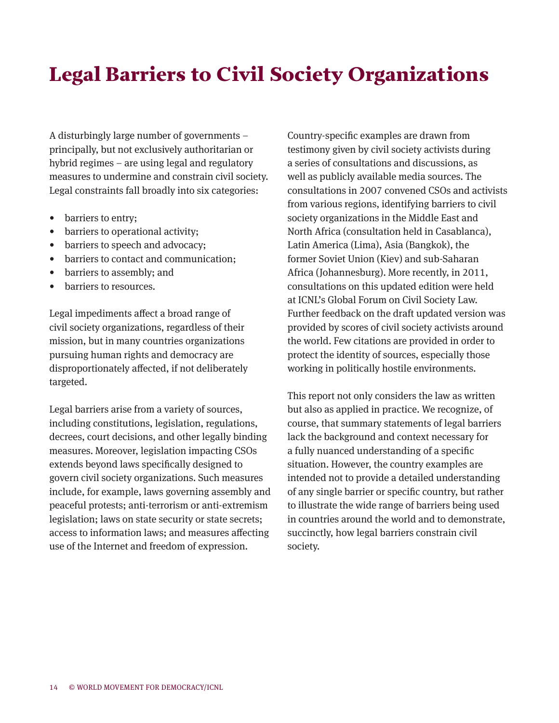# Legal Barriers to Civil Society Organizations

A disturbingly large number of governments – principally, but not exclusively authoritarian or hybrid regimes – are using legal and regulatory measures to undermine and constrain civil society. Legal constraints fall broadly into six categories:

- barriers to entry;
- barriers to operational activity;
- barriers to speech and advocacy;
- barriers to contact and communication;
- barriers to assembly; and
- barriers to resources.

Legal impediments affect a broad range of civil society organizations, regardless of their mission, but in many countries organizations pursuing human rights and democracy are disproportionately affected, if not deliberately targeted.

Legal barriers arise from a variety of sources, including constitutions, legislation, regulations, decrees, court decisions, and other legally binding measures. Moreover, legislation impacting CSOs extends beyond laws specifically designed to govern civil society organizations. Such measures include, for example, laws governing assembly and peaceful protests; anti-terrorism or anti-extremism legislation; laws on state security or state secrets; access to information laws; and measures affecting use of the Internet and freedom of expression.

Country-specific examples are drawn from testimony given by civil society activists during a series of consultations and discussions, as well as publicly available media sources. The consultations in 2007 convened CSOs and activists from various regions, identifying barriers to civil society organizations in the Middle East and North Africa (consultation held in Casablanca), Latin America (Lima), Asia (Bangkok), the former Soviet Union (Kiev) and sub-Saharan Africa (Johannesburg). More recently, in 2011, consultations on this updated edition were held at ICNL's Global Forum on Civil Society Law. Further feedback on the draft updated version was provided by scores of civil society activists around the world. Few citations are provided in order to protect the identity of sources, especially those working in politically hostile environments.

This report not only considers the law as written but also as applied in practice. We recognize, of course, that summary statements of legal barriers lack the background and context necessary for a fully nuanced understanding of a specific situation. However, the country examples are intended not to provide a detailed understanding of any single barrier or specific country, but rather to illustrate the wide range of barriers being used in countries around the world and to demonstrate, succinctly, how legal barriers constrain civil society.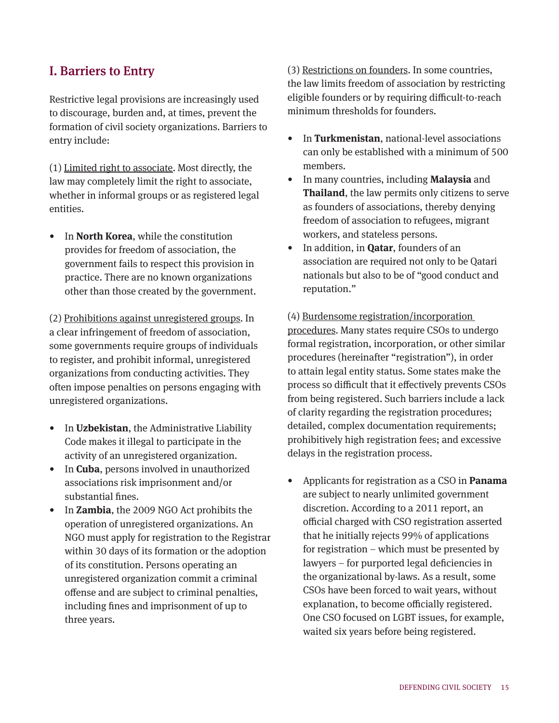## I. Barriers to Entry

Restrictive legal provisions are increasingly used to discourage, burden and, at times, prevent the formation of civil society organizations. Barriers to entry include:

(1) Limited right to associate. Most directly, the law may completely limit the right to associate, whether in informal groups or as registered legal entities.

• In **North Korea**, while the constitution provides for freedom of association, the government fails to respect this provision in practice. There are no known organizations other than those created by the government.

(2) Prohibitions against unregistered groups. In a clear infringement of freedom of association, some governments require groups of individuals to register, and prohibit informal, unregistered organizations from conducting activities. They often impose penalties on persons engaging with unregistered organizations.

- In **Uzbekistan**, the Administrative Liability Code makes it illegal to participate in the activity of an unregistered organization.
- In **Cuba**, persons involved in unauthorized associations risk imprisonment and/or substantial fines.
- In **Zambia**, the 2009 NGO Act prohibits the operation of unregistered organizations. An NGO must apply for registration to the Registrar within 30 days of its formation or the adoption of its constitution. Persons operating an unregistered organization commit a criminal offense and are subject to criminal penalties, including fines and imprisonment of up to three years.

(3) Restrictions on founders. In some countries, the law limits freedom of association by restricting eligible founders or by requiring difficult-to-reach minimum thresholds for founders.

- In **Turkmenistan**, national-level associations can only be established with a minimum of 500 members.
- In many countries, including **Malaysia** and **Thailand**, the law permits only citizens to serve as founders of associations, thereby denying freedom of association to refugees, migrant workers, and stateless persons.
- In addition, in **Qatar**, founders of an association are required not only to be Qatari nationals but also to be of "good conduct and reputation."

(4) Burdensome registration/incorporation procedures. Many states require CSOs to undergo formal registration, incorporation, or other similar procedures (hereinafter "registration"), in order to attain legal entity status. Some states make the process so difficult that it effectively prevents CSOs from being registered. Such barriers include a lack of clarity regarding the registration procedures; detailed, complex documentation requirements; prohibitively high registration fees; and excessive delays in the registration process.

• Applicants for registration as a CSO in **Panama** are subject to nearly unlimited government discretion. According to a 2011 report, an official charged with CSO registration asserted that he initially rejects 99% of applications for registration – which must be presented by lawyers – for purported legal deficiencies in the organizational by-laws. As a result, some CSOs have been forced to wait years, without explanation, to become officially registered. One CSO focused on LGBT issues, for example, waited six years before being registered.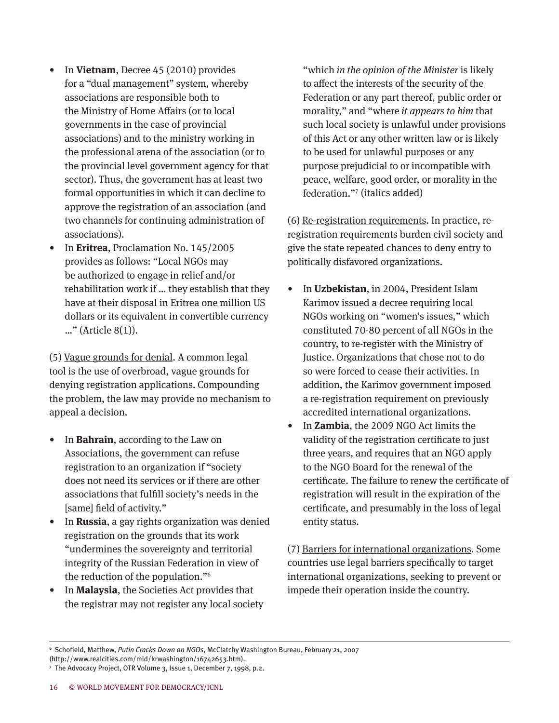- In **Vietnam**, Decree 45 (2010) provides for a "dual management" system, whereby associations are responsible both to the Ministry of Home Affairs (or to local governments in the case of provincial associations) and to the ministry working in the professional arena of the association (or to the provincial level government agency for that sector). Thus, the government has at least two formal opportunities in which it can decline to approve the registration of an association (and two channels for continuing administration of associations).
- In **Eritrea**, Proclamation No. 145/2005 provides as follows: "Local NGOs may be authorized to engage in relief and/or rehabilitation work if … they establish that they have at their disposal in Eritrea one million US dollars or its equivalent in convertible currency …" (Article 8(1)).

(5) Vague grounds for denial. A common legal tool is the use of overbroad, vague grounds for denying registration applications. Compounding the problem, the law may provide no mechanism to appeal a decision.

- In **Bahrain**, according to the Law on Associations, the government can refuse registration to an organization if "society does not need its services or if there are other associations that fulfill society's needs in the [same] field of activity."
- In **Russia**, a gay rights organization was denied registration on the grounds that its work "undermines the sovereignty and territorial integrity of the Russian Federation in view of the reduction of the population."<sup>6</sup>
- In **Malaysia**, the Societies Act provides that the registrar may not register any local society

"which *in the opinion of the Minister* is likely to affect the interests of the security of the Federation or any part thereof, public order or morality," and "where *it appears to him* that such local society is unlawful under provisions of this Act or any other written law or is likely to be used for unlawful purposes or any purpose prejudicial to or incompatible with peace, welfare, good order, or morality in the federation."7 (italics added)

(6) Re-registration requirements. In practice, reregistration requirements burden civil society and give the state repeated chances to deny entry to politically disfavored organizations.

- In **Uzbekistan**, in 2004, President Islam Karimov issued a decree requiring local NGOs working on "women's issues," which constituted 70-80 percent of all NGOs in the country, to re-register with the Ministry of Justice. Organizations that chose not to do so were forced to cease their activities. In addition, the Karimov government imposed a re-registration requirement on previously accredited international organizations.
- In **Zambia**, the 2009 NGO Act limits the validity of the registration certificate to just three years, and requires that an NGO apply to the NGO Board for the renewal of the certificate. The failure to renew the certificate of registration will result in the expiration of the certificate, and presumably in the loss of legal entity status.

(7) Barriers for international organizations. Some countries use legal barriers specifically to target international organizations, seeking to prevent or impede their operation inside the country.

<sup>6</sup> Schofield, Matthew, *Putin Cracks Down on NGOs*, McClatchy Washington Bureau, February 21, 2007

<sup>(</sup>http://www.realcities.com/mld/krwashington/16742653.htm).

<sup>7</sup> The Advocacy Project, OTR Volume 3, Issue 1, December 7, 1998, p.2.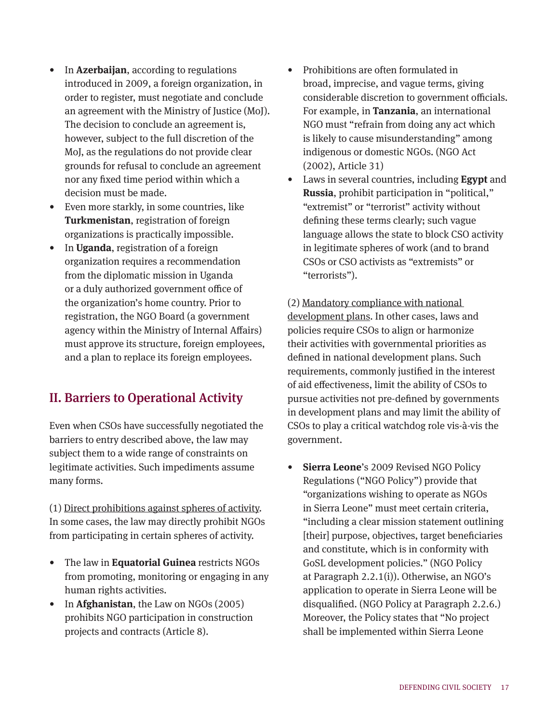- In **Azerbaijan**, according to regulations introduced in 2009, a foreign organization, in order to register, must negotiate and conclude an agreement with the Ministry of Justice (MoJ). The decision to conclude an agreement is, however, subject to the full discretion of the MoJ, as the regulations do not provide clear grounds for refusal to conclude an agreement nor any fixed time period within which a decision must be made.
- Even more starkly, in some countries, like **Turkmenistan**, registration of foreign organizations is practically impossible.
- In **Uganda**, registration of a foreign organization requires a recommendation from the diplomatic mission in Uganda or a duly authorized government office of the organization's home country. Prior to registration, the NGO Board (a government agency within the Ministry of Internal Affairs) must approve its structure, foreign employees, and a plan to replace its foreign employees.

# II. Barriers to Operational Activity

Even when CSOs have successfully negotiated the barriers to entry described above, the law may subject them to a wide range of constraints on legitimate activities. Such impediments assume many forms.

(1) Direct prohibitions against spheres of activity. In some cases, the law may directly prohibit NGOs from participating in certain spheres of activity.

- The law in **Equatorial Guinea** restricts NGOs from promoting, monitoring or engaging in any human rights activities.
- In **Afghanistan**, the Law on NGOs (2005) prohibits NGO participation in construction projects and contracts (Article 8).
- Prohibitions are often formulated in broad, imprecise, and vague terms, giving considerable discretion to government officials. For example, in **Tanzania**, an international NGO must "refrain from doing any act which is likely to cause misunderstanding" among indigenous or domestic NGOs. (NGO Act (2002), Article 31)
- Laws in several countries, including **Egypt** and **Russia**, prohibit participation in "political," "extremist" or "terrorist" activity without defining these terms clearly; such vague language allows the state to block CSO activity in legitimate spheres of work (and to brand CSOs or CSO activists as "extremists" or "terrorists").

(2) Mandatory compliance with national development plans. In other cases, laws and policies require CSOs to align or harmonize their activities with governmental priorities as defined in national development plans. Such requirements, commonly justified in the interest of aid effectiveness, limit the ability of CSOs to pursue activities not pre-defined by governments in development plans and may limit the ability of CSOs to play a critical watchdog role vis-à-vis the government.

• **Sierra Leone**'s 2009 Revised NGO Policy Regulations ("NGO Policy") provide that "organizations wishing to operate as NGOs in Sierra Leone" must meet certain criteria, "including a clear mission statement outlining [their] purpose, objectives, target beneficiaries and constitute, which is in conformity with GoSL development policies." (NGO Policy at Paragraph 2.2.1(i)). Otherwise, an NGO's application to operate in Sierra Leone will be disqualified. (NGO Policy at Paragraph 2.2.6.) Moreover, the Policy states that "No project shall be implemented within Sierra Leone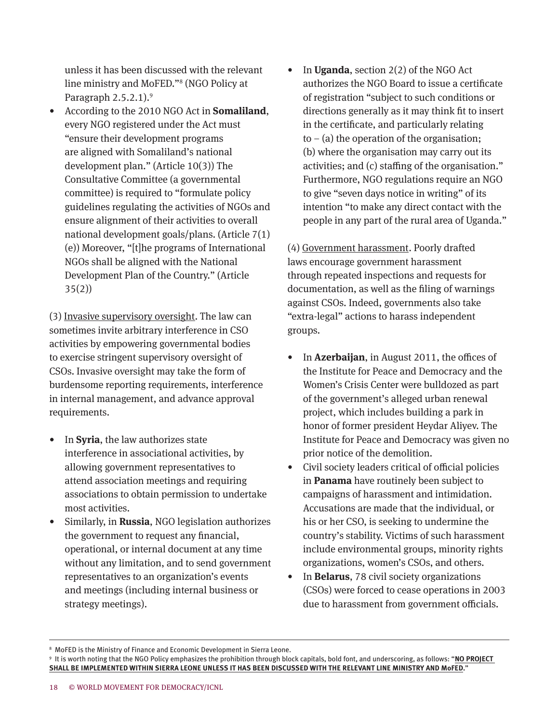unless it has been discussed with the relevant line ministry and MoFED."<sup>8</sup> (NGO Policy at Paragraph 2.5.2.1). 9

• According to the 2010 NGO Act in **Somaliland**, every NGO registered under the Act must "ensure their development programs are aligned with Somaliland's national development plan." (Article 10(3)) The Consultative Committee (a governmental committee) is required to "formulate policy guidelines regulating the activities of NGOs and ensure alignment of their activities to overall national development goals/plans. (Article 7(1) (e)) Moreover, "[t]he programs of International NGOs shall be aligned with the National Development Plan of the Country." (Article 35(2))

(3) Invasive supervisory oversight. The law can sometimes invite arbitrary interference in CSO activities by empowering governmental bodies to exercise stringent supervisory oversight of CSOs. Invasive oversight may take the form of burdensome reporting requirements, interference in internal management, and advance approval requirements.

- In **Syria**, the law authorizes state interference in associational activities, by allowing government representatives to attend association meetings and requiring associations to obtain permission to undertake most activities.
- Similarly, in **Russia**, NGO legislation authorizes the government to request any financial, operational, or internal document at any time without any limitation, and to send government representatives to an organization's events and meetings (including internal business or strategy meetings).

• In **Uganda**, section 2(2) of the NGO Act authorizes the NGO Board to issue a certificate of registration "subject to such conditions or directions generally as it may think fit to insert in the certificate, and particularly relating  $to - (a)$  the operation of the organisation; (b) where the organisation may carry out its activities; and (c) staffing of the organisation." Furthermore, NGO regulations require an NGO to give "seven days notice in writing" of its intention "to make any direct contact with the people in any part of the rural area of Uganda."

(4) Government harassment. Poorly drafted laws encourage government harassment through repeated inspections and requests for documentation, as well as the filing of warnings against CSOs. Indeed, governments also take "extra-legal" actions to harass independent groups.

- In **Azerbaijan**, in August 2011, the offices of the Institute for Peace and Democracy and the Women's Crisis Center were bulldozed as part of the government's alleged urban renewal project, which includes building a park in honor of former president Heydar Aliyev. The Institute for Peace and Democracy was given no prior notice of the demolition.
- Civil society leaders critical of official policies in **Panama** have routinely been subject to campaigns of harassment and intimidation. Accusations are made that the individual, or his or her CSO, is seeking to undermine the country's stability. Victims of such harassment include environmental groups, minority rights organizations, women's CSOs, and others.
- In **Belarus**, 78 civil society organizations (CSOs) were forced to cease operations in 2003 due to harassment from government officials.

<sup>&</sup>lt;sup>8</sup> MoFED is the Ministry of Finance and Economic Development in Sierra Leone.

<sup>9</sup> It is worth noting that the NGO Policy emphasizes the prohibition through block capitals, bold font, and underscoring, as follows: "**NO PROJECT SHALL BE IMPLEMENTED WITHIN SIERRA LEONE UNLESS IT HAS BEEN DISCUSSED WITH THE RELEVANT LINE MINISTRY AND MoFED.**"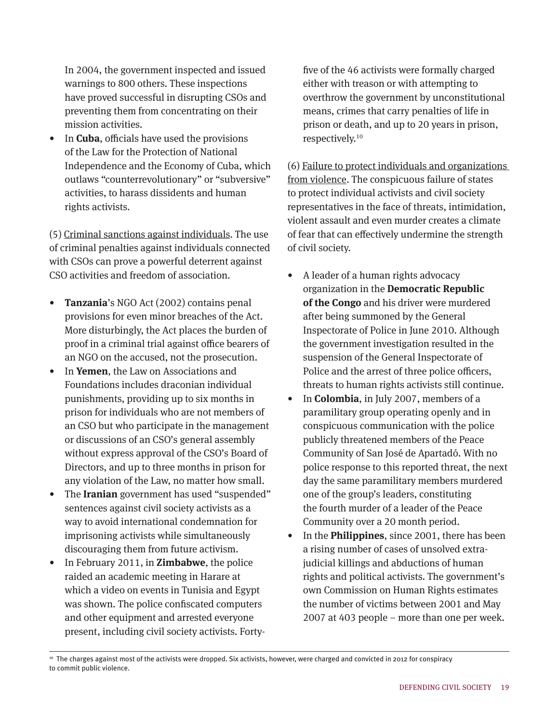In 2004, the government inspected and issued warnings to 800 others. These inspections have proved successful in disrupting CSOs and preventing them from concentrating on their mission activities.

• In **Cuba**, officials have used the provisions of the Law for the Protection of National Independence and the Economy of Cuba, which outlaws "counterrevolutionary" or "subversive" activities, to harass dissidents and human rights activists.

(5) Criminal sanctions against individuals. The use of criminal penalties against individuals connected with CSOs can prove a powerful deterrent against CSO activities and freedom of association.

- **Tanzania**'s NGO Act (2002) contains penal provisions for even minor breaches of the Act. More disturbingly, the Act places the burden of proof in a criminal trial against office bearers of an NGO on the accused, not the prosecution.
- In **Yemen**, the Law on Associations and Foundations includes draconian individual punishments, providing up to six months in prison for individuals who are not members of an CSO but who participate in the management or discussions of an CSO's general assembly without express approval of the CSO's Board of Directors, and up to three months in prison for any violation of the Law, no matter how small.
- The **Iranian** government has used "suspended" sentences against civil society activists as a way to avoid international condemnation for imprisoning activists while simultaneously discouraging them from future activism.
- In February 2011, in **Zimbabwe**, the police raided an academic meeting in Harare at which a video on events in Tunisia and Egypt was shown. The police confiscated computers and other equipment and arrested everyone present, including civil society activists. Forty-

five of the 46 activists were formally charged either with treason or with attempting to overthrow the government by unconstitutional means, crimes that carry penalties of life in prison or death, and up to 20 years in prison, respectively. 10

(6) Failure to protect individuals and organizations from violence. The conspicuous failure of states to protect individual activists and civil society representatives in the face of threats, intimidation, violent assault and even murder creates a climate of fear that can effectively undermine the strength of civil society.

- A leader of a human rights advocacy organization in the **Democratic Republic of the Congo** and his driver were murdered after being summoned by the General Inspectorate of Police in June 2010. Although the government investigation resulted in the suspension of the General Inspectorate of Police and the arrest of three police officers, threats to human rights activists still continue.
- In **Colombia**, in July 2007, members of a paramilitary group operating openly and in conspicuous communication with the police publicly threatened members of the Peace Community of San José de Apartadó. With no police response to this reported threat, the next day the same paramilitary members murdered one of the group's leaders, constituting the fourth murder of a leader of the Peace Community over a 20 month period.
- In the **Philippines**, since 2001, there has been a rising number of cases of unsolved extrajudicial killings and abductions of human rights and political activists. The government's own Commission on Human Rights estimates the number of victims between 2001 and May 2007 at 403 people – more than one per week.

<sup>10</sup> The charges against most of the activists were dropped. Six activists, however, were charged and convicted in 2012 for conspiracy to commit public violence.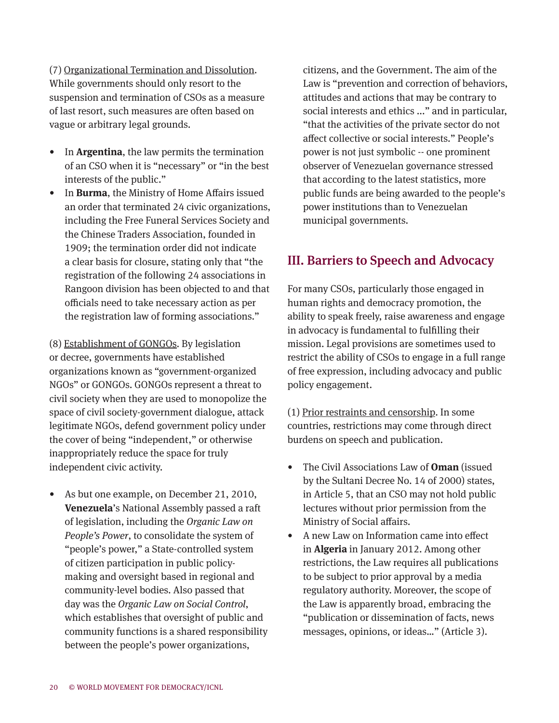(7) Organizational Termination and Dissolution. While governments should only resort to the suspension and termination of CSOs as a measure of last resort, such measures are often based on vague or arbitrary legal grounds.

- In **Argentina**, the law permits the termination of an CSO when it is "necessary" or "in the best interests of the public."
- In **Burma**, the Ministry of Home Affairs issued an order that terminated 24 civic organizations, including the Free Funeral Services Society and the Chinese Traders Association, founded in 1909; the termination order did not indicate a clear basis for closure, stating only that "the registration of the following 24 associations in Rangoon division has been objected to and that officials need to take necessary action as per the registration law of forming associations."

(8) Establishment of GONGOs. By legislation or decree, governments have established organizations known as "government-organized NGOs" or GONGOs. GONGOs represent a threat to civil society when they are used to monopolize the space of civil society-government dialogue, attack legitimate NGOs, defend government policy under the cover of being "independent," or otherwise inappropriately reduce the space for truly independent civic activity.

• As but one example, on December 21, 2010, **Venezuela**'s National Assembly passed a raft of legislation, including the *Organic Law on People's Power*, to consolidate the system of "people's power," a State-controlled system of citizen participation in public policymaking and oversight based in regional and community-level bodies. Also passed that day was the *Organic Law on Social Control*, which establishes that oversight of public and community functions is a shared responsibility between the people's power organizations,

citizens, and the Government. The aim of the Law is "prevention and correction of behaviors, attitudes and actions that may be contrary to social interests and ethics ..." and in particular, "that the activities of the private sector do not affect collective or social interests." People's power is not just symbolic -- one prominent observer of Venezuelan governance stressed that according to the latest statistics, more public funds are being awarded to the people's power institutions than to Venezuelan municipal governments.

# III. Barriers to Speech and Advocacy

For many CSOs, particularly those engaged in human rights and democracy promotion, the ability to speak freely, raise awareness and engage in advocacy is fundamental to fulfilling their mission. Legal provisions are sometimes used to restrict the ability of CSOs to engage in a full range of free expression, including advocacy and public policy engagement.

(1) Prior restraints and censorship. In some countries, restrictions may come through direct burdens on speech and publication.

- The Civil Associations Law of **Oman** (issued by the Sultani Decree No. 14 of 2000) states, in Article 5, that an CSO may not hold public lectures without prior permission from the Ministry of Social affairs.
- A new Law on Information came into effect in **Algeria** in January 2012. Among other restrictions, the Law requires all publications to be subject to prior approval by a media regulatory authority. Moreover, the scope of the Law is apparently broad, embracing the "publication or dissemination of facts, news messages, opinions, or ideas…" (Article 3).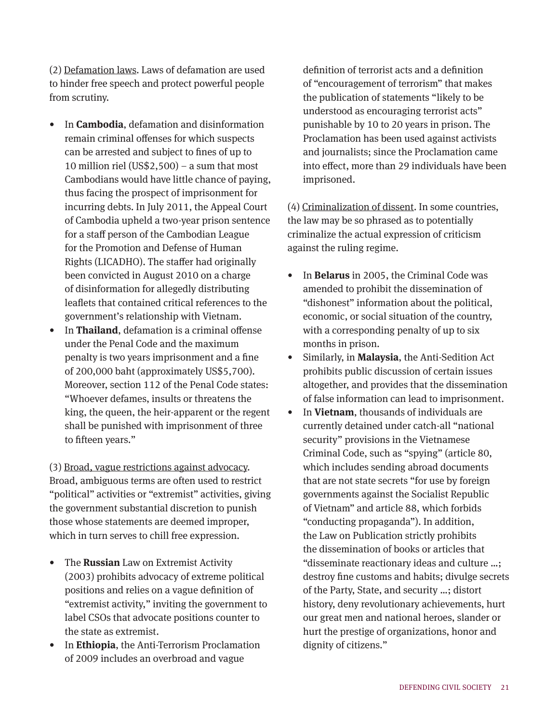(2) Defamation laws. Laws of defamation are used to hinder free speech and protect powerful people from scrutiny.

- In **Cambodia**, defamation and disinformation remain criminal offenses for which suspects can be arrested and subject to fines of up to 10 million riel (US\$2,500) – a sum that most Cambodians would have little chance of paying, thus facing the prospect of imprisonment for incurring debts. In July 2011, the Appeal Court of Cambodia upheld a two-year prison sentence for a staff person of the Cambodian League for the Promotion and Defense of Human Rights (LICADHO). The staffer had originally been convicted in August 2010 on a charge of disinformation for allegedly distributing leaflets that contained critical references to the government's relationship with Vietnam.
- In **Thailand**, defamation is a criminal offense under the Penal Code and the maximum penalty is two years imprisonment and a fine of 200,000 baht (approximately US\$5,700). Moreover, section 112 of the Penal Code states: "Whoever defames, insults or threatens the king, the queen, the heir-apparent or the regent shall be punished with imprisonment of three to fifteen years."

(3) Broad, vague restrictions against advocacy. Broad, ambiguous terms are often used to restrict "political" activities or "extremist" activities, giving the government substantial discretion to punish those whose statements are deemed improper, which in turn serves to chill free expression.

- The **Russian** Law on Extremist Activity (2003) prohibits advocacy of extreme political positions and relies on a vague definition of "extremist activity," inviting the government to label CSOs that advocate positions counter to the state as extremist.
- In **Ethiopia**, the Anti-Terrorism Proclamation of 2009 includes an overbroad and vague

definition of terrorist acts and a definition of "encouragement of terrorism" that makes the publication of statements "likely to be understood as encouraging terrorist acts" punishable by 10 to 20 years in prison. The Proclamation has been used against activists and journalists; since the Proclamation came into effect, more than 29 individuals have been imprisoned.

(4) Criminalization of dissent. In some countries, the law may be so phrased as to potentially criminalize the actual expression of criticism against the ruling regime.

- In **Belarus** in 2005, the Criminal Code was amended to prohibit the dissemination of "dishonest" information about the political, economic, or social situation of the country, with a corresponding penalty of up to six months in prison.
- Similarly, in **Malaysia**, the Anti-Sedition Act prohibits public discussion of certain issues altogether, and provides that the dissemination of false information can lead to imprisonment.
- In **Vietnam**, thousands of individuals are currently detained under catch-all "national security" provisions in the Vietnamese Criminal Code, such as "spying" (article 80, which includes sending abroad documents that are not state secrets "for use by foreign governments against the Socialist Republic of Vietnam" and article 88, which forbids "conducting propaganda"). In addition, the Law on Publication strictly prohibits the dissemination of books or articles that "disseminate reactionary ideas and culture …; destroy fine customs and habits; divulge secrets of the Party, State, and security …; distort history, deny revolutionary achievements, hurt our great men and national heroes, slander or hurt the prestige of organizations, honor and dignity of citizens."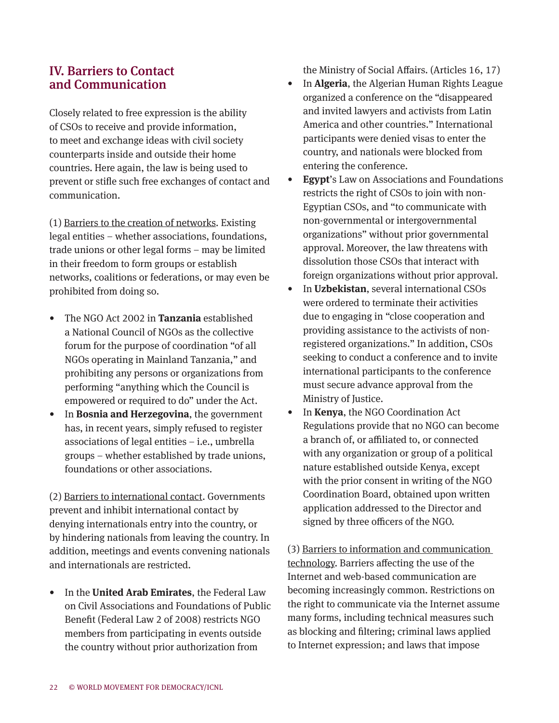#### IV. Barriers to Contact and Communication

Closely related to free expression is the ability of CSOs to receive and provide information, to meet and exchange ideas with civil society counterparts inside and outside their home countries. Here again, the law is being used to prevent or stifle such free exchanges of contact and communication.

(1) Barriers to the creation of networks. Existing legal entities – whether associations, foundations, trade unions or other legal forms – may be limited in their freedom to form groups or establish networks, coalitions or federations, or may even be prohibited from doing so.

- The NGO Act 2002 in **Tanzania** established a National Council of NGOs as the collective forum for the purpose of coordination "of all NGOs operating in Mainland Tanzania," and prohibiting any persons or organizations from performing "anything which the Council is empowered or required to do" under the Act.
- In **Bosnia and Herzegovina**, the government has, in recent years, simply refused to register associations of legal entities – i.e., umbrella groups – whether established by trade unions, foundations or other associations.

(2) Barriers to international contact. Governments prevent and inhibit international contact by denying internationals entry into the country, or by hindering nationals from leaving the country. In addition, meetings and events convening nationals and internationals are restricted.

• In the **United Arab Emirates**, the Federal Law on Civil Associations and Foundations of Public Benefit (Federal Law 2 of 2008) restricts NGO members from participating in events outside the country without prior authorization from

the Ministry of Social Affairs. (Articles 16, 17)

- In **Algeria**, the Algerian Human Rights League organized a conference on the "disappeared and invited lawyers and activists from Latin America and other countries." International participants were denied visas to enter the country, and nationals were blocked from entering the conference.
- **Egypt**'s Law on Associations and Foundations restricts the right of CSOs to join with non-Egyptian CSOs, and "to communicate with non-governmental or intergovernmental organizations" without prior governmental approval. Moreover, the law threatens with dissolution those CSOs that interact with foreign organizations without prior approval.
- In **Uzbekistan**, several international CSOs were ordered to terminate their activities due to engaging in "close cooperation and providing assistance to the activists of nonregistered organizations." In addition, CSOs seeking to conduct a conference and to invite international participants to the conference must secure advance approval from the Ministry of Justice.
- In **Kenya**, the NGO Coordination Act Regulations provide that no NGO can become a branch of, or affiliated to, or connected with any organization or group of a political nature established outside Kenya, except with the prior consent in writing of the NGO Coordination Board, obtained upon written application addressed to the Director and signed by three officers of the NGO.

(3) Barriers to information and communication technology. Barriers affecting the use of the Internet and web-based communication are becoming increasingly common. Restrictions on the right to communicate via the Internet assume many forms, including technical measures such as blocking and filtering; criminal laws applied to Internet expression; and laws that impose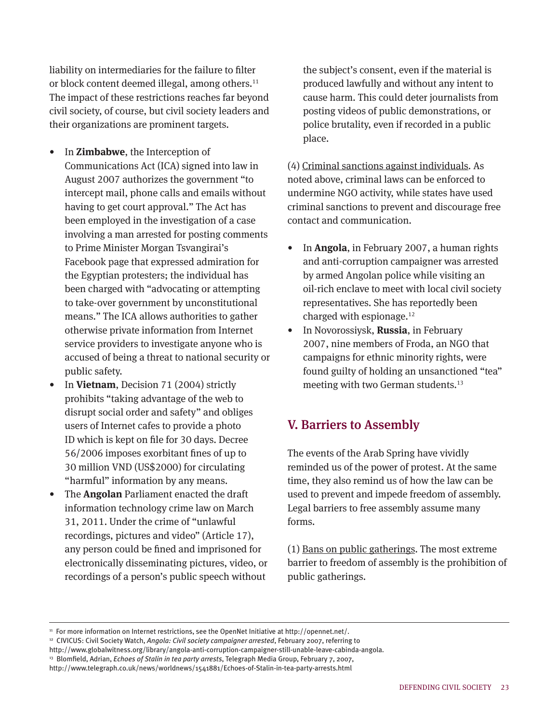liability on intermediaries for the failure to filter or block content deemed illegal, among others. 11 The impact of these restrictions reaches far beyond civil society, of course, but civil society leaders and their organizations are prominent targets.

- In **Zimbabwe**, the Interception of Communications Act (ICA) signed into law in August 2007 authorizes the government "to intercept mail, phone calls and emails without having to get court approval." The Act has been employed in the investigation of a case involving a man arrested for posting comments to Prime Minister Morgan Tsvangirai's Facebook page that expressed admiration for the Egyptian protesters; the individual has been charged with "advocating or attempting to take-over government by unconstitutional means." The ICA allows authorities to gather otherwise private information from Internet service providers to investigate anyone who is accused of being a threat to national security or public safety.
- In **Vietnam**, Decision 71 (2004) strictly prohibits "taking advantage of the web to disrupt social order and safety" and obliges users of Internet cafes to provide a photo ID which is kept on file for 30 days. Decree 56/2006 imposes exorbitant fines of up to 30 million VND (US\$2000) for circulating "harmful" information by any means.
- The **Angolan** Parliament enacted the draft information technology crime law on March 31, 2011. Under the crime of "unlawful recordings, pictures and video" (Article 17), any person could be fined and imprisoned for electronically disseminating pictures, video, or recordings of a person's public speech without

the subject's consent, even if the material is produced lawfully and without any intent to cause harm. This could deter journalists from posting videos of public demonstrations, or police brutality, even if recorded in a public place.

(4) Criminal sanctions against individuals. As noted above, criminal laws can be enforced to undermine NGO activity, while states have used criminal sanctions to prevent and discourage free contact and communication.

- In **Angola**, in February 2007, a human rights and anti-corruption campaigner was arrested by armed Angolan police while visiting an oil-rich enclave to meet with local civil society representatives. She has reportedly been charged with espionage. 12
- In Novorossiysk, **Russia**, in February 2007, nine members of Froda, an NGO that campaigns for ethnic minority rights, were found guilty of holding an unsanctioned "tea" meeting with two German students. 13

#### V. Barriers to Assembly

The events of the Arab Spring have vividly reminded us of the power of protest. At the same time, they also remind us of how the law can be used to prevent and impede freedom of assembly. Legal barriers to free assembly assume many forms.

(1) Bans on public gatherings. The most extreme barrier to freedom of assembly is the prohibition of public gatherings.

<sup>11</sup> For more information on Internet restrictions, see the OpenNet Initiative at http://opennet.net/.

<sup>12</sup> CIVICUS: Civil Society Watch, *Angola: Civil society campaigner arrested*, February 2007, referring to

http://www.globalwitness.org/library/angola-anti-corruption-campaigner-still-unable-leave-cabinda-angola.

<sup>13</sup> Blomfield, Adrian, *Echoes of Stalin in tea party arrests*, Telegraph Media Group, February 7, 2007,

http://www.telegraph.co.uk/news/worldnews/1541881/Echoes-of-Stalin-in-tea-party-arrests.html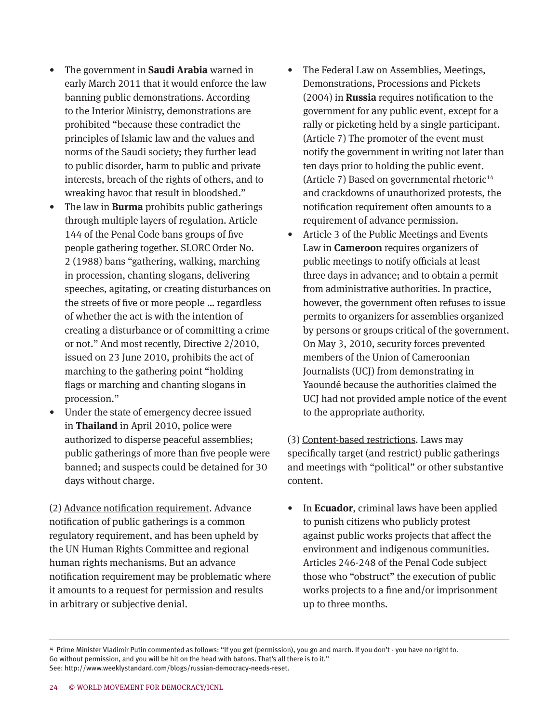- The government in **Saudi Arabia** warned in early March 2011 that it would enforce the law banning public demonstrations. According to the Interior Ministry, demonstrations are prohibited "because these contradict the principles of Islamic law and the values and norms of the Saudi society; they further lead to public disorder, harm to public and private interests, breach of the rights of others, and to wreaking havoc that result in bloodshed."
- The law in **Burma** prohibits public gatherings through multiple layers of regulation. Article 144 of the Penal Code bans groups of five people gathering together. SLORC Order No. 2 (1988) bans "gathering, walking, marching in procession, chanting slogans, delivering speeches, agitating, or creating disturbances on the streets of five or more people … regardless of whether the act is with the intention of creating a disturbance or of committing a crime or not." And most recently, Directive 2/2010, issued on 23 June 2010, prohibits the act of marching to the gathering point "holding flags or marching and chanting slogans in procession."
- Under the state of emergency decree issued in **Thailand** in April 2010, police were authorized to disperse peaceful assemblies; public gatherings of more than five people were banned; and suspects could be detained for 30 days without charge.

(2) Advance notification requirement. Advance notification of public gatherings is a common regulatory requirement, and has been upheld by the UN Human Rights Committee and regional human rights mechanisms. But an advance notification requirement may be problematic where it amounts to a request for permission and results in arbitrary or subjective denial.

- The Federal Law on Assemblies, Meetings, Demonstrations, Processions and Pickets (2004) in **Russia** requires notification to the government for any public event, except for a rally or picketing held by a single participant. (Article 7) The promoter of the event must notify the government in writing not later than ten days prior to holding the public event. (Article 7) Based on governmental rhetoric<sup>14</sup> and crackdowns of unauthorized protests, the notification requirement often amounts to a requirement of advance permission.
- Article 3 of the Public Meetings and Events Law in **Cameroon** requires organizers of public meetings to notify officials at least three days in advance; and to obtain a permit from administrative authorities. In practice, however, the government often refuses to issue permits to organizers for assemblies organized by persons or groups critical of the government. On May 3, 2010, security forces prevented members of the Union of Cameroonian Journalists (UCJ) from demonstrating in Yaoundé because the authorities claimed the UCJ had not provided ample notice of the event to the appropriate authority.

(3) Content-based restrictions. Laws may specifically target (and restrict) public gatherings and meetings with "political" or other substantive content.

• In **Ecuador**, criminal laws have been applied to punish citizens who publicly protest against public works projects that affect the environment and indigenous communities. Articles 246-248 of the Penal Code subject those who "obstruct" the execution of public works projects to a fine and/or imprisonment up to three months.

<sup>14</sup> Prime Minister Vladimir Putin commented as follows: "If you get (permission), you go and march. If you don't - you have no right to. Go without permission, and you will be hit on the head with batons. That's all there is to it." See: http://www.weeklystandard.com/blogs/russian-democracy-needs-reset.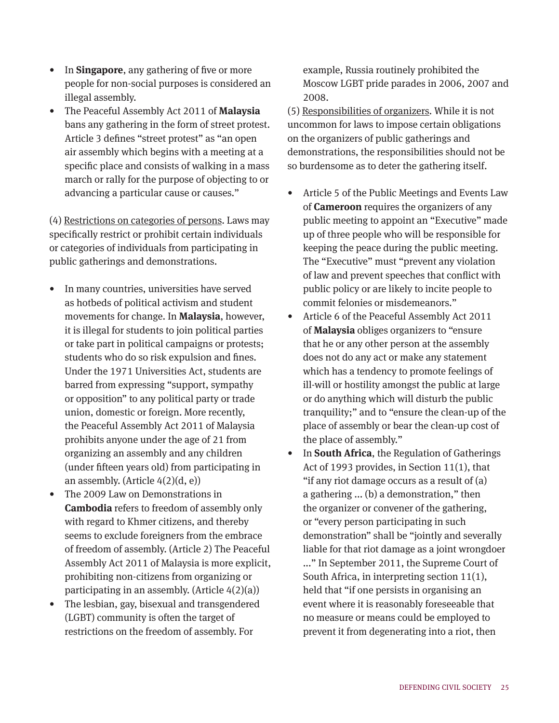- In **Singapore**, any gathering of five or more people for non-social purposes is considered an illegal assembly.
- The Peaceful Assembly Act 2011 of **Malaysia** bans any gathering in the form of street protest. Article 3 defines "street protest" as "an open air assembly which begins with a meeting at a specific place and consists of walking in a mass march or rally for the purpose of objecting to or advancing a particular cause or causes."

(4) Restrictions on categories of persons. Laws may specifically restrict or prohibit certain individuals or categories of individuals from participating in public gatherings and demonstrations.

- In many countries, universities have served as hotbeds of political activism and student movements for change. In **Malaysia**, however, it is illegal for students to join political parties or take part in political campaigns or protests; students who do so risk expulsion and fines. Under the 1971 Universities Act, students are barred from expressing "support, sympathy or opposition" to any political party or trade union, domestic or foreign. More recently, the Peaceful Assembly Act 2011 of Malaysia prohibits anyone under the age of 21 from organizing an assembly and any children (under fifteen years old) from participating in an assembly. (Article  $4(2)(d, e)$ )
- The 2009 Law on Demonstrations in **Cambodia** refers to freedom of assembly only with regard to Khmer citizens, and thereby seems to exclude foreigners from the embrace of freedom of assembly. (Article 2) The Peaceful Assembly Act 2011 of Malaysia is more explicit, prohibiting non-citizens from organizing or participating in an assembly. (Article  $4(2)(a)$ )
- The lesbian, gay, bisexual and transgendered (LGBT) community is often the target of restrictions on the freedom of assembly. For

example, Russia routinely prohibited the Moscow LGBT pride parades in 2006, 2007 and 2008.

(5) Responsibilities of organizers. While it is not uncommon for laws to impose certain obligations on the organizers of public gatherings and demonstrations, the responsibilities should not be so burdensome as to deter the gathering itself.

- Article 5 of the Public Meetings and Events Law of **Cameroon** requires the organizers of any public meeting to appoint an "Executive" made up of three people who will be responsible for keeping the peace during the public meeting. The "Executive" must "prevent any violation of law and prevent speeches that conflict with public policy or are likely to incite people to commit felonies or misdemeanors."
- Article 6 of the Peaceful Assembly Act 2011 of **Malaysia** obliges organizers to "ensure that he or any other person at the assembly does not do any act or make any statement which has a tendency to promote feelings of ill-will or hostility amongst the public at large or do anything which will disturb the public tranquility;" and to "ensure the clean-up of the place of assembly or bear the clean-up cost of the place of assembly."
- In **South Africa**, the Regulation of Gatherings Act of 1993 provides, in Section 11(1), that "if any riot damage occurs as a result of (a) a gathering ... (b) a demonstration," then the organizer or convener of the gathering, or "every person participating in such demonstration" shall be "jointly and severally liable for that riot damage as a joint wrongdoer ..." In September 2011, the Supreme Court of South Africa, in interpreting section 11(1), held that "if one persists in organising an event where it is reasonably foreseeable that no measure or means could be employed to prevent it from degenerating into a riot, then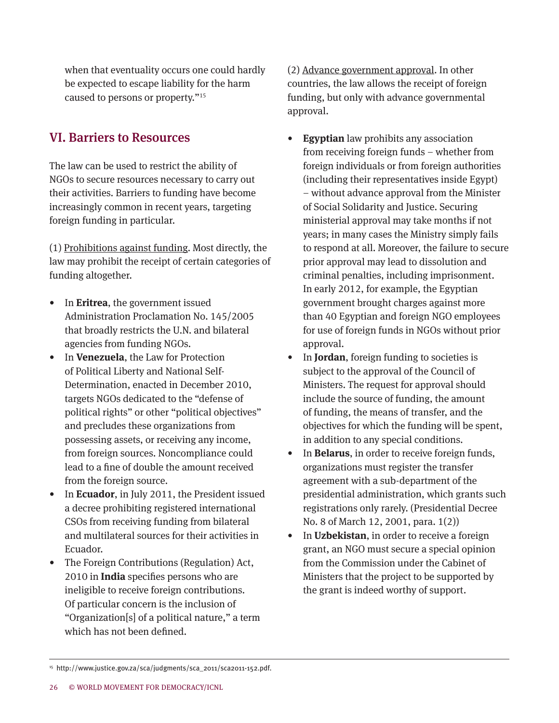when that eventuality occurs one could hardly be expected to escape liability for the harm caused to persons or property."<sup>15</sup>

# VI. Barriers to Resources

The law can be used to restrict the ability of NGOs to secure resources necessary to carry out their activities. Barriers to funding have become increasingly common in recent years, targeting foreign funding in particular.

(1) Prohibitions against funding. Most directly, the law may prohibit the receipt of certain categories of funding altogether.

- In **Eritrea**, the government issued Administration Proclamation No. 145/2005 that broadly restricts the U.N. and bilateral agencies from funding NGOs.
- In **Venezuela**, the Law for Protection of Political Liberty and National Self-Determination, enacted in December 2010, targets NGOs dedicated to the "defense of political rights" or other "political objectives" and precludes these organizations from possessing assets, or receiving any income, from foreign sources. Noncompliance could lead to a fine of double the amount received from the foreign source.
- In **Ecuador**, in July 2011, the President issued a decree prohibiting registered international CSOs from receiving funding from bilateral and multilateral sources for their activities in Ecuador.
- The Foreign Contributions (Regulation) Act, 2010 in **India** specifies persons who are ineligible to receive foreign contributions. Of particular concern is the inclusion of "Organization[s] of a political nature," a term which has not been defined.

(2) Advance government approval. In other countries, the law allows the receipt of foreign funding, but only with advance governmental approval.

- **Egyptian** law prohibits any association from receiving foreign funds – whether from foreign individuals or from foreign authorities (including their representatives inside Egypt) – without advance approval from the Minister of Social Solidarity and Justice. Securing ministerial approval may take months if not years; in many cases the Ministry simply fails to respond at all. Moreover, the failure to secure prior approval may lead to dissolution and criminal penalties, including imprisonment. In early 2012, for example, the Egyptian government brought charges against more than 40 Egyptian and foreign NGO employees for use of foreign funds in NGOs without prior approval.
- In **Jordan**, foreign funding to societies is subject to the approval of the Council of Ministers. The request for approval should include the source of funding, the amount of funding, the means of transfer, and the objectives for which the funding will be spent, in addition to any special conditions.
- In **Belarus**, in order to receive foreign funds, organizations must register the transfer agreement with a sub-department of the presidential administration, which grants such registrations only rarely. (Presidential Decree No. 8 of March 12, 2001, para. 1(2))
- In **Uzbekistan**, in order to receive a foreign grant, an NGO must secure a special opinion from the Commission under the Cabinet of Ministers that the project to be supported by the grant is indeed worthy of support.

<sup>15</sup> http://www.justice.gov.za/sca/judgments/sca\_2011/sca2011-152.pdf.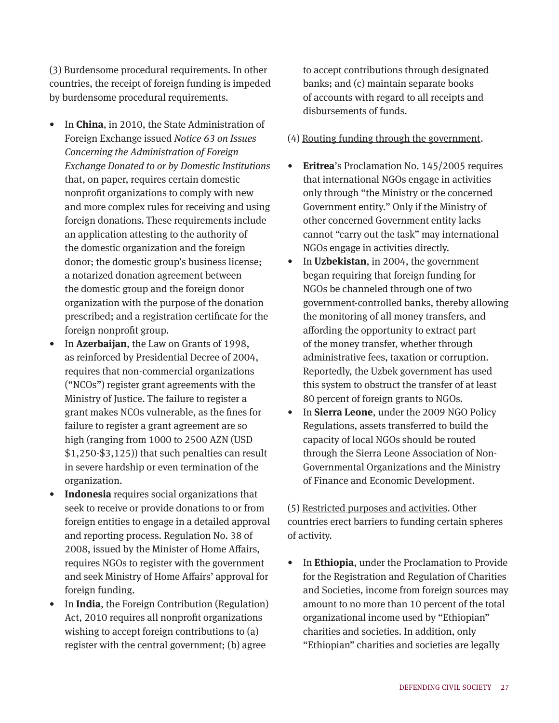(3) Burdensome procedural requirements. In other countries, the receipt of foreign funding is impeded by burdensome procedural requirements.

- In **China**, in 2010, the State Administration of Foreign Exchange issued *Notice 63 on Issues Concerning the Administration of Foreign Exchange Donated to or by Domestic Institutions* that, on paper, requires certain domestic nonprofit organizations to comply with new and more complex rules for receiving and using foreign donations. These requirements include an application attesting to the authority of the domestic organization and the foreign donor; the domestic group's business license; a notarized donation agreement between the domestic group and the foreign donor organization with the purpose of the donation prescribed; and a registration certificate for the foreign nonprofit group.
- In **Azerbaijan**, the Law on Grants of 1998, as reinforced by Presidential Decree of 2004, requires that non-commercial organizations ("NCOs") register grant agreements with the Ministry of Justice. The failure to register a grant makes NCOs vulnerable, as the fines for failure to register a grant agreement are so high (ranging from 1000 to 2500 AZN (USD \$1,250-\$3,125)) that such penalties can result in severe hardship or even termination of the organization.
- **Indonesia** requires social organizations that seek to receive or provide donations to or from foreign entities to engage in a detailed approval and reporting process. Regulation No. 38 of 2008, issued by the Minister of Home Affairs, requires NGOs to register with the government and seek Ministry of Home Affairs' approval for foreign funding.
- In **India**, the Foreign Contribution (Regulation) Act, 2010 requires all nonprofit organizations wishing to accept foreign contributions to (a) register with the central government; (b) agree

to accept contributions through designated banks; and (c) maintain separate books of accounts with regard to all receipts and disbursements of funds.

- (4) Routing funding through the government.
- **Eritrea**'s Proclamation No. 145/2005 requires that international NGOs engage in activities only through "the Ministry or the concerned Government entity." Only if the Ministry of other concerned Government entity lacks cannot "carry out the task" may international NGOs engage in activities directly.
- In **Uzbekistan**, in 2004, the government began requiring that foreign funding for NGOs be channeled through one of two government-controlled banks, thereby allowing the monitoring of all money transfers, and affording the opportunity to extract part of the money transfer, whether through administrative fees, taxation or corruption. Reportedly, the Uzbek government has used this system to obstruct the transfer of at least 80 percent of foreign grants to NGOs.
- In **Sierra Leone**, under the 2009 NGO Policy Regulations, assets transferred to build the capacity of local NGOs should be routed through the Sierra Leone Association of Non-Governmental Organizations and the Ministry of Finance and Economic Development.

(5) Restricted purposes and activities. Other countries erect barriers to funding certain spheres of activity.

• In **Ethiopia**, under the Proclamation to Provide for the Registration and Regulation of Charities and Societies, income from foreign sources may amount to no more than 10 percent of the total organizational income used by "Ethiopian" charities and societies. In addition, only "Ethiopian" charities and societies are legally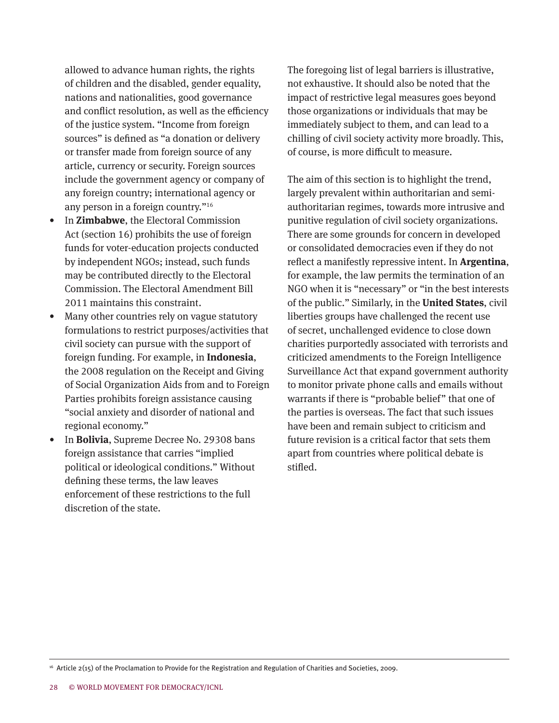allowed to advance human rights, the rights of children and the disabled, gender equality, nations and nationalities, good governance and conflict resolution, as well as the efficiency of the justice system. "Income from foreign sources" is defined as "a donation or delivery or transfer made from foreign source of any article, currency or security. Foreign sources include the government agency or company of any foreign country; international agency or any person in a foreign country."<sup>16</sup>

- In **Zimbabwe**, the Electoral Commission Act (section 16) prohibits the use of foreign funds for voter-education projects conducted by independent NGOs; instead, such funds may be contributed directly to the Electoral Commission. The Electoral Amendment Bill 2011 maintains this constraint.
- Many other countries rely on vague statutory formulations to restrict purposes/activities that civil society can pursue with the support of foreign funding. For example, in **Indonesia**, the 2008 regulation on the Receipt and Giving of Social Organization Aids from and to Foreign Parties prohibits foreign assistance causing "social anxiety and disorder of national and regional economy."
- In **Bolivia**, Supreme Decree No. 29308 bans foreign assistance that carries "implied political or ideological conditions." Without defining these terms, the law leaves enforcement of these restrictions to the full discretion of the state.

The foregoing list of legal barriers is illustrative, not exhaustive. It should also be noted that the impact of restrictive legal measures goes beyond those organizations or individuals that may be immediately subject to them, and can lead to a chilling of civil society activity more broadly. This, of course, is more difficult to measure.

The aim of this section is to highlight the trend, largely prevalent within authoritarian and semiauthoritarian regimes, towards more intrusive and punitive regulation of civil society organizations. There are some grounds for concern in developed or consolidated democracies even if they do not reflect a manifestly repressive intent. In **Argentina**, for example, the law permits the termination of an NGO when it is "necessary" or "in the best interests of the public." Similarly, in the **United States**, civil liberties groups have challenged the recent use of secret, unchallenged evidence to close down charities purportedly associated with terrorists and criticized amendments to the Foreign Intelligence Surveillance Act that expand government authority to monitor private phone calls and emails without warrants if there is "probable belief" that one of the parties is overseas. The fact that such issues have been and remain subject to criticism and future revision is a critical factor that sets them apart from countries where political debate is stifled.

<sup>16</sup> Article 2(15) of the Proclamation to Provide for the Registration and Regulation of Charities and Societies, 2009.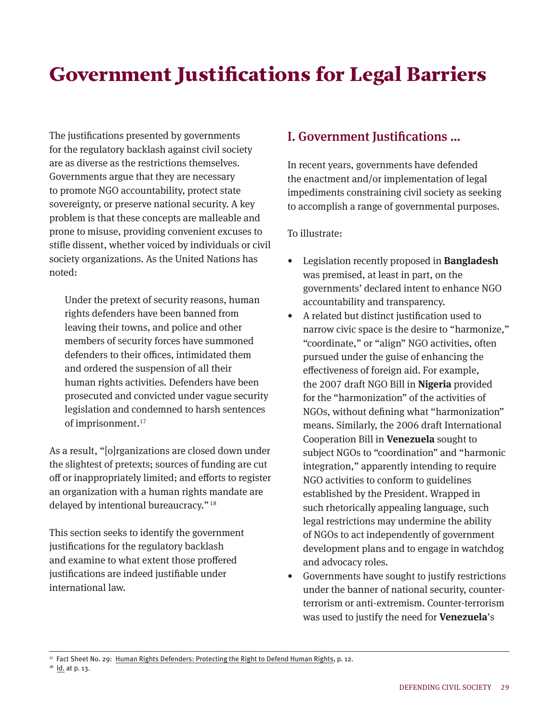# Government Justifications for Legal Barriers

The justifications presented by governments for the regulatory backlash against civil society are as diverse as the restrictions themselves. Governments argue that they are necessary to promote NGO accountability, protect state sovereignty, or preserve national security. A key problem is that these concepts are malleable and prone to misuse, providing convenient excuses to stifle dissent, whether voiced by individuals or civil society organizations. As the United Nations has noted:

Under the pretext of security reasons, human rights defenders have been banned from leaving their towns, and police and other members of security forces have summoned defenders to their offices, intimidated them and ordered the suspension of all their human rights activities. Defenders have been prosecuted and convicted under vague security legislation and condemned to harsh sentences of imprisonment.17

As a result, "[o]rganizations are closed down under the slightest of pretexts; sources of funding are cut off or inappropriately limited; and efforts to register an organization with a human rights mandate are delayed by intentional bureaucracy." <sup>18</sup>

This section seeks to identify the government justifications for the regulatory backlash and examine to what extent those proffered justifications are indeed justifiable under international law.

# I. Government Justifications …

In recent years, governments have defended the enactment and/or implementation of legal impediments constraining civil society as seeking to accomplish a range of governmental purposes.

To illustrate:

- Legislation recently proposed in **Bangladesh** was premised, at least in part, on the governments' declared intent to enhance NGO accountability and transparency.
- A related but distinct justification used to narrow civic space is the desire to "harmonize," "coordinate," or "align" NGO activities, often pursued under the guise of enhancing the effectiveness of foreign aid. For example, the 2007 draft NGO Bill in **Nigeria** provided for the "harmonization" of the activities of NGOs, without defining what "harmonization" means. Similarly, the 2006 draft International Cooperation Bill in **Venezuela** sought to subject NGOs to "coordination" and "harmonic integration," apparently intending to require NGO activities to conform to guidelines established by the President. Wrapped in such rhetorically appealing language, such legal restrictions may undermine the ability of NGOs to act independently of government development plans and to engage in watchdog and advocacy roles.
- Governments have sought to justify restrictions under the banner of national security, counterterrorism or anti-extremism. Counter-terrorism was used to justify the need for **Venezuela**'s

17 Fact Sheet No. 29: Human Rights Defenders: Protecting the Right to Defend Human Rights, p. 12.

<sup>&</sup>lt;sup>18</sup> Id. at p. 13.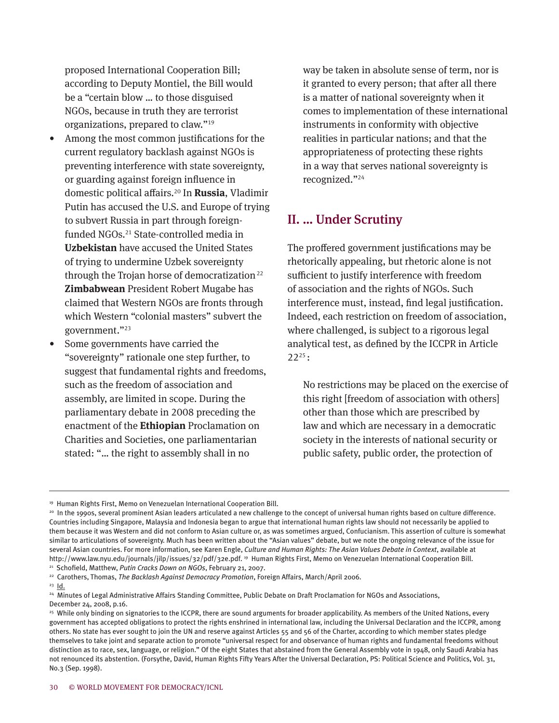proposed International Cooperation Bill; according to Deputy Montiel, the Bill would be a "certain blow … to those disguised NGOs, because in truth they are terrorist organizations, prepared to claw."<sup>19</sup>

- Among the most common justifications for the current regulatory backlash against NGOs is preventing interference with state sovereignty, or guarding against foreign influence in domestic political affairs.20 In **Russia**, Vladimir Putin has accused the U.S. and Europe of trying to subvert Russia in part through foreignfunded NGOs.<sup>21</sup> State-controlled media in **Uzbekistan** have accused the United States of trying to undermine Uzbek sovereignty through the Trojan horse of democratization<sup>22</sup> **Zimbabwean** President Robert Mugabe has claimed that Western NGOs are fronts through which Western "colonial masters" subvert the government."<sup>23</sup>
- Some governments have carried the "sovereignty" rationale one step further, to suggest that fundamental rights and freedoms, such as the freedom of association and assembly, are limited in scope. During the parliamentary debate in 2008 preceding the enactment of the **Ethiopian** Proclamation on Charities and Societies, one parliamentarian stated: "… the right to assembly shall in no

way be taken in absolute sense of term, nor is it granted to every person; that after all there is a matter of national sovereignty when it comes to implementation of these international instruments in conformity with objective realities in particular nations; and that the appropriateness of protecting these rights in a way that serves national sovereignty is recognized."<sup>24</sup>

# II. … Under Scrutiny

The proffered government justifications may be rhetorically appealing, but rhetoric alone is not sufficient to justify interference with freedom of association and the rights of NGOs. Such interference must, instead, find legal justification. Indeed, each restriction on freedom of association, where challenged, is subject to a rigorous legal analytical test, as defined by the ICCPR in Article  $22^{25}$ :

No restrictions may be placed on the exercise of this right [freedom of association with others] other than those which are prescribed by law and which are necessary in a democratic society in the interests of national security or public safety, public order, the protection of

23 Id.

<sup>19</sup> Human Rights First, Memo on Venezuelan International Cooperation Bill.

<sup>20</sup> In the 1990s, several prominent Asian leaders articulated a new challenge to the concept of universal human rights based on culture difference. Countries including Singapore, Malaysia and Indonesia began to argue that international human rights law should not necessarily be applied to them because it was Western and did not conform to Asian culture or, as was sometimes argued, Confucianism. This assertion of culture is somewhat similar to articulations of sovereignty. Much has been written about the "Asian values" debate, but we note the ongoing relevance of the issue for several Asian countries. For more information, see Karen Engle, *Culture and Human Rights: The Asian Values Debate in Context*, available at http://www.law.nyu.edu/journals/jilp/issues/32/pdf/32e.pdf. 19 Human Rights First, Memo on Venezuelan International Cooperation Bill. 21 Schofield, Matthew, *Putin Cracks Down on NGOs*, February 21, 2007.

<sup>22</sup> Carothers, Thomas, *The Backlash Against Democracy Promotion*, Foreign Affairs, March/April 2006.

<sup>24</sup> Minutes of Legal Administrative Affairs Standing Committee, Public Debate on Draft Proclamation for NGOs and Associations, December 24, 2008, p.16.

<sup>&</sup>lt;sup>25</sup> While only binding on signatories to the ICCPR, there are sound arguments for broader applicability. As members of the United Nations, every government has accepted obligations to protect the rights enshrined in international law, including the Universal Declaration and the ICCPR, among others. No state has ever sought to join the UN and reserve against Articles 55 and 56 of the Charter, according to which member states pledge themselves to take joint and separate action to promote "universal respect for and observance of human rights and fundamental freedoms without distinction as to race, sex, language, or religion." Of the eight States that abstained from the General Assembly vote in 1948, only Saudi Arabia has not renounced its abstention. (Forsythe, David, Human Rights Fifty Years After the Universal Declaration, PS: Political Science and Politics, Vol. 31, No.3 (Sep. 1998).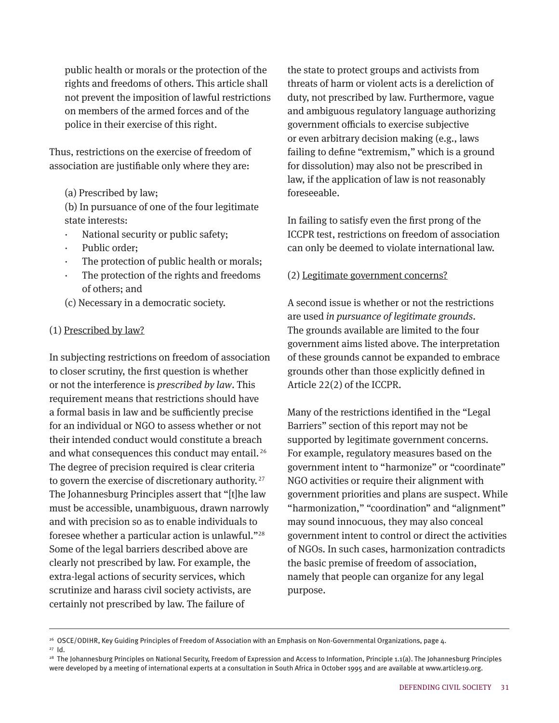public health or morals or the protection of the rights and freedoms of others. This article shall not prevent the imposition of lawful restrictions on members of the armed forces and of the police in their exercise of this right.

Thus, restrictions on the exercise of freedom of association are justifiable only where they are:

(a) Prescribed by law;

(b) In pursuance of one of the four legitimate state interests:

- National security or public safety;
- · Public order;
- The protection of public health or morals;
- The protection of the rights and freedoms of others; and
- (c) Necessary in a democratic society.

#### (1) Prescribed by law?

In subjecting restrictions on freedom of association to closer scrutiny, the first question is whether or not the interference is *prescribed by law*. This requirement means that restrictions should have a formal basis in law and be sufficiently precise for an individual or NGO to assess whether or not their intended conduct would constitute a breach and what consequences this conduct may entail. <sup>26</sup> The degree of precision required is clear criteria to govern the exercise of discretionary authority. <sup>27</sup> The Johannesburg Principles assert that "[t]he law must be accessible, unambiguous, drawn narrowly and with precision so as to enable individuals to foresee whether a particular action is unlawful."<sup>28</sup> Some of the legal barriers described above are clearly not prescribed by law. For example, the extra-legal actions of security services, which scrutinize and harass civil society activists, are certainly not prescribed by law. The failure of

the state to protect groups and activists from threats of harm or violent acts is a dereliction of duty, not prescribed by law. Furthermore, vague and ambiguous regulatory language authorizing government officials to exercise subjective or even arbitrary decision making (e.g., laws failing to define "extremism," which is a ground for dissolution) may also not be prescribed in law, if the application of law is not reasonably foreseeable.

In failing to satisfy even the first prong of the ICCPR test, restrictions on freedom of association can only be deemed to violate international law.

#### (2) Legitimate government concerns?

A second issue is whether or not the restrictions are used *in pursuance of legitimate grounds*. The grounds available are limited to the four government aims listed above. The interpretation of these grounds cannot be expanded to embrace grounds other than those explicitly defined in Article 22(2) of the ICCPR.

Many of the restrictions identified in the "Legal Barriers" section of this report may not be supported by legitimate government concerns. For example, regulatory measures based on the government intent to "harmonize" or "coordinate" NGO activities or require their alignment with government priorities and plans are suspect. While "harmonization," "coordination" and "alignment" may sound innocuous, they may also conceal government intent to control or direct the activities of NGOs. In such cases, harmonization contradicts the basic premise of freedom of association, namely that people can organize for any legal purpose.

27 Id.

<sup>&</sup>lt;sup>26</sup> OSCE/ODIHR, Key Guiding Principles of Freedom of Association with an Emphasis on Non-Governmental Organizations, page 4.

<sup>&</sup>lt;sup>28</sup> The Johannesburg Principles on National Security, Freedom of Expression and Access to Information, Principle 1.1(a). The Johannesburg Principles were developed by a meeting of international experts at a consultation in South Africa in October 1995 and are available at www.article19.org.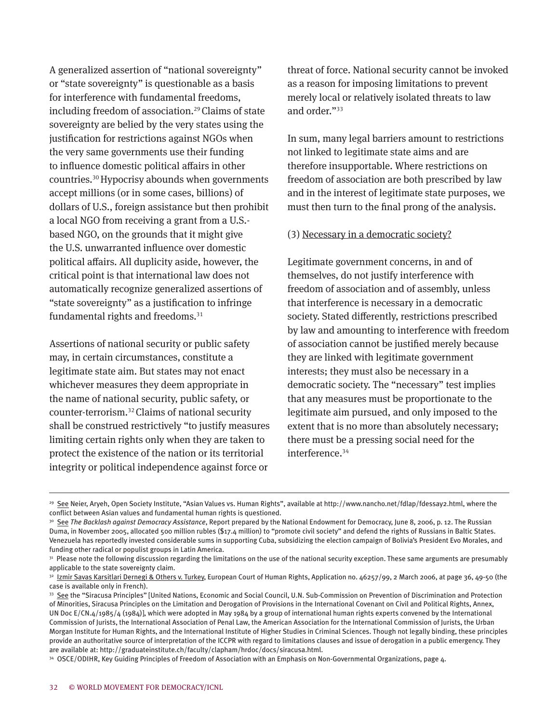A generalized assertion of "national sovereignty" or "state sovereignty" is questionable as a basis for interference with fundamental freedoms, including freedom of association.<sup>29</sup> Claims of state sovereignty are belied by the very states using the justification for restrictions against NGOs when the very same governments use their funding to influence domestic political affairs in other countries. <sup>30</sup>Hypocrisy abounds when governments accept millions (or in some cases, billions) of dollars of U.S., foreign assistance but then prohibit a local NGO from receiving a grant from a U.S. based NGO, on the grounds that it might give the U.S. unwarranted influence over domestic political affairs. All duplicity aside, however, the critical point is that international law does not automatically recognize generalized assertions of "state sovereignty" as a justification to infringe fundamental rights and freedoms.<sup>31</sup>

Assertions of national security or public safety may, in certain circumstances, constitute a legitimate state aim. But states may not enact whichever measures they deem appropriate in the name of national security, public safety, or counter-terrorism. <sup>32</sup>Claims of national security shall be construed restrictively "to justify measures limiting certain rights only when they are taken to protect the existence of the nation or its territorial integrity or political independence against force or

threat of force. National security cannot be invoked as a reason for imposing limitations to prevent merely local or relatively isolated threats to law and order."<sup>33</sup>

In sum, many legal barriers amount to restrictions not linked to legitimate state aims and are therefore insupportable. Where restrictions on freedom of association are both prescribed by law and in the interest of legitimate state purposes, we must then turn to the final prong of the analysis.

#### (3) Necessary in a democratic society?

Legitimate government concerns, in and of themselves, do not justify interference with freedom of association and of assembly, unless that interference is necessary in a democratic society. Stated differently, restrictions prescribed by law and amounting to interference with freedom of association cannot be justified merely because they are linked with legitimate government interests; they must also be necessary in a democratic society. The "necessary" test implies that any measures must be proportionate to the legitimate aim pursued, and only imposed to the extent that is no more than absolutely necessary; there must be a pressing social need for the interference.<sup>34</sup>

<sup>29</sup> See Neier, Aryeh, Open Society Institute, "Asian Values vs. Human Rights", available at http://www.nancho.net/fdlap/fdessay2.html, where the conflict between Asian values and fundamental human rights is questioned.

<sup>&</sup>lt;sup>30</sup> See The Backlash against Democracy Assistance, Report prepared by the National Endowment for Democracy, June 8, 2006, p. 12. The Russian Duma, in November 2005, allocated 500 million rubles (\$17.4 million) to "promote civil society" and defend the rights of Russians in Baltic States. Venezuela has reportedly invested considerable sums in supporting Cuba, subsidizing the election campaign of Bolivia's President Evo Morales, and funding other radical or populist groups in Latin America.

<sup>&</sup>lt;sup>31</sup> Please note the following discussion regarding the limitations on the use of the national security exception. These same arguments are presumably applicable to the state sovereignty claim.

<sup>32</sup> Izmir Savas Karsitlari Dernegi & Others v. Turkey, European Court of Human Rights, Application no. 46257/99, 2 March 2006, at page 36, 49-50 (the case is available only in French).

<sup>33</sup> See the "Siracusa Principles" [United Nations, Economic and Social Council, U.N. Sub-Commission on Prevention of Discrimination and Protection of Minorities, Siracusa Principles on the Limitation and Derogation of Provisions in the International Covenant on Civil and Political Rights, Annex, UN Doc E/CN.4/1985/4 (1984)], which were adopted in May 1984 by a group of international human rights experts convened by the International Commission of Jurists, the International Association of Penal Law, the American Association for the International Commission of Jurists, the Urban Morgan Institute for Human Rights, and the International Institute of Higher Studies in Criminal Sciences. Though not legally binding, these principles provide an authoritative source of interpretation of the ICCPR with regard to limitations clauses and issue of derogation in a public emergency. They are available at: http://graduateinstitute.ch/faculty/clapham/hrdoc/docs/siracusa.html.

<sup>34</sup> OSCE/ODIHR, Key Guiding Principles of Freedom of Association with an Emphasis on Non-Governmental Organizations, page 4.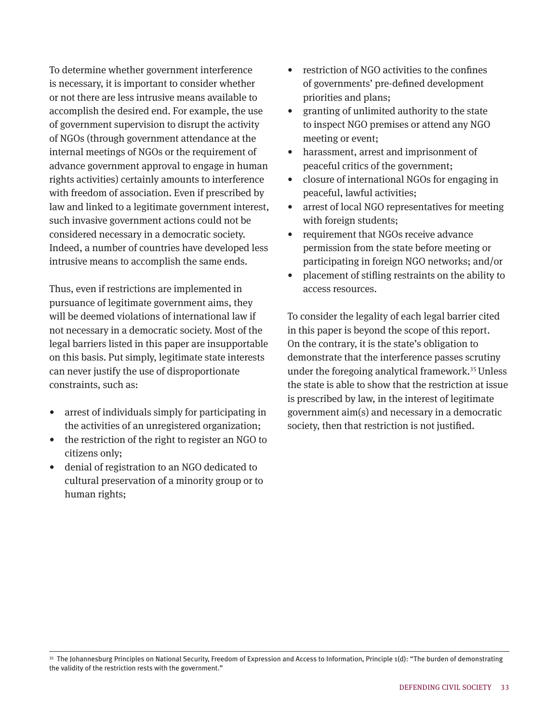To determine whether government interference is necessary, it is important to consider whether or not there are less intrusive means available to accomplish the desired end. For example, the use of government supervision to disrupt the activity of NGOs (through government attendance at the internal meetings of NGOs or the requirement of advance government approval to engage in human rights activities) certainly amounts to interference with freedom of association. Even if prescribed by law and linked to a legitimate government interest, such invasive government actions could not be considered necessary in a democratic society. Indeed, a number of countries have developed less intrusive means to accomplish the same ends.

Thus, even if restrictions are implemented in pursuance of legitimate government aims, they will be deemed violations of international law if not necessary in a democratic society. Most of the legal barriers listed in this paper are insupportable on this basis. Put simply, legitimate state interests can never justify the use of disproportionate constraints, such as:

- arrest of individuals simply for participating in the activities of an unregistered organization;
- the restriction of the right to register an NGO to citizens only;
- denial of registration to an NGO dedicated to cultural preservation of a minority group or to human rights;
- restriction of NGO activities to the confines of governments' pre-defined development priorities and plans;
- granting of unlimited authority to the state to inspect NGO premises or attend any NGO meeting or event;
- harassment, arrest and imprisonment of peaceful critics of the government;
- closure of international NGOs for engaging in peaceful, lawful activities;
- arrest of local NGO representatives for meeting with foreign students;
- requirement that NGOs receive advance permission from the state before meeting or participating in foreign NGO networks; and/or
- placement of stifling restraints on the ability to access resources.

To consider the legality of each legal barrier cited in this paper is beyond the scope of this report. On the contrary, it is the state's obligation to demonstrate that the interference passes scrutiny under the foregoing analytical framework.<sup>35</sup> Unless the state is able to show that the restriction at issue is prescribed by law, in the interest of legitimate government aim(s) and necessary in a democratic society, then that restriction is not justified.

<sup>35</sup> The Johannesburg Principles on National Security, Freedom of Expression and Access to Information, Principle 1(d): "The burden of demonstrating the validity of the restriction rests with the government."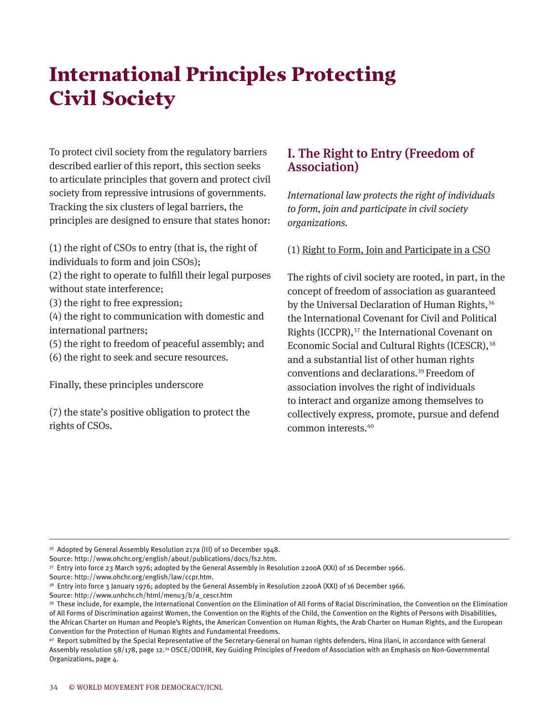# International Principles Protecting Civil Society

To protect civil society from the regulatory barriers described earlier of this report, this section seeks to articulate principles that govern and protect civil society from repressive intrusions of governments. Tracking the six clusters of legal barriers, the principles are designed to ensure that states honor:

(1) the right of CSOs to entry (that is, the right of individuals to form and join CSOs);

- (2) the right to operate to fulfill their legal purposes without state interference;
- (3) the right to free expression;

(4) the right to communication with domestic and international partners;

- (5) the right to freedom of peaceful assembly; and
- (6) the right to seek and secure resources.

Finally, these principles underscore

(7) the state's positive obligation to protect the rights of CSOs.

## I. The Right to Entry (Freedom of Association)

*International law protects the right of individuals to form, join and participate in civil society organizations.* 

(1) Right to Form, Join and Participate in a CSO

The rights of civil society are rooted, in part, in the concept of freedom of association as guaranteed by the Universal Declaration of Human Rights,<sup>36</sup> the International Covenant for Civil and Political Rights (ICCPR),<sup>37</sup> the International Covenant on Economic Social and Cultural Rights (ICESCR),<sup>38</sup> and a substantial list of other human rights conventions and declarations. <sup>39</sup>Freedom of association involves the right of individuals to interact and organize among themselves to collectively express, promote, pursue and defend common interests. 40

Source: http://www.ohchr.org/english/law/ccpr.htm.

<sup>&</sup>lt;sup>36</sup> Adopted by General Assembly Resolution 217a (III) of 10 December 1948.

Source: http://www.ohchr.org/english/about/publications/docs/fs2.htm.

<sup>37</sup> Entry into force 23 March 1976; adopted by the General Assembly in Resolution 2200A (XXI) of 16 December 1966.

<sup>&</sup>lt;sup>38</sup> Entry into force 3 January 1976; adopted by the General Assembly in Resolution 2200A (XXI) of 16 December 1966.

Source: http://www.unhchr.ch/html/menu3/b/a\_cescr.htm

<sup>39</sup> These include, for example, the International Convention on the Elimination of All Forms of Racial Discrimination, the Convention on the Elimination of All Forms of Discrimination against Women, the Convention on the Rights of the Child, the Convention on the Rights of Persons with Disabilities, the African Charter on Human and People's Rights, the American Convention on Human Rights, the Arab Charter on Human Rights, and the European Convention for the Protection of Human Rights and Fundamental Freedoms.

<sup>40</sup> Report submitted by the Special Representative of the Secretary-General on human rights defenders, Hina Jilani, in accordance with General Assembly resolution 58/178, page 12.34 OSCE/ODIHR, Key Guiding Principles of Freedom of Association with an Emphasis on Non-Governmental Organizations, page 4.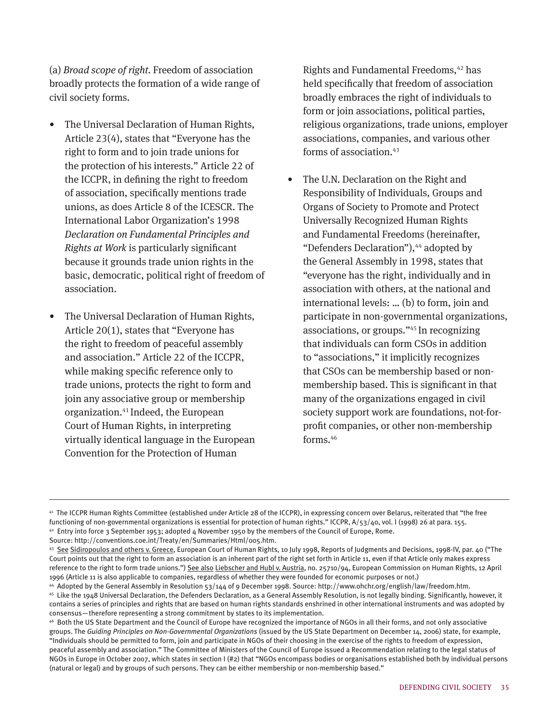(a) *Broad scope of right.* Freedom of association broadly protects the formation of a wide range of civil society forms.

- The Universal Declaration of Human Rights, Article 23(4), states that "Everyone has the right to form and to join trade unions for the protection of his interests." Article 22 of the ICCPR, in defining the right to freedom of association, specifically mentions trade unions, as does Article 8 of the ICESCR. The International Labor Organization's 1998 *Declaration on Fundamental Principles and Rights at Work* is particularly significant because it grounds trade union rights in the basic, democratic, political right of freedom of association.
- The Universal Declaration of Human Rights, Article 20(1), states that "Everyone has the right to freedom of peaceful assembly and association." Article 22 of the ICCPR, while making specific reference only to trade unions, protects the right to form and join any associative group or membership organization. 41 Indeed, the European Court of Human Rights, in interpreting virtually identical language in the European Convention for the Protection of Human

Rights and Fundamental Freedoms,<sup>42</sup> has held specifically that freedom of association broadly embraces the right of individuals to form or join associations, political parties, religious organizations, trade unions, employer associations, companies, and various other forms of association.<sup>43</sup>

The U.N. Declaration on the Right and Responsibility of Individuals, Groups and Organs of Society to Promote and Protect Universally Recognized Human Rights and Fundamental Freedoms (hereinafter, "Defenders Declaration"),<sup>44</sup> adopted by the General Assembly in 1998, states that "everyone has the right, individually and in association with others, at the national and international levels: … (b) to form, join and participate in non-governmental organizations, associations, or groups."45 In recognizing that individuals can form CSOs in addition to "associations," it implicitly recognizes that CSOs can be membership based or nonmembership based. This is significant in that many of the organizations engaged in civil society support work are foundations, not-forprofit companies, or other non-membership forms.<sup>46</sup>

<sup>41</sup> The ICCPR Human Rights Committee (established under Article 28 of the ICCPR), in expressing concern over Belarus, reiterated that "the free functioning of non-governmental organizations is essential for protection of human rights." ICCPR, A/53/40, vol. I (1998) 26 at para. 155. 42 Entry into force 3 September 1953; adopted 4 November 1950 by the members of the Council of Europe, Rome.

Source: http://conventions.coe.int/Treaty/en/Summaries/Html/005.htm.

<sup>43</sup> See Sidiropoulos and others v. Greece, European Court of Human Rights, 10 July 1998, Reports of Judgments and Decisions, 1998-IV, par. 40 ("The Court points out that the right to form an association is an inherent part of the right set forth in Article 11, even if that Article only makes express reference to the right to form trade unions.") See also Liebscher and Hubl v. Austria, no. 25710/94, European Commission on Human Rights, 12 April 1996 (Article 11 is also applicable to companies, regardless of whether they were founded for economic purposes or not.)

<sup>44</sup> Adopted by the General Assembly in Resolution 53/144 of 9 December 1998. Source: http://www.ohchr.org/english/law/freedom.htm. 45 Like the 1948 Universal Declaration, the Defenders Declaration, as a General Assembly Resolution, is not legally binding. Significantly, however, it contains a series of principles and rights that are based on human rights standards enshrined in other international instruments and was adopted by consensus—therefore representing a strong commitment by states to its implementation.

<sup>46</sup> Both the US State Department and the Council of Europe have recognized the importance of NGOs in all their forms, and not only associative groups. The *Guiding Principles on Non-Governmental Organizations* (issued by the US State Department on December 14, 2006) state, for example, "Individuals should be permitted to form, join and participate in NGOs of their choosing in the exercise of the rights to freedom of expression, peaceful assembly and association." The Committee of Ministers of the Council of Europe issued a Recommendation relating to the legal status of NGOs in Europe in October 2007, which states in section I (#2) that "NGOs encompass bodies or organisations established both by individual persons (natural or legal) and by groups of such persons. They can be either membership or non-membership based."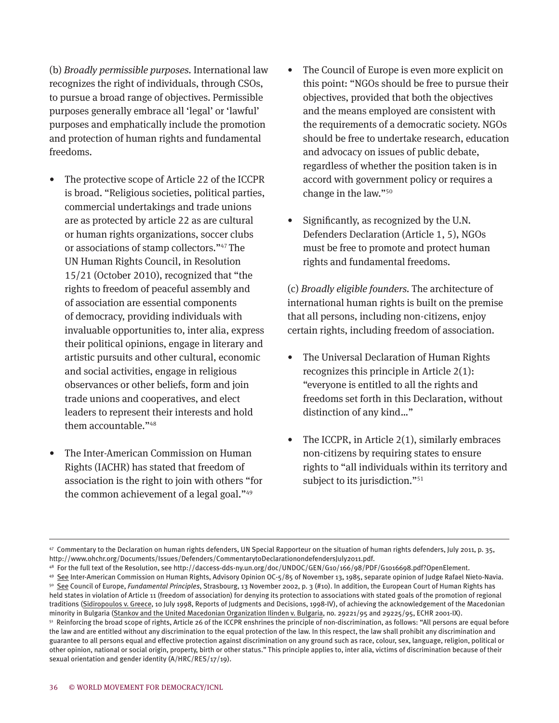(b) *Broadly permissible purposes.* International law recognizes the right of individuals, through CSOs, to pursue a broad range of objectives. Permissible purposes generally embrace all 'legal' or 'lawful' purposes and emphatically include the promotion and protection of human rights and fundamental freedoms.

- The protective scope of Article 22 of the ICCPR is broad. "Religious societies, political parties, commercial undertakings and trade unions are as protected by article 22 as are cultural or human rights organizations, soccer clubs or associations of stamp collectors."47 The UN Human Rights Council, in Resolution 15/21 (October 2010), recognized that "the rights to freedom of peaceful assembly and of association are essential components of democracy, providing individuals with invaluable opportunities to, inter alia, express their political opinions, engage in literary and artistic pursuits and other cultural, economic and social activities, engage in religious observances or other beliefs, form and join trade unions and cooperatives, and elect leaders to represent their interests and hold them accountable."<sup>48</sup>
- The Inter-American Commission on Human Rights (IACHR) has stated that freedom of association is the right to join with others "for the common achievement of a legal goal."<sup>49</sup>
- The Council of Europe is even more explicit on this point: "NGOs should be free to pursue their objectives, provided that both the objectives and the means employed are consistent with the requirements of a democratic society. NGOs should be free to undertake research, education and advocacy on issues of public debate, regardless of whether the position taken is in accord with government policy or requires a change in the law."50
- Significantly, as recognized by the U.N. Defenders Declaration (Article 1, 5), NGOs must be free to promote and protect human rights and fundamental freedoms.

(c) *Broadly eligible founders.* The architecture of international human rights is built on the premise that all persons, including non-citizens, enjoy certain rights, including freedom of association.

- The Universal Declaration of Human Rights recognizes this principle in Article 2(1): "everyone is entitled to all the rights and freedoms set forth in this Declaration, without distinction of any kind…"
- The ICCPR, in Article  $2(1)$ , similarly embraces non-citizens by requiring states to ensure rights to "all individuals within its territory and subject to its jurisdiction."<sup>51</sup>

<sup>47</sup> Commentary to the Declaration on human rights defenders, UN Special Rapporteur on the situation of human rights defenders, July 2011, p. 35, http://www.ohchr.org/Documents/Issues/Defenders/CommentarytoDeclarationondefendersJuly2011.pdf.

<sup>48</sup> For the full text of the Resolution, see http://daccess-dds-ny.un.org/doc/UNDOC/GEN/G10/166/98/PDF/G1016698.pdf?OpenElement.

<sup>&</sup>lt;sup>49</sup> See Inter-American Commission on Human Rights, Advisory Opinion OC-5/85 of November 13, 1985, separate opinion of Judge Rafael Nieto-Navia.<br><sup>50</sup> See Council of Europe, *Fundamental Principles*, Strasbourg, 13 November held states in violation of Article 11 (freedom of association) for denying its protection to associations with stated goals of the promotion of regional traditions (Sidiropoulos v. Greece, 10 July 1998, Reports of Judgments and Decisions, 1998-IV), of achieving the acknowledgement of the Macedonian minority in Bulgaria (Stankov and the United Macedonian Organization Ilinden v. Bulgaria, no. 29221/95 and 29225/95, ECHR 2001-IX).<br><sup>51</sup> Reinforcing the broad scope of rights, Article 26 of the ICCPR enshrines the principl

the law and are entitled without any discrimination to the equal protection of the law. In this respect, the law shall prohibit any discrimination and guarantee to all persons equal and effective protection against discrimination on any ground such as race, colour, sex, language, religion, political or other opinion, national or social origin, property, birth or other status." This principle applies to, inter alia, victims of discrimination because of their sexual orientation and gender identity (A/HRC/RES/17/19).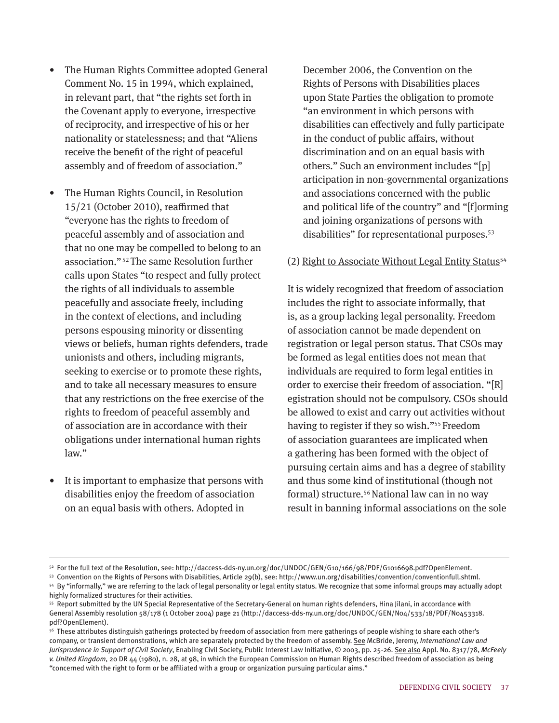- The Human Rights Committee adopted General Comment No. 15 in 1994, which explained, in relevant part, that "the rights set forth in the Covenant apply to everyone, irrespective of reciprocity, and irrespective of his or her nationality or statelessness; and that "Aliens receive the benefit of the right of peaceful assembly and of freedom of association."
- The Human Rights Council, in Resolution 15/21 (October 2010), reaffirmed that "everyone has the rights to freedom of peaceful assembly and of association and that no one may be compelled to belong to an association." <sup>52</sup>The same Resolution further calls upon States "to respect and fully protect the rights of all individuals to assemble peacefully and associate freely, including in the context of elections, and including persons espousing minority or dissenting views or beliefs, human rights defenders, trade unionists and others, including migrants, seeking to exercise or to promote these rights, and to take all necessary measures to ensure that any restrictions on the free exercise of the rights to freedom of peaceful assembly and of association are in accordance with their obligations under international human rights law."
- It is important to emphasize that persons with disabilities enjoy the freedom of association on an equal basis with others. Adopted in

December 2006, the Convention on the Rights of Persons with Disabilities places upon State Parties the obligation to promote "an environment in which persons with disabilities can effectively and fully participate in the conduct of public affairs, without discrimination and on an equal basis with others." Such an environment includes "[p] articipation in non-governmental organizations and associations concerned with the public and political life of the country" and "[f]orming and joining organizations of persons with disabilities" for representational purposes.<sup>53</sup>

#### (2) Right to Associate Without Legal Entity Status<sup>54</sup>

It is widely recognized that freedom of association includes the right to associate informally, that is, as a group lacking legal personality. Freedom of association cannot be made dependent on registration or legal person status. That CSOs may be formed as legal entities does not mean that individuals are required to form legal entities in order to exercise their freedom of association. "[R] egistration should not be compulsory. CSOs should be allowed to exist and carry out activities without having to register if they so wish."55 Freedom of association guarantees are implicated when a gathering has been formed with the object of pursuing certain aims and has a degree of stability and thus some kind of institutional (though not formal) structure.56 National law can in no way result in banning informal associations on the sole

<sup>52</sup> For the full text of the Resolution, see: http://daccess-dds-ny.un.org/doc/UNDOC/GEN/G10/166/98/PDF/G1016698.pdf?OpenElement.

<sup>53</sup> Convention on the Rights of Persons with Disabilities, Article 29(b), see: http://www.un.org/disabilities/convention/conventionfull.shtml.

<sup>54</sup> By "informally," we are referring to the lack of legal personality or legal entity status. We recognize that some informal groups may actually adopt highly formalized structures for their activities.

<sup>55</sup> Report submitted by the UN Special Representative of the Secretary-General on human rights defenders, Hina Jilani, in accordance with General Assembly resolution 58/178 (1 October 2004) page 21 (http://daccess-dds-ny.un.org/doc/UNDOC/GEN/N04/533/18/PDF/N0453318. pdf?OpenElement).

<sup>&</sup>lt;sup>56</sup> These attributes distinguish gatherings protected by freedom of association from mere gatherings of people wishing to share each other's company, or transient demonstrations, which are separately protected by the freedom of assembly. See McBride, Jeremy, *International Law and Jurisprudence in Support of Civil Society*, Enabling Civil Society, Public Interest Law Initiative, © 2003, pp. 25-26. See also Appl. No. 8317/78, *McFeely v. United Kingdom*, 20 DR 44 (1980), n. 28, at 98, in which the European Commission on Human Rights described freedom of association as being "concerned with the right to form or be affiliated with a group or organization pursuing particular aims."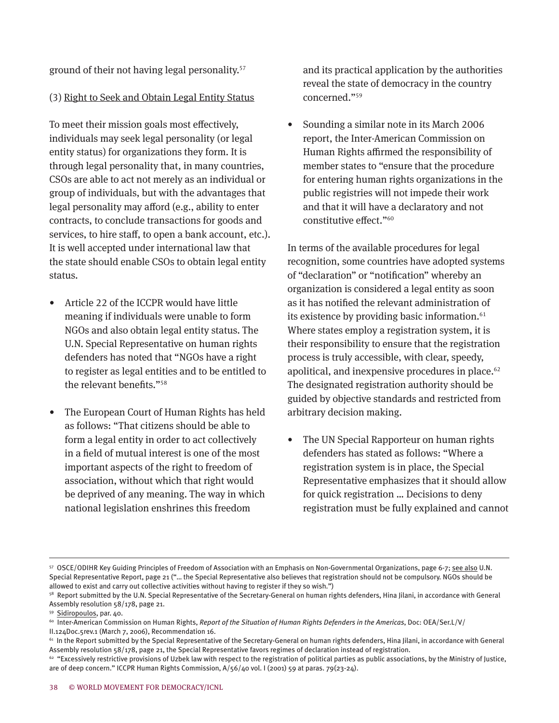ground of their not having legal personality.57

#### (3) Right to Seek and Obtain Legal Entity Status

To meet their mission goals most effectively, individuals may seek legal personality (or legal entity status) for organizations they form. It is through legal personality that, in many countries, CSOs are able to act not merely as an individual or group of individuals, but with the advantages that legal personality may afford (e.g., ability to enter contracts, to conclude transactions for goods and services, to hire staff, to open a bank account, etc.). It is well accepted under international law that the state should enable CSOs to obtain legal entity status.

- Article 22 of the ICCPR would have little meaning if individuals were unable to form NGOs and also obtain legal entity status. The U.N. Special Representative on human rights defenders has noted that "NGOs have a right to register as legal entities and to be entitled to the relevant benefits."<sup>58</sup>
- The European Court of Human Rights has held as follows: "That citizens should be able to form a legal entity in order to act collectively in a field of mutual interest is one of the most important aspects of the right to freedom of association, without which that right would be deprived of any meaning. The way in which national legislation enshrines this freedom

and its practical application by the authorities reveal the state of democracy in the country concerned."<sup>59</sup>

• Sounding a similar note in its March 2006 report, the Inter-American Commission on Human Rights affirmed the responsibility of member states to "ensure that the procedure for entering human rights organizations in the public registries will not impede their work and that it will have a declaratory and not constitutive effect."60

In terms of the available procedures for legal recognition, some countries have adopted systems of "declaration" or "notification" whereby an organization is considered a legal entity as soon as it has notified the relevant administration of its existence by providing basic information.<sup>61</sup> Where states employ a registration system, it is their responsibility to ensure that the registration process is truly accessible, with clear, speedy, apolitical, and inexpensive procedures in place. 62 The designated registration authority should be guided by objective standards and restricted from arbitrary decision making.

• The UN Special Rapporteur on human rights defenders has stated as follows: "Where a registration system is in place, the Special Representative emphasizes that it should allow for quick registration … Decisions to deny registration must be fully explained and cannot

<sup>57</sup> OSCE/ODIHR Key Guiding Principles of Freedom of Association with an Emphasis on Non-Governmental Organizations, page 6-7; see also U.N. Special Representative Report, page 21 ("… the Special Representative also believes that registration should not be compulsory. NGOs should be allowed to exist and carry out collective activities without having to register if they so wish.")

<sup>&</sup>lt;sup>58</sup> Report submitted by the U.N. Special Representative of the Secretary-General on human rights defenders, Hina Jilani, in accordance with General Assembly resolution 58/178, page 21.

<sup>59 &</sup>lt;u>Sidiropoulos,</u> par. 40.<br><sup>60</sup> Inter-American Commission on Human Rights, *Report of the Situation of Human Rights Defenders in the Americas*, Doc: OEA/Ser.L/V/ II.124Doc.5rev.1 (March 7, 2006), Recommendation 16.

 $61$  In the Report submitted by the Special Representative of the Secretary-General on human rights defenders, Hina Jilani, in accordance with General Assembly resolution 58/178, page 21, the Special Representative favors regimes of declaration instead of registration.

<sup>&</sup>lt;sup>62</sup> "Excessively restrictive provisions of Uzbek law with respect to the registration of political parties as public associations, by the Ministry of Justice, are of deep concern." ICCPR Human Rights Commission, A/56/40 vol. I (2001) 59 at paras. 79(23-24).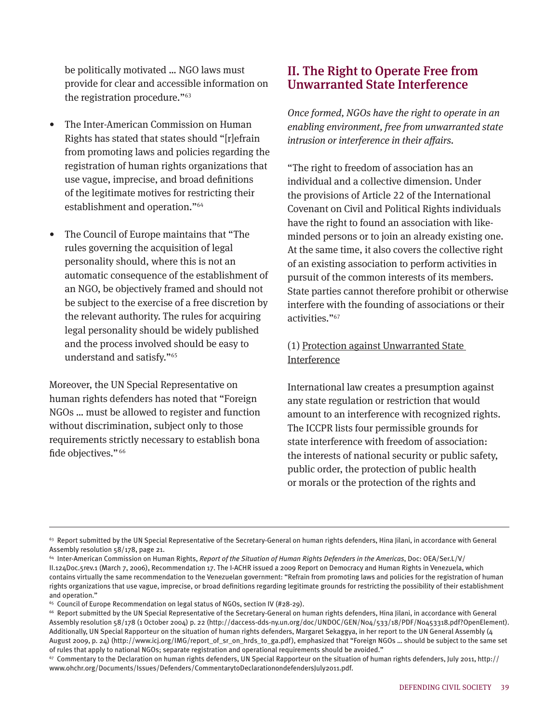be politically motivated … NGO laws must provide for clear and accessible information on the registration procedure."<sup>63</sup>

- The Inter-American Commission on Human Rights has stated that states should "[r]efrain from promoting laws and policies regarding the registration of human rights organizations that use vague, imprecise, and broad definitions of the legitimate motives for restricting their establishment and operation."<sup>64</sup>
- The Council of Europe maintains that "The rules governing the acquisition of legal personality should, where this is not an automatic consequence of the establishment of an NGO, be objectively framed and should not be subject to the exercise of a free discretion by the relevant authority. The rules for acquiring legal personality should be widely published and the process involved should be easy to understand and satisfy."<sup>65</sup>

Moreover, the UN Special Representative on human rights defenders has noted that "Foreign NGOs … must be allowed to register and function without discrimination, subject only to those requirements strictly necessary to establish bona fide objectives." <sup>66</sup>

## II. The Right to Operate Free from Unwarranted State Interference

*Once formed, NGOs have the right to operate in an enabling environment, free from unwarranted state intrusion or interference in their affairs.*

"The right to freedom of association has an individual and a collective dimension. Under the provisions of Article 22 of the International Covenant on Civil and Political Rights individuals have the right to found an association with likeminded persons or to join an already existing one. At the same time, it also covers the collective right of an existing association to perform activities in pursuit of the common interests of its members. State parties cannot therefore prohibit or otherwise interfere with the founding of associations or their activities."67

#### (1) Protection against Unwarranted State Interference

International law creates a presumption against any state regulation or restriction that would amount to an interference with recognized rights. The ICCPR lists four permissible grounds for state interference with freedom of association: the interests of national security or public safety, public order, the protection of public health or morals or the protection of the rights and

 $63$  Report submitted by the UN Special Representative of the Secretary-General on human rights defenders, Hina Jilani, in accordance with General Assembly resolution 58/178, page 21.

<sup>64</sup> Inter-American Commission on Human Rights, *Report of the Situation of Human Rights Defenders in the Americas*, Doc: OEA/Ser.L/V/ II.124Doc.5rev.1 (March 7, 2006), Recommendation 17. The I-ACHR issued a 2009 Report on Democracy and Human Rights in Venezuela, which contains virtually the same recommendation to the Venezuelan government: "Refrain from promoting laws and policies for the registration of human rights organizations that use vague, imprecise, or broad definitions regarding legitimate grounds for restricting the possibility of their establishment and operation."

<sup>&</sup>lt;sup>65</sup> Council of Europe Recommendation on legal status of NGOs, section IV (#28-29).

<sup>66</sup> Report submitted by the UN Special Representative of the Secretary-General on human rights defenders, Hina Jilani, in accordance with General Assembly resolution 58/178 (1 October 2004) p. 22 (http://daccess-dds-ny.un.org/doc/UNDOC/GEN/N04/533/18/PDF/N0453318.pdf?OpenElement). Additionally, UN Special Rapporteur on the situation of human rights defenders, Margaret Sekaggya, in her report to the UN General Assembly (4 August 2009, p. 24) (http://www.icj.org/IMG/report\_of\_sr\_on\_hrds\_to\_ga.pdf), emphasized that "Foreign NGOs … should be subject to the same set of rules that apply to national NGOs; separate registration and operational requirements should be avoided."

 $67$  Commentary to the Declaration on human rights defenders, UN Special Rapporteur on the situation of human rights defenders, July 2011, http:// www.ohchr.org/Documents/Issues/Defenders/CommentarytoDeclarationondefendersJuly2011.pdf.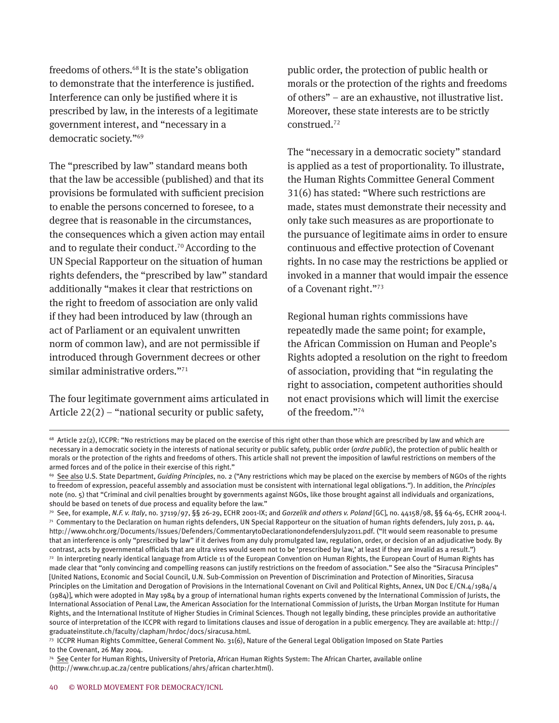freedoms of others.68 It is the state's obligation to demonstrate that the interference is justified. Interference can only be justified where it is prescribed by law, in the interests of a legitimate government interest, and "necessary in a democratic society."<sup>69</sup>

The "prescribed by law" standard means both that the law be accessible (published) and that its provisions be formulated with sufficient precision to enable the persons concerned to foresee, to a degree that is reasonable in the circumstances, the consequences which a given action may entail and to regulate their conduct. <sup>70</sup>According to the UN Special Rapporteur on the situation of human rights defenders, the "prescribed by law" standard additionally "makes it clear that restrictions on the right to freedom of association are only valid if they had been introduced by law (through an act of Parliament or an equivalent unwritten norm of common law), and are not permissible if introduced through Government decrees or other similar administrative orders."<sup>71</sup>

The four legitimate government aims articulated in Article  $22(2)$  – "national security or public safety,

public order, the protection of public health or morals or the protection of the rights and freedoms of others" – are an exhaustive, not illustrative list. Moreover, these state interests are to be strictly construed. 72

The "necessary in a democratic society" standard is applied as a test of proportionality. To illustrate, the Human Rights Committee General Comment 31(6) has stated: "Where such restrictions are made, states must demonstrate their necessity and only take such measures as are proportionate to the pursuance of legitimate aims in order to ensure continuous and effective protection of Covenant rights. In no case may the restrictions be applied or invoked in a manner that would impair the essence of a Covenant right."73

Regional human rights commissions have repeatedly made the same point; for example, the African Commission on Human and People's Rights adopted a resolution on the right to freedom of association, providing that "in regulating the right to association, competent authorities should not enact provisions which will limit the exercise of the freedom."74

<sup>&</sup>lt;sup>68</sup> Article 22(2), ICCPR: "No restrictions may be placed on the exercise of this right other than those which are prescribed by law and which are necessary in a democratic society in the interests of national security or public safety, public order (*ordre public*), the protection of public health or morals or the protection of the rights and freedoms of others. This article shall not prevent the imposition of lawful restrictions on members of the armed forces and of the police in their exercise of this right."

<sup>&</sup>lt;sup>69</sup> See also U.S. State Department, *Guiding Principles*, no. 2 ("Any restrictions which may be placed on the exercise by members of NGOs of the rights to freedom of expression, peaceful assembly and association must be consistent with international legal obligations."). In addition, the *Principles* note (no. 5) that "Criminal and civil penalties brought by governments against NGOs, like those brought against all individuals and organizations, should be based on tenets of due process and equality before the law."

<sup>70</sup> See, for example, *N.F. v. Italy*, no. 37119/97, §§ 26-29, ECHR 2001-IX; and *Gorzelik and others v. Poland* [GC], no. 44158/98, §§ 64-65, ECHR 2004-I.  $71$  Commentary to the Declaration on human rights defenders, UN Special Rapporteur on the situation of human rights defenders, July 2011, p. 44, http://www.ohchr.org/Documents/Issues/Defenders/CommentarytoDeclarationondefendersJuly2011.pdf. ("It would seem reasonable to presume that an interference is only "prescribed by law" if it derives from any duly promulgated law, regulation, order, or decision of an adjudicative body. By contrast, acts by governmental officials that are ultra vires would seem not to be 'prescribed by law,' at least if they are invalid as a result.")

 $72$  In interpreting nearly identical language from Article 11 of the European Convention on Human Rights, the European Court of Human Rights has made clear that "only convincing and compelling reasons can justify restrictions on the freedom of association." See also the "Siracusa Principles" [United Nations, Economic and Social Council, U.N. Sub-Commission on Prevention of Discrimination and Protection of Minorities, Siracusa Principles on the Limitation and Derogation of Provisions in the International Covenant on Civil and Political Rights, Annex, UN Doc E/CN.4/1984/4 (1984)], which were adopted in May 1984 by a group of international human rights experts convened by the International Commission of Jurists, the International Association of Penal Law, the American Association for the International Commission of Jurists, the Urban Morgan Institute for Human Rights, and the International Institute of Higher Studies in Criminal Sciences. Though not legally binding, these principles provide an authoritative source of interpretation of the ICCPR with regard to limitations clauses and issue of derogation in a public emergency. They are available at: http:// graduateinstitute.ch/faculty/clapham/hrdoc/docs/siracusa.html.

<sup>73</sup> ICCPR Human Rights Committee, General Comment No. 31(6), Nature of the General Legal Obligation Imposed on State Parties to the Covenant, 26 May 2004.

<sup>74</sup> See Center for Human Rights, University of Pretoria, African Human Rights System: The African Charter, available online (http://www.chr.up.ac.za/centre publications/ahrs/african charter.html).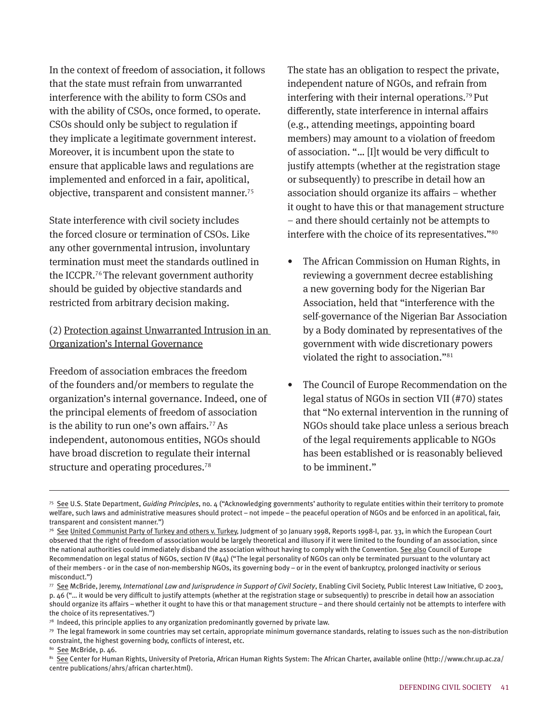In the context of freedom of association, it follows that the state must refrain from unwarranted interference with the ability to form CSOs and with the ability of CSOs, once formed, to operate. CSOs should only be subject to regulation if they implicate a legitimate government interest. Moreover, it is incumbent upon the state to ensure that applicable laws and regulations are implemented and enforced in a fair, apolitical, objective, transparent and consistent manner. 75

State interference with civil society includes the forced closure or termination of CSOs. Like any other governmental intrusion, involuntary termination must meet the standards outlined in the ICCPR. <sup>76</sup>The relevant government authority should be guided by objective standards and restricted from arbitrary decision making.

#### (2) Protection against Unwarranted Intrusion in an Organization's Internal Governance

Freedom of association embraces the freedom of the founders and/or members to regulate the organization's internal governance. Indeed, one of the principal elements of freedom of association is the ability to run one's own affairs.<sup>77</sup> As independent, autonomous entities, NGOs should have broad discretion to regulate their internal structure and operating procedures. 78

The state has an obligation to respect the private, independent nature of NGOs, and refrain from interfering with their internal operations.79 Put differently, state interference in internal affairs (e.g., attending meetings, appointing board members) may amount to a violation of freedom of association. "… [I]t would be very difficult to justify attempts (whether at the registration stage or subsequently) to prescribe in detail how an association should organize its affairs – whether it ought to have this or that management structure – and there should certainly not be attempts to interfere with the choice of its representatives."80

- The African Commission on Human Rights, in reviewing a government decree establishing a new governing body for the Nigerian Bar Association, held that "interference with the self-governance of the Nigerian Bar Association by a Body dominated by representatives of the government with wide discretionary powers violated the right to association."<sup>81</sup>
- The Council of Europe Recommendation on the legal status of NGOs in section VII (#70) states that "No external intervention in the running of NGOs should take place unless a serious breach of the legal requirements applicable to NGOs has been established or is reasonably believed to be imminent."

<sup>75</sup> See U.S. State Department, *Guiding Principles*, no. 4 ("Acknowledging governments' authority to regulate entities within their territory to promote welfare, such laws and administrative measures should protect – not impede – the peaceful operation of NGOs and be enforced in an apolitical, fair, transparent and consistent manner.")

<sup>&</sup>lt;sup>76</sup> See United Communist Party of Turkey and others v. Turkey, Judgment of 30 January 1998, Reports 1998-I, par. 33, in which the European Court observed that the right of freedom of association would be largely theoretical and illusory if it were limited to the founding of an association, since the national authorities could immediately disband the association without having to comply with the Convention. See also Council of Europe Recommendation on legal status of NGOs, section IV (#44) ("The legal personality of NGOs can only be terminated pursuant to the voluntary act of their members - or in the case of non-membership NGOs, its governing body – or in the event of bankruptcy, prolonged inactivity or serious misconduct.")

<sup>77</sup> See McBride, Jeremy, *International Law and Jurisprudence in Support of Civil Society*, Enabling Civil Society, Public Interest Law Initiative, © 2003, p. 46 ("… it would be very difficult to justify attempts (whether at the registration stage or subsequently) to prescribe in detail how an association should organize its affairs – whether it ought to have this or that management structure – and there should certainly not be attempts to interfere with the choice of its representatives.")

<sup>78</sup> Indeed, this principle applies to any organization predominantly governed by private law.

<sup>79</sup> The legal framework in some countries may set certain, appropriate minimum governance standards, relating to issues such as the non-distribution constraint, the highest governing body, conflicts of interest, etc.

<sup>&</sup>lt;sup>80</sup> <u>See</u> McBride, p. 46.<br><sup>81</sup> See Center for Human Rights, University of Pretoria, African Human Rights System: The African Charter, available online (http://www.chr.up.ac.za/ centre publications/ahrs/african charter.html).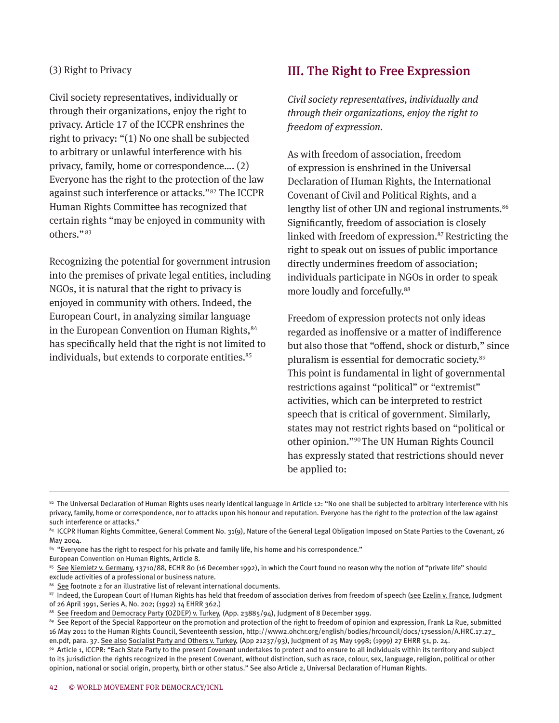#### (3) Right to Privacy

Civil society representatives, individually or through their organizations, enjoy the right to privacy. Article 17 of the ICCPR enshrines the right to privacy: "(1) No one shall be subjected to arbitrary or unlawful interference with his privacy, family, home or correspondence…. (2) Everyone has the right to the protection of the law against such interference or attacks."82 The ICCPR Human Rights Committee has recognized that certain rights "may be enjoyed in community with others." <sup>83</sup>

Recognizing the potential for government intrusion into the premises of private legal entities, including NGOs, it is natural that the right to privacy is enjoyed in community with others. Indeed, the European Court, in analyzing similar language in the European Convention on Human Rights, 84 has specifically held that the right is not limited to individuals, but extends to corporate entities. 85

#### III. The Right to Free Expression

*Civil society representatives, individually and through their organizations, enjoy the right to freedom of expression.*

As with freedom of association, freedom of expression is enshrined in the Universal Declaration of Human Rights, the International Covenant of Civil and Political Rights, and a lengthy list of other UN and regional instruments.<sup>86</sup> Significantly, freedom of association is closely linked with freedom of expression.<sup>87</sup> Restricting the right to speak out on issues of public importance directly undermines freedom of association; individuals participate in NGOs in order to speak more loudly and forcefully.<sup>88</sup>

Freedom of expression protects not only ideas regarded as inoffensive or a matter of indifference but also those that "offend, shock or disturb," since pluralism is essential for democratic society.<sup>89</sup> This point is fundamental in light of governmental restrictions against "political" or "extremist" activities, which can be interpreted to restrict speech that is critical of government. Similarly, states may not restrict rights based on "political or other opinion."90 The UN Human Rights Council has expressly stated that restrictions should never be applied to:

European Convention on Human Rights, Article 8.

<sup>&</sup>lt;sup>82</sup> The Universal Declaration of Human Rights uses nearly identical language in Article 12: "No one shall be subjected to arbitrary interference with his privacy, family, home or correspondence, nor to attacks upon his honour and reputation. Everyone has the right to the protection of the law against such interference or attacks."

<sup>83</sup> ICCPR Human Rights Committee, General Comment No. 31(9), Nature of the General Legal Obligation Imposed on State Parties to the Covenant, 26 May 2004.

<sup>84 &</sup>quot;Everyone has the right to respect for his private and family life, his home and his correspondence."

<sup>85</sup> See Niemietz v. Germany, 13710/88, ECHR 80 (16 December 1992), in which the Court found no reason why the notion of "private life" should exclude activities of a professional or business nature.

<sup>86</sup> See footnote 2 for an illustrative list of relevant international documents.

<sup>87</sup> Indeed, the European Court of Human Rights has held that freedom of association derives from freedom of speech (see Ezelin v. France, Judgment of 26 April 1991, Series A, No. 202; (1992) 14 EHRR 362.)

<sup>&</sup>lt;sup>88</sup> See Freedom and Democracy Party (OZDEP) v. Turkey, (App. 23885/94), Judgment of 8 December 1999.<br><sup>89</sup> See Report of the Special Rapporteur on the promotion and protection of the right to freedom of opinion and express 16 May 2011 to the Human Rights Council, Seventeenth session, http://www2.ohchr.org/english/bodies/hrcouncil/docs/17session/A.HRC.17.27\_

en.pdf, para. 37. <u>See also Socialist Party and Others v. Turkey</u>, (App 21237/93), Judgment of 25 May 1998; (1999) 27 EHRR 51, p. 24.<br><sup>90</sup> Article 1, ICCPR: "Each State Party to the present Covenant undertakes to protect a to its jurisdiction the rights recognized in the present Covenant, without distinction, such as race, colour, sex, language, religion, political or other opinion, national or social origin, property, birth or other status." See also Article 2, Universal Declaration of Human Rights.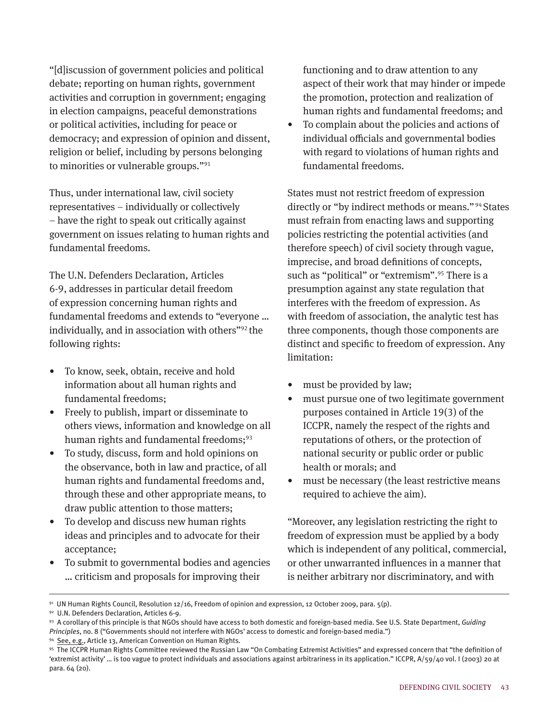"[d]iscussion of government policies and political debate; reporting on human rights, government activities and corruption in government; engaging in election campaigns, peaceful demonstrations or political activities, including for peace or democracy; and expression of opinion and dissent, religion or belief, including by persons belonging to minorities or vulnerable groups."<sup>91</sup>

Thus, under international law, civil society representatives – individually or collectively – have the right to speak out critically against government on issues relating to human rights and fundamental freedoms.

The U.N. Defenders Declaration, Articles 6-9, addresses in particular detail freedom of expression concerning human rights and fundamental freedoms and extends to "everyone … individually, and in association with others"92 the following rights:

- To know, seek, obtain, receive and hold information about all human rights and fundamental freedoms;
- Freely to publish, impart or disseminate to others views, information and knowledge on all human rights and fundamental freedoms; $93$
- To study, discuss, form and hold opinions on the observance, both in law and practice, of all human rights and fundamental freedoms and, through these and other appropriate means, to draw public attention to those matters;
- To develop and discuss new human rights ideas and principles and to advocate for their acceptance;
- To submit to governmental bodies and agencies … criticism and proposals for improving their

functioning and to draw attention to any aspect of their work that may hinder or impede the promotion, protection and realization of human rights and fundamental freedoms; and

• To complain about the policies and actions of individual officials and governmental bodies with regard to violations of human rights and fundamental freedoms.

States must not restrict freedom of expression directly or "by indirect methods or means." 94 States must refrain from enacting laws and supporting policies restricting the potential activities (and therefore speech) of civil society through vague, imprecise, and broad definitions of concepts, such as "political" or "extremism".<sup>95</sup> There is a presumption against any state regulation that interferes with the freedom of expression. As with freedom of association, the analytic test has three components, though those components are distinct and specific to freedom of expression. Any limitation:

- must be provided by law;
- must pursue one of two legitimate government purposes contained in Article 19(3) of the ICCPR, namely the respect of the rights and reputations of others, or the protection of national security or public order or public health or morals; and
- must be necessary (the least restrictive means required to achieve the aim).

"Moreover, any legislation restricting the right to freedom of expression must be applied by a body which is independent of any political, commercial, or other unwarranted influences in a manner that is neither arbitrary nor discriminatory, and with

 $91$  UN Human Rights Council, Resolution 12/16, Freedom of opinion and expression, 12 October 2009, para.  $5(p)$ .

<sup>92</sup> U.N. Defenders Declaration, Articles 6-9.

<sup>93</sup> A corollary of this principle is that NGOs should have access to both domestic and foreign-based media. See U.S. State Department, *Guiding Principles*, no. 8 ("Governments should not interfere with NGOs' access to domestic and foreign-based media.") <sup>94</sup> See, e.g., Article 13, American Convention on Human Rights.

<sup>95</sup> The ICCPR Human Rights Committee reviewed the Russian Law "On Combating Extremist Activities" and expressed concern that "the definition of 'extremist activity' … is too vague to protect individuals and associations against arbitrariness in its application." ICCPR, A/59/40 vol. I (2003) 20 at para. 64 (20).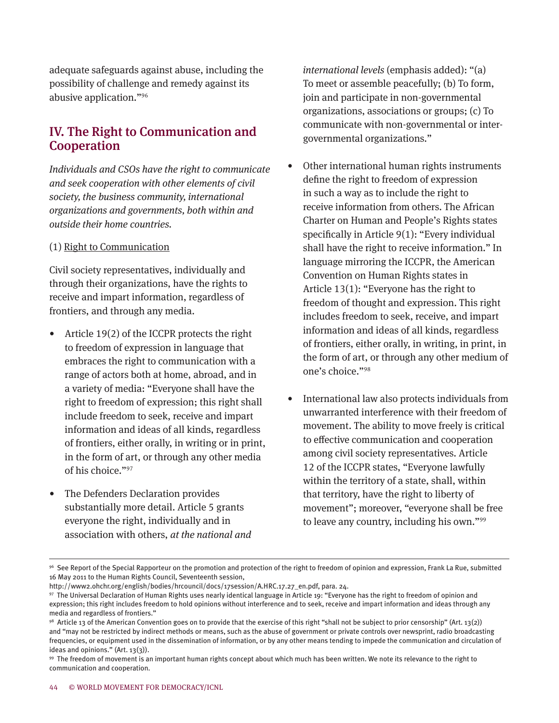adequate safeguards against abuse, including the possibility of challenge and remedy against its abusive application."<sup>96</sup>

# IV. The Right to Communication and Cooperation

*Individuals and CSOs have the right to communicate and seek cooperation with other elements of civil society, the business community, international organizations and governments, both within and outside their home countries.*

#### (1) Right to Communication

Civil society representatives, individually and through their organizations, have the rights to receive and impart information, regardless of frontiers, and through any media.

- Article 19(2) of the ICCPR protects the right to freedom of expression in language that embraces the right to communication with a range of actors both at home, abroad, and in a variety of media: "Everyone shall have the right to freedom of expression; this right shall include freedom to seek, receive and impart information and ideas of all kinds, regardless of frontiers, either orally, in writing or in print, in the form of art, or through any other media of his choice."97
- The Defenders Declaration provides substantially more detail. Article 5 grants everyone the right, individually and in association with others, *at the national and*

*international levels* (emphasis added): "(a) To meet or assemble peacefully; (b) To form, join and participate in non-governmental organizations, associations or groups; (c) To communicate with non-governmental or intergovernmental organizations."

- Other international human rights instruments define the right to freedom of expression in such a way as to include the right to receive information from others. The African Charter on Human and People's Rights states specifically in Article 9(1): "Every individual shall have the right to receive information." In language mirroring the ICCPR, the American Convention on Human Rights states in Article 13(1): "Everyone has the right to freedom of thought and expression. This right includes freedom to seek, receive, and impart information and ideas of all kinds, regardless of frontiers, either orally, in writing, in print, in the form of art, or through any other medium of one's choice."<sup>98</sup>
- International law also protects individuals from unwarranted interference with their freedom of movement. The ability to move freely is critical to effective communication and cooperation among civil society representatives. Article 12 of the ICCPR states, "Everyone lawfully within the territory of a state, shall, within that territory, have the right to liberty of movement"; moreover, "everyone shall be free to leave any country, including his own."<sup>99</sup>

<sup>96</sup> See Report of the Special Rapporteur on the promotion and protection of the right to freedom of opinion and expression, Frank La Rue, submitted 16 May 2011 to the Human Rights Council, Seventeenth session,

http://www2.ohchr.org/english/bodies/hrcouncil/docs/17session/A.HRC.17.27\_en.pdf, para. 24.

<sup>97</sup> The Universal Declaration of Human Rights uses nearly identical language in Article 19: "Everyone has the right to freedom of opinion and expression; this right includes freedom to hold opinions without interference and to seek, receive and impart information and ideas through any media and regardless of frontiers."

<sup>98</sup> Article 13 of the American Convention goes on to provide that the exercise of this right "shall not be subject to prior censorship" (Art. 13(2)) and "may not be restricted by indirect methods or means, such as the abuse of government or private controls over newsprint, radio broadcasting frequencies, or equipment used in the dissemination of information, or by any other means tending to impede the communication and circulation of ideas and opinions."  $(Art. 13(3)).$ 

<sup>99</sup> The freedom of movement is an important human rights concept about which much has been written. We note its relevance to the right to communication and cooperation.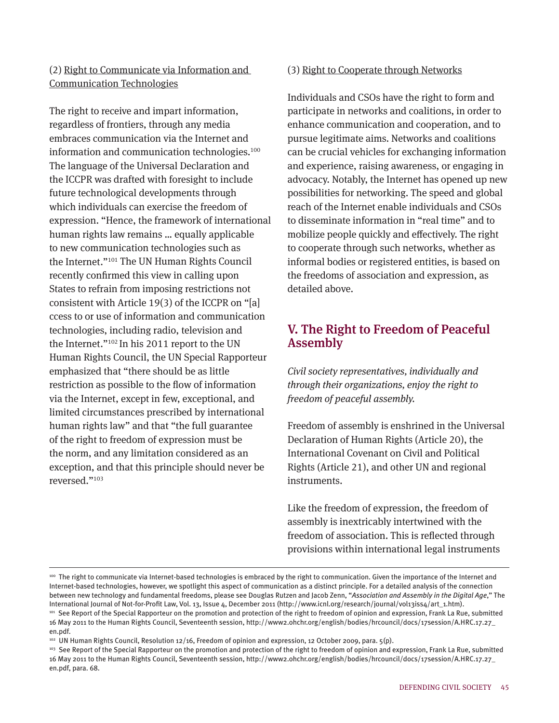#### (2) Right to Communicate via Information and Communication Technologies

The right to receive and impart information, regardless of frontiers, through any media embraces communication via the Internet and information and communication technologies.<sup>100</sup> The language of the Universal Declaration and the ICCPR was drafted with foresight to include future technological developments through which individuals can exercise the freedom of expression. "Hence, the framework of international human rights law remains … equally applicable to new communication technologies such as the Internet."101 The UN Human Rights Council recently confirmed this view in calling upon States to refrain from imposing restrictions not consistent with Article 19(3) of the ICCPR on "[a] ccess to or use of information and communication technologies, including radio, television and the Internet."102 In his 2011 report to the UN Human Rights Council, the UN Special Rapporteur emphasized that "there should be as little restriction as possible to the flow of information via the Internet, except in few, exceptional, and limited circumstances prescribed by international human rights law" and that "the full guarantee of the right to freedom of expression must be the norm, and any limitation considered as an exception, and that this principle should never be reversed."103

#### (3) Right to Cooperate through Networks

Individuals and CSOs have the right to form and participate in networks and coalitions, in order to enhance communication and cooperation, and to pursue legitimate aims. Networks and coalitions can be crucial vehicles for exchanging information and experience, raising awareness, or engaging in advocacy. Notably, the Internet has opened up new possibilities for networking. The speed and global reach of the Internet enable individuals and CSOs to disseminate information in "real time" and to mobilize people quickly and effectively. The right to cooperate through such networks, whether as informal bodies or registered entities, is based on the freedoms of association and expression, as detailed above.

# V. The Right to Freedom of Peaceful Assembly

*Civil society representatives, individually and through their organizations, enjoy the right to freedom of peaceful assembly.*

Freedom of assembly is enshrined in the Universal Declaration of Human Rights (Article 20), the International Covenant on Civil and Political Rights (Article 21), and other UN and regional instruments.

Like the freedom of expression, the freedom of assembly is inextricably intertwined with the freedom of association. This is reflected through provisions within international legal instruments

<sup>&</sup>lt;sup>100</sup> The right to communicate via Internet-based technologies is embraced by the right to communication. Given the importance of the Internet and Internet-based technologies, however, we spotlight this aspect of communication as a distinct principle. For a detailed analysis of the connection between new technology and fundamental freedoms, please see Douglas Rutzen and Jacob Zenn, "*Association and Assembly in the Digital Age*," The International Journal of Not-for-Profit Law, Vol. 13, Issue 4, December 2011 (http://www.icnl.org/research/journal/vol13iss4/art\_1.htm). 101 See Report of the Special Rapporteur on the promotion and protection of the right to freedom of opinion and expression, Frank La Rue, submitted

<sup>16</sup> May 2011 to the Human Rights Council, Seventeenth session, http://www2.ohchr.org/english/bodies/hrcouncil/docs/17session/A.HRC.17.27\_ en.pdf.

<sup>&</sup>lt;sup>102</sup> UN Human Rights Council, Resolution 12/16, Freedom of opinion and expression, 12 October 2009, para. 5(p).

<sup>&</sup>lt;sup>103</sup> See Report of the Special Rapporteur on the promotion and protection of the right to freedom of opinion and expression, Frank La Rue, submitted 16 May 2011 to the Human Rights Council, Seventeenth session, http://www2.ohchr.org/english/bodies/hrcouncil/docs/17session/A.HRC.17.27\_ en.pdf, para. 68.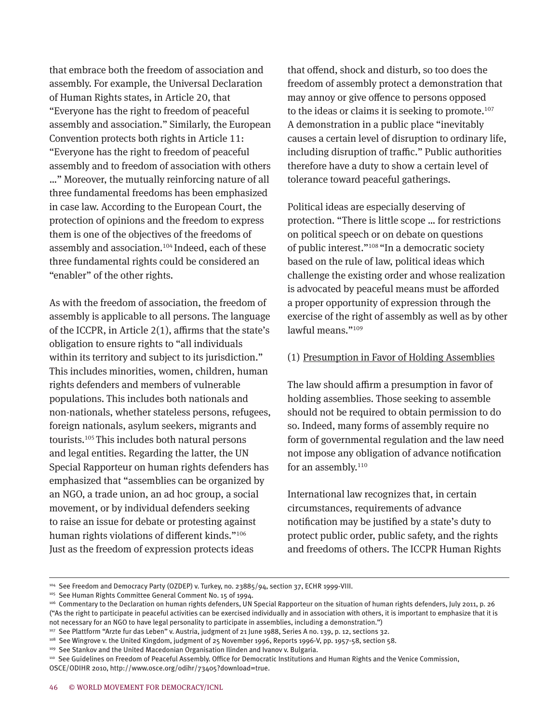that embrace both the freedom of association and assembly. For example, the Universal Declaration of Human Rights states, in Article 20, that "Everyone has the right to freedom of peaceful assembly and association." Similarly, the European Convention protects both rights in Article 11: "Everyone has the right to freedom of peaceful assembly and to freedom of association with others …" Moreover, the mutually reinforcing nature of all three fundamental freedoms has been emphasized in case law. According to the European Court, the protection of opinions and the freedom to express them is one of the objectives of the freedoms of assembly and association. 104 Indeed, each of these three fundamental rights could be considered an "enabler" of the other rights.

As with the freedom of association, the freedom of assembly is applicable to all persons. The language of the ICCPR, in Article 2(1), affirms that the state's obligation to ensure rights to "all individuals within its territory and subject to its jurisdiction." This includes minorities, women, children, human rights defenders and members of vulnerable populations. This includes both nationals and non-nationals, whether stateless persons, refugees, foreign nationals, asylum seekers, migrants and tourists. <sup>105</sup>This includes both natural persons and legal entities. Regarding the latter, the UN Special Rapporteur on human rights defenders has emphasized that "assemblies can be organized by an NGO, a trade union, an ad hoc group, a social movement, or by individual defenders seeking to raise an issue for debate or protesting against human rights violations of different kinds."106 Just as the freedom of expression protects ideas

that offend, shock and disturb, so too does the freedom of assembly protect a demonstration that may annoy or give offence to persons opposed to the ideas or claims it is seeking to promote. 107 A demonstration in a public place "inevitably causes a certain level of disruption to ordinary life, including disruption of traffic." Public authorities therefore have a duty to show a certain level of tolerance toward peaceful gatherings.

Political ideas are especially deserving of protection. "There is little scope … for restrictions on political speech or on debate on questions of public interest."108 "In a democratic society based on the rule of law, political ideas which challenge the existing order and whose realization is advocated by peaceful means must be afforded a proper opportunity of expression through the exercise of the right of assembly as well as by other lawful means."<sup>109</sup>

#### (1) Presumption in Favor of Holding Assemblies

The law should affirm a presumption in favor of holding assemblies. Those seeking to assemble should not be required to obtain permission to do so. Indeed, many forms of assembly require no form of governmental regulation and the law need not impose any obligation of advance notification for an assembly.<sup>110</sup>

International law recognizes that, in certain circumstances, requirements of advance notification may be justified by a state's duty to protect public order, public safety, and the rights and freedoms of others. The ICCPR Human Rights

<sup>104</sup> See Freedom and Democracy Party (OZDEP) v. Turkey, no. 23885/94, section 37, ECHR 1999-VIII.

<sup>&</sup>lt;sup>105</sup> See Human Rights Committee General Comment No. 15 of 1994.

<sup>106</sup> Commentary to the Declaration on human rights defenders, UN Special Rapporteur on the situation of human rights defenders, July 2011, p. 26 ("As the right to participate in peaceful activities can be exercised individually and in association with others, it is important to emphasize that it is not necessary for an NGO to have legal personality to participate in assemblies, including a demonstration.")

<sup>107</sup> See Plattform "Arzte fur das Leben" v. Austria, judgment of 21 June 1988, Series A no. 139, p. 12, sections 32.

<sup>108</sup> See Wingrove v. the United Kingdom, judgment of 25 November 1996, Reports 1996-V, pp. 1957-58, section 58.

<sup>109</sup> See Stankov and the United Macedonian Organisation Ilinden and Ivanov v. Bulgaria.

<sup>110</sup> See Guidelines on Freedom of Peaceful Assembly. Office for Democratic Institutions and Human Rights and the Venice Commission, OSCE/ODIHR 2010, http://www.osce.org/odihr/73405?download=true.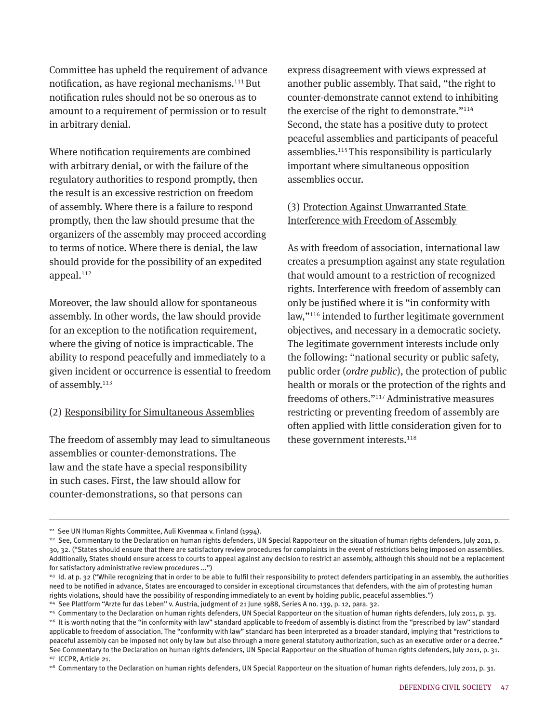Committee has upheld the requirement of advance notification, as have regional mechanisms.111 But notification rules should not be so onerous as to amount to a requirement of permission or to result in arbitrary denial.

Where notification requirements are combined with arbitrary denial, or with the failure of the regulatory authorities to respond promptly, then the result is an excessive restriction on freedom of assembly. Where there is a failure to respond promptly, then the law should presume that the organizers of the assembly may proceed according to terms of notice. Where there is denial, the law should provide for the possibility of an expedited appeal. 112

Moreover, the law should allow for spontaneous assembly. In other words, the law should provide for an exception to the notification requirement, where the giving of notice is impracticable. The ability to respond peacefully and immediately to a given incident or occurrence is essential to freedom of assembly.<sup>113</sup>

#### (2) Responsibility for Simultaneous Assemblies

The freedom of assembly may lead to simultaneous assemblies or counter-demonstrations. The law and the state have a special responsibility in such cases. First, the law should allow for counter-demonstrations, so that persons can

express disagreement with views expressed at another public assembly. That said, "the right to counter-demonstrate cannot extend to inhibiting the exercise of the right to demonstrate."<sup>114</sup> Second, the state has a positive duty to protect peaceful assemblies and participants of peaceful assemblies. 115 This responsibility is particularly important where simultaneous opposition assemblies occur.

#### (3) Protection Against Unwarranted State Interference with Freedom of Assembly

As with freedom of association, international law creates a presumption against any state regulation that would amount to a restriction of recognized rights. Interference with freedom of assembly can only be justified where it is "in conformity with law,"<sup>116</sup> intended to further legitimate government objectives, and necessary in a democratic society. The legitimate government interests include only the following: "national security or public safety, public order (*ordre public*), the protection of public health or morals or the protection of the rights and freedoms of others."117 Administrative measures restricting or preventing freedom of assembly are often applied with little consideration given for to these government interests. 118

<sup>&</sup>lt;sup>111</sup> See UN Human Rights Committee, Auli Kivenmaa v. Finland (1994).

<sup>112</sup> See, Commentary to the Declaration on human rights defenders, UN Special Rapporteur on the situation of human rights defenders, July 2011, p. 30, 32. ("States should ensure that there are satisfactory review procedures for complaints in the event of restrictions being imposed on assemblies. Additionally, States should ensure access to courts to appeal against any decision to restrict an assembly, although this should not be a replacement for satisfactory administrative review procedures ...")

<sup>113</sup> Id. at p. 32 ("While recognizing that in order to be able to fulfil their responsibility to protect defenders participating in an assembly, the authorities need to be notified in advance, States are encouraged to consider in exceptional circumstances that defenders, with the aim of protesting human rights violations, should have the possibility of responding immediately to an event by holding public, peaceful assemblies.")

<sup>114</sup> See Plattform "Arzte fur das Leben" v. Austria, judgment of 21 June 1988, Series A no. 139, p. 12, para. 32.

<sup>115</sup> Commentary to the Declaration on human rights defenders, UN Special Rapporteur on the situation of human rights defenders, July 2011, p. 33. 116 It is worth noting that the "in conformity with law" standard applicable to freedom of assembly is distinct from the "prescribed by law" standard applicable to freedom of association. The "conformity with law" standard has been interpreted as a broader standard, implying that "restrictions to peaceful assembly can be imposed not only by law but also through a more general statutory authorization, such as an executive order or a decree." See Commentary to the Declaration on human rights defenders, UN Special Rapporteur on the situation of human rights defenders, July 2011, p. 31. 117 ICCPR, Article 21.

<sup>118</sup> Commentary to the Declaration on human rights defenders, UN Special Rapporteur on the situation of human rights defenders, July 2011, p. 31.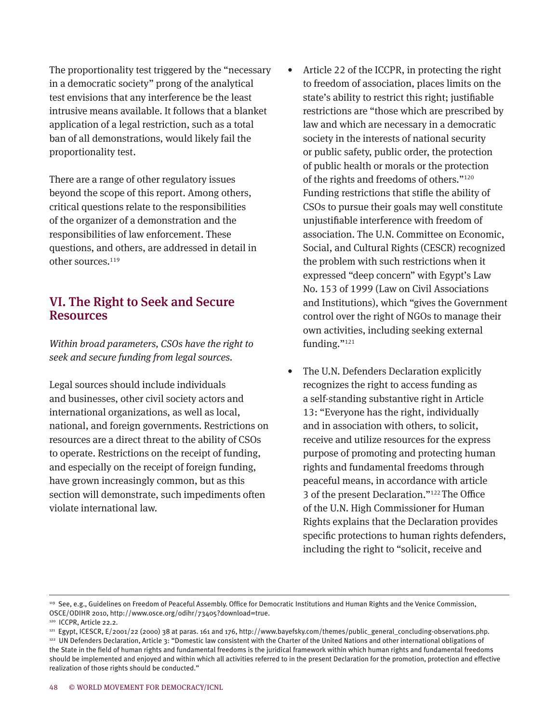The proportionality test triggered by the "necessary in a democratic society" prong of the analytical test envisions that any interference be the least intrusive means available. It follows that a blanket application of a legal restriction, such as a total ban of all demonstrations, would likely fail the proportionality test.

There are a range of other regulatory issues beyond the scope of this report. Among others, critical questions relate to the responsibilities of the organizer of a demonstration and the responsibilities of law enforcement. These questions, and others, are addressed in detail in other sources. 119

#### VI. The Right to Seek and Secure Resources

*Within broad parameters, CSOs have the right to seek and secure funding from legal sources.*

Legal sources should include individuals and businesses, other civil society actors and international organizations, as well as local, national, and foreign governments. Restrictions on resources are a direct threat to the ability of CSOs to operate. Restrictions on the receipt of funding, and especially on the receipt of foreign funding, have grown increasingly common, but as this section will demonstrate, such impediments often violate international law.

- Article 22 of the ICCPR, in protecting the right to freedom of association, places limits on the state's ability to restrict this right; justifiable restrictions are "those which are prescribed by law and which are necessary in a democratic society in the interests of national security or public safety, public order, the protection of public health or morals or the protection of the rights and freedoms of others."120 Funding restrictions that stifle the ability of CSOs to pursue their goals may well constitute unjustifiable interference with freedom of association. The U.N. Committee on Economic, Social, and Cultural Rights (CESCR) recognized the problem with such restrictions when it expressed "deep concern" with Egypt's Law No. 153 of 1999 (Law on Civil Associations and Institutions), which "gives the Government control over the right of NGOs to manage their own activities, including seeking external funding."<sup>121</sup>
- The U.N. Defenders Declaration explicitly recognizes the right to access funding as a self-standing substantive right in Article 13: "Everyone has the right, individually and in association with others, to solicit, receive and utilize resources for the express purpose of promoting and protecting human rights and fundamental freedoms through peaceful means, in accordance with article 3 of the present Declaration."<sup>122</sup>The Office of the U.N. High Commissioner for Human Rights explains that the Declaration provides specific protections to human rights defenders, including the right to "solicit, receive and

<sup>119</sup> See, e.g., Guidelines on Freedom of Peaceful Assembly. Office for Democratic Institutions and Human Rights and the Venice Commission, OSCE/ODIHR 2010, http://www.osce.org/odihr/73405?download=true.

<sup>120</sup> ICCPR, Article 22.2.

<sup>&</sup>lt;sup>121</sup> Egypt, ICESCR, E/2001/22 (2000) 38 at paras. 161 and 176, http://www.bayefsky.com/themes/public\_general\_concluding-observations.php.

<sup>122</sup> UN Defenders Declaration, Article 3: "Domestic law consistent with the Charter of the United Nations and other international obligations of the State in the field of human rights and fundamental freedoms is the juridical framework within which human rights and fundamental freedoms should be implemented and enjoyed and within which all activities referred to in the present Declaration for the promotion, protection and effective realization of those rights should be conducted."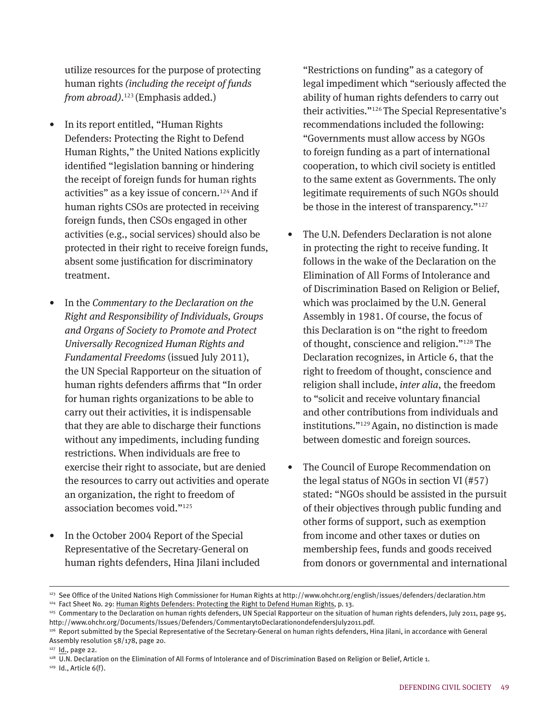utilize resources for the purpose of protecting human rights *(including the receipt of funds from abroad)*. 123 (Emphasis added.)

- In its report entitled, "Human Rights Defenders: Protecting the Right to Defend Human Rights," the United Nations explicitly identified "legislation banning or hindering the receipt of foreign funds for human rights activities" as a key issue of concern.<sup>124</sup>And if human rights CSOs are protected in receiving foreign funds, then CSOs engaged in other activities (e.g., social services) should also be protected in their right to receive foreign funds, absent some justification for discriminatory treatment.
- In the *Commentary to the Declaration on the Right and Responsibility of Individuals, Groups and Organs of Society to Promote and Protect Universally Recognized Human Rights and Fundamental Freedoms* (issued July 2011), the UN Special Rapporteur on the situation of human rights defenders affirms that "In order for human rights organizations to be able to carry out their activities, it is indispensable that they are able to discharge their functions without any impediments, including funding restrictions. When individuals are free to exercise their right to associate, but are denied the resources to carry out activities and operate an organization, the right to freedom of association becomes void."<sup>125</sup>
- In the October 2004 Report of the Special Representative of the Secretary-General on human rights defenders, Hina Jilani included

"Restrictions on funding" as a category of legal impediment which "seriously affected the ability of human rights defenders to carry out their activities."126 The Special Representative's recommendations included the following: "Governments must allow access by NGOs to foreign funding as a part of international cooperation, to which civil society is entitled to the same extent as Governments. The only legitimate requirements of such NGOs should be those in the interest of transparency."<sup>127</sup>

- The U.N. Defenders Declaration is not alone in protecting the right to receive funding. It follows in the wake of the Declaration on the Elimination of All Forms of Intolerance and of Discrimination Based on Religion or Belief, which was proclaimed by the U.N. General Assembly in 1981. Of course, the focus of this Declaration is on "the right to freedom of thought, conscience and religion."128 The Declaration recognizes, in Article 6, that the right to freedom of thought, conscience and religion shall include, *inter alia*, the freedom to "solicit and receive voluntary financial and other contributions from individuals and institutions."129 Again, no distinction is made between domestic and foreign sources.
- The Council of Europe Recommendation on the legal status of NGOs in section VI (#57) stated: "NGOs should be assisted in the pursuit of their objectives through public funding and other forms of support, such as exemption from income and other taxes or duties on membership fees, funds and goods received from donors or governmental and international

<sup>&</sup>lt;sup>123</sup> See Office of the United Nations High Commissioner for Human Rights at http://www.ohchr.org/english/issues/defenders/declaration.htm

<sup>&</sup>lt;sup>124</sup> Fact Sheet No. 29: Human Rights Defenders: Protecting the Right to Defend Human Rights, p. 13.

<sup>&</sup>lt;sup>125</sup> Commentary to the Declaration on human rights defenders, UN Special Rapporteur on the situation of human rights defenders, July 2011, page 95, http://www.ohchr.org/Documents/Issues/Defenders/CommentarytoDeclarationondefendersJuly2011.pdf.

<sup>&</sup>lt;sup>126</sup> Report submitted by the Special Representative of the Secretary-General on human rights defenders, Hina Jilani, in accordance with General Assembly resolution 58/178, page 20.

<sup>127</sup> Id., page 22.

<sup>128</sup> U.N. Declaration on the Elimination of All Forms of Intolerance and of Discrimination Based on Religion or Belief, Article 1.

<sup>129</sup> Id., Article 6(f).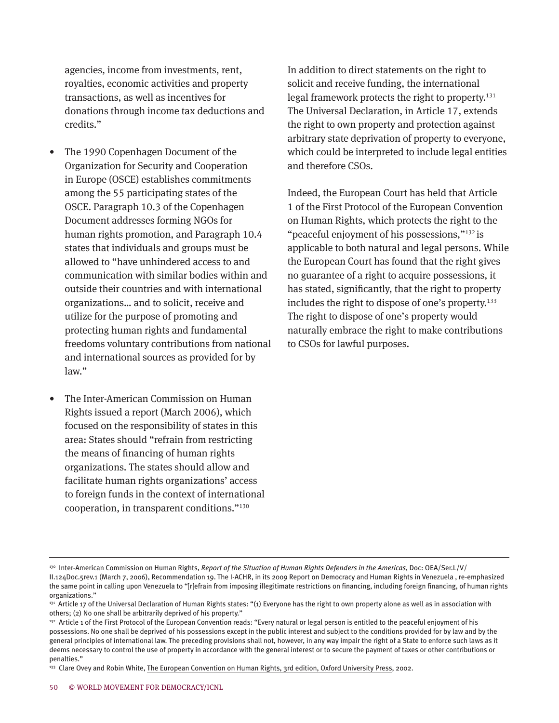agencies, income from investments, rent, royalties, economic activities and property transactions, as well as incentives for donations through income tax deductions and credits."

- The 1990 Copenhagen Document of the Organization for Security and Cooperation in Europe (OSCE) establishes commitments among the 55 participating states of the OSCE. Paragraph 10.3 of the Copenhagen Document addresses forming NGOs for human rights promotion, and Paragraph 10.4 states that individuals and groups must be allowed to "have unhindered access to and communication with similar bodies within and outside their countries and with international organizations… and to solicit, receive and utilize for the purpose of promoting and protecting human rights and fundamental freedoms voluntary contributions from national and international sources as provided for by law."
- The Inter-American Commission on Human Rights issued a report (March 2006), which focused on the responsibility of states in this area: States should "refrain from restricting the means of financing of human rights organizations. The states should allow and facilitate human rights organizations' access to foreign funds in the context of international cooperation, in transparent conditions."130

In addition to direct statements on the right to solicit and receive funding, the international legal framework protects the right to property.<sup>131</sup> The Universal Declaration, in Article 17, extends the right to own property and protection against arbitrary state deprivation of property to everyone, which could be interpreted to include legal entities and therefore CSOs.

Indeed, the European Court has held that Article 1 of the First Protocol of the European Convention on Human Rights, which protects the right to the "peaceful enjoyment of his possessions,"132 is applicable to both natural and legal persons. While the European Court has found that the right gives no guarantee of a right to acquire possessions, it has stated, significantly, that the right to property includes the right to dispose of one's property.<sup>133</sup> The right to dispose of one's property would naturally embrace the right to make contributions to CSOs for lawful purposes.

<sup>130</sup> Inter-American Commission on Human Rights, *Report of the Situation of Human Rights Defenders in the Americas*, Doc: OEA/Ser.L/V/ II.124Doc.5rev.1 (March 7, 2006), Recommendation 19. The I-ACHR, in its 2009 Report on Democracy and Human Rights in Venezuela , re-emphasized the same point in calling upon Venezuela to "[r]efrain from imposing illegitimate restrictions on financing, including foreign financing, of human rights organizations."

<sup>&</sup>lt;sup>131</sup> Article 17 of the Universal Declaration of Human Rights states: "(1) Everyone has the right to own property alone as well as in association with others; (2) No one shall be arbitrarily deprived of his property."

<sup>132</sup> Article 1 of the First Protocol of the European Convention reads: "Every natural or legal person is entitled to the peaceful enjoyment of his possessions. No one shall be deprived of his possessions except in the public interest and subject to the conditions provided for by law and by the general principles of international law. The preceding provisions shall not, however, in any way impair the right of a State to enforce such laws as it deems necessary to control the use of property in accordance with the general interest or to secure the payment of taxes or other contributions or penalties."

<sup>&</sup>lt;sup>133</sup> Clare Ovey and Robin White, The European Convention on Human Rights, 3rd edition, Oxford University Press, 2002.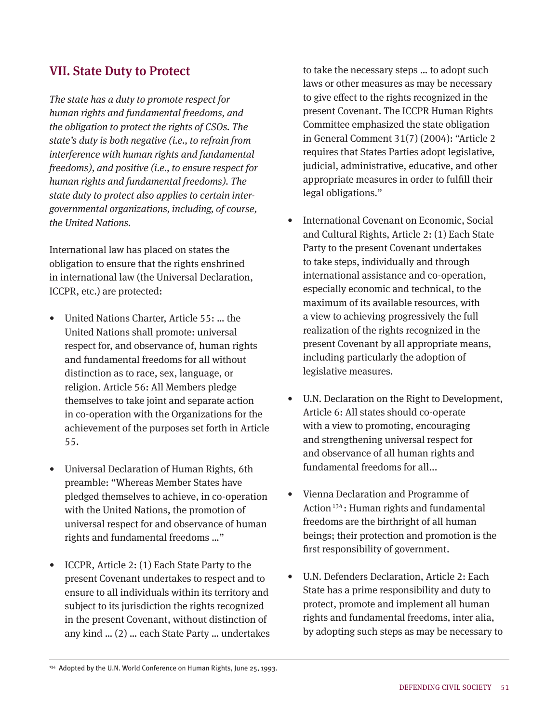#### VII. State Duty to Protect

*The state has a duty to promote respect for human rights and fundamental freedoms, and the obligation to protect the rights of CSOs. The state's duty is both negative (i.e., to refrain from interference with human rights and fundamental freedoms), and positive (i.e., to ensure respect for human rights and fundamental freedoms). The state duty to protect also applies to certain intergovernmental organizations, including, of course, the United Nations.*

International law has placed on states the obligation to ensure that the rights enshrined in international law (the Universal Declaration, ICCPR, etc.) are protected:

- United Nations Charter, Article 55: … the United Nations shall promote: universal respect for, and observance of, human rights and fundamental freedoms for all without distinction as to race, sex, language, or religion. Article 56: All Members pledge themselves to take joint and separate action in co-operation with the Organizations for the achievement of the purposes set forth in Article 55.
- Universal Declaration of Human Rights, 6th preamble: "Whereas Member States have pledged themselves to achieve, in co-operation with the United Nations, the promotion of universal respect for and observance of human rights and fundamental freedoms …"
- ICCPR, Article 2: (1) Each State Party to the present Covenant undertakes to respect and to ensure to all individuals within its territory and subject to its jurisdiction the rights recognized in the present Covenant, without distinction of any kind … (2) … each State Party … undertakes

to take the necessary steps … to adopt such laws or other measures as may be necessary to give effect to the rights recognized in the present Covenant. The ICCPR Human Rights Committee emphasized the state obligation in General Comment 31(7) (2004): "Article 2 requires that States Parties adopt legislative, judicial, administrative, educative, and other appropriate measures in order to fulfill their legal obligations."

- International Covenant on Economic, Social and Cultural Rights, Article 2: (1) Each State Party to the present Covenant undertakes to take steps, individually and through international assistance and co-operation, especially economic and technical, to the maximum of its available resources, with a view to achieving progressively the full realization of the rights recognized in the present Covenant by all appropriate means, including particularly the adoption of legislative measures.
- U.N. Declaration on the Right to Development, Article 6: All states should co-operate with a view to promoting, encouraging and strengthening universal respect for and observance of all human rights and fundamental freedoms for all...
- Vienna Declaration and Programme of Action<sup>134</sup>: Human rights and fundamental freedoms are the birthright of all human beings; their protection and promotion is the first responsibility of government.
- U.N. Defenders Declaration, Article 2: Each State has a prime responsibility and duty to protect, promote and implement all human rights and fundamental freedoms, inter alia, by adopting such steps as may be necessary to

<sup>134</sup> Adopted by the U.N. World Conference on Human Rights, June 25, 1993.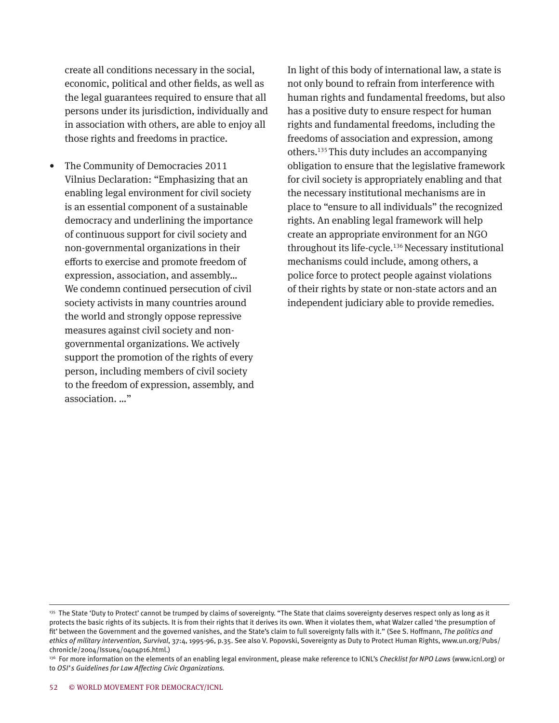create all conditions necessary in the social, economic, political and other fields, as well as the legal guarantees required to ensure that all persons under its jurisdiction, individually and in association with others, are able to enjoy all those rights and freedoms in practice.

• The Community of Democracies 2011 Vilnius Declaration: "Emphasizing that an enabling legal environment for civil society is an essential component of a sustainable democracy and underlining the importance of continuous support for civil society and non-governmental organizations in their efforts to exercise and promote freedom of expression, association, and assembly… We condemn continued persecution of civil society activists in many countries around the world and strongly oppose repressive measures against civil society and nongovernmental organizations. We actively support the promotion of the rights of every person, including members of civil society to the freedom of expression, assembly, and association. …"

In light of this body of international law, a state is not only bound to refrain from interference with human rights and fundamental freedoms, but also has a positive duty to ensure respect for human rights and fundamental freedoms, including the freedoms of association and expression, among others. 135 This duty includes an accompanying obligation to ensure that the legislative framework for civil society is appropriately enabling and that the necessary institutional mechanisms are in place to "ensure to all individuals" the recognized rights. An enabling legal framework will help create an appropriate environment for an NGO throughout its life-cycle.136 Necessary institutional mechanisms could include, among others, a police force to protect people against violations of their rights by state or non-state actors and an independent judiciary able to provide remedies.

<sup>135</sup> The State 'Duty to Protect' cannot be trumped by claims of sovereignty. "The State that claims sovereignty deserves respect only as long as it protects the basic rights of its subjects. It is from their rights that it derives its own. When it violates them, what Walzer called 'the presumption of fit' between the Government and the governed vanishes, and the State's claim to full sovereignty falls with it." (See S. Hoffmann, *The politics and ethics of military intervention, Survival*, 37:4, 1995-96, p.35. See also V. Popovski, Sovereignty as Duty to Protect Human Rights, www.un.org/Pubs/ chronicle/2004/Issue4/0404p16.html.)

<sup>136</sup> For more information on the elements of an enabling legal environment, please make reference to ICNL's *Checklist for NPO Laws* (www.icnl.org) or to *OSI's Guidelines for Law Affecting Civic Organizations.*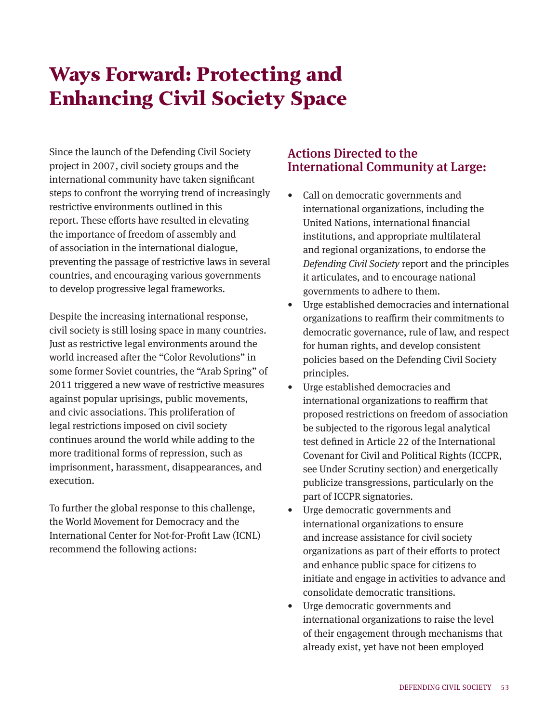# Ways Forward: Protecting and Enhancing Civil Society Space

Since the launch of the Defending Civil Society project in 2007, civil society groups and the international community have taken significant steps to confront the worrying trend of increasingly restrictive environments outlined in this report. These efforts have resulted in elevating the importance of freedom of assembly and of association in the international dialogue, preventing the passage of restrictive laws in several countries, and encouraging various governments to develop progressive legal frameworks.

Despite the increasing international response, civil society is still losing space in many countries. Just as restrictive legal environments around the world increased after the "Color Revolutions" in some former Soviet countries, the "Arab Spring" of 2011 triggered a new wave of restrictive measures against popular uprisings, public movements, and civic associations. This proliferation of legal restrictions imposed on civil society continues around the world while adding to the more traditional forms of repression, such as imprisonment, harassment, disappearances, and execution.

To further the global response to this challenge, the World Movement for Democracy and the International Center for Not-for-Profit Law (ICNL) recommend the following actions:

### Actions Directed to the International Community at Large:

- Call on democratic governments and international organizations, including the United Nations, international financial institutions, and appropriate multilateral and regional organizations, to endorse the *Defending Civil Society* report and the principles it articulates, and to encourage national governments to adhere to them.
- Urge established democracies and international organizations to reaffirm their commitments to democratic governance, rule of law, and respect for human rights, and develop consistent policies based on the Defending Civil Society principles.
- Urge established democracies and international organizations to reaffirm that proposed restrictions on freedom of association be subjected to the rigorous legal analytical test defined in Article 22 of the International Covenant for Civil and Political Rights (ICCPR, see Under Scrutiny section) and energetically publicize transgressions, particularly on the part of ICCPR signatories.
- Urge democratic governments and international organizations to ensure and increase assistance for civil society organizations as part of their efforts to protect and enhance public space for citizens to initiate and engage in activities to advance and consolidate democratic transitions.
- Urge democratic governments and international organizations to raise the level of their engagement through mechanisms that already exist, yet have not been employed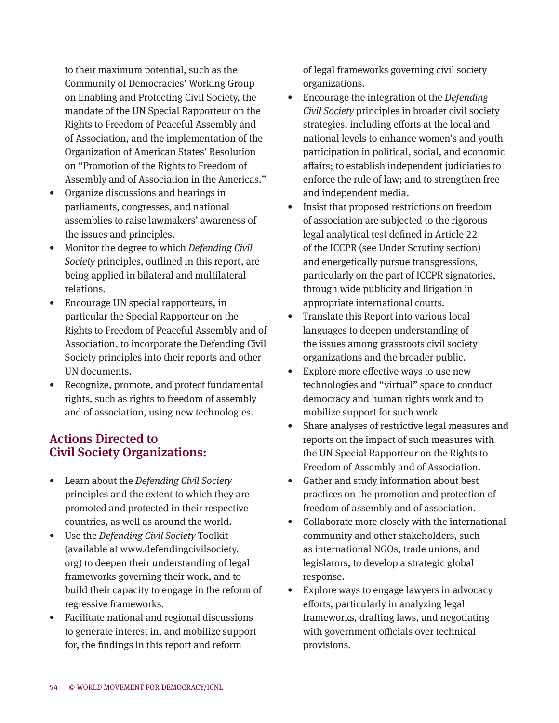to their maximum potential, such as the Community of Democracies' Working Group on Enabling and Protecting Civil Society, the mandate of the UN Special Rapporteur on the Rights to Freedom of Peaceful Assembly and of Association, and the implementation of the Organization of American States' Resolution on "Promotion of the Rights to Freedom of Assembly and of Association in the Americas."

- Organize discussions and hearings in parliaments, congresses, and national assemblies to raise lawmakers' awareness of the issues and principles.
- Monitor the degree to which *Defending Civil Society* principles, outlined in this report, are being applied in bilateral and multilateral relations.
- Encourage UN special rapporteurs, in particular the Special Rapporteur on the Rights to Freedom of Peaceful Assembly and of Association, to incorporate the Defending Civil Society principles into their reports and other UN documents.
- Recognize, promote, and protect fundamental rights, such as rights to freedom of assembly and of association, using new technologies.

## Actions Directed to Civil Society Organizations:

- Learn about the *Defending Civil Society* principles and the extent to which they are promoted and protected in their respective countries, as well as around the world.
- Use the *Defending Civil Society* Toolkit (available at www.defendingcivilsociety. org) to deepen their understanding of legal frameworks governing their work, and to build their capacity to engage in the reform of regressive frameworks.
- Facilitate national and regional discussions to generate interest in, and mobilize support for, the findings in this report and reform

of legal frameworks governing civil society organizations.

- Encourage the integration of the *Defending Civil Society* principles in broader civil society strategies, including efforts at the local and national levels to enhance women's and youth participation in political, social, and economic affairs; to establish independent judiciaries to enforce the rule of law; and to strengthen free and independent media.
- Insist that proposed restrictions on freedom of association are subjected to the rigorous legal analytical test defined in Article 22 of the ICCPR (see Under Scrutiny section) and energetically pursue transgressions, particularly on the part of ICCPR signatories, through wide publicity and litigation in appropriate international courts.
- Translate this Report into various local languages to deepen understanding of the issues among grassroots civil society organizations and the broader public.
- Explore more effective ways to use new technologies and "virtual" space to conduct democracy and human rights work and to mobilize support for such work.
- Share analyses of restrictive legal measures and reports on the impact of such measures with the UN Special Rapporteur on the Rights to Freedom of Assembly and of Association.
- Gather and study information about best practices on the promotion and protection of freedom of assembly and of association.
- Collaborate more closely with the international community and other stakeholders, such as international NGOs, trade unions, and legislators, to develop a strategic global response.
- Explore ways to engage lawyers in advocacy efforts, particularly in analyzing legal frameworks, drafting laws, and negotiating with government officials over technical provisions.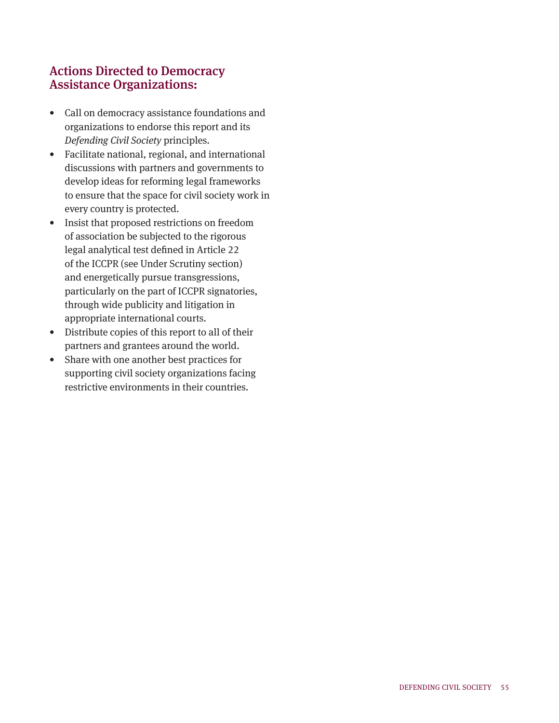## Actions Directed to Democracy Assistance Organizations:

- Call on democracy assistance foundations and organizations to endorse this report and its *Defending Civil Society* principles.
- Facilitate national, regional, and international discussions with partners and governments to develop ideas for reforming legal frameworks to ensure that the space for civil society work in every country is protected.
- Insist that proposed restrictions on freedom of association be subjected to the rigorous legal analytical test defined in Article 22 of the ICCPR (see Under Scrutiny section) and energetically pursue transgressions, particularly on the part of ICCPR signatories, through wide publicity and litigation in appropriate international courts.
- Distribute copies of this report to all of their partners and grantees around the world.
- Share with one another best practices for supporting civil society organizations facing restrictive environments in their countries.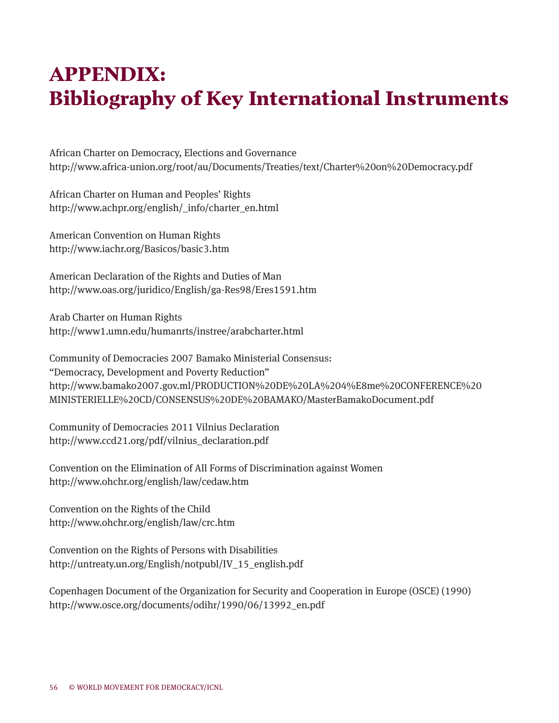# APPENDIX: Bibliography of Key International Instruments

African Charter on Democracy, Elections and Governance http://www.africa-union.org/root/au/Documents/Treaties/text/Charter%20on%20Democracy.pdf

African Charter on Human and Peoples' Rights http://www.achpr.org/english/\_info/charter\_en.html

American Convention on Human Rights http://www.iachr.org/Basicos/basic3.htm

American Declaration of the Rights and Duties of Man http://www.oas.org/juridico/English/ga-Res98/Eres1591.htm

Arab Charter on Human Rights http://www1.umn.edu/humanrts/instree/arabcharter.html

Community of Democracies 2007 Bamako Ministerial Consensus: "Democracy, Development and Poverty Reduction" http://www.bamako2007.gov.ml/PRODUCTION%20DE%20LA%204%E8me%20CONFERENCE%20 MINISTERIELLE%20CD/CONSENSUS%20DE%20BAMAKO/MasterBamakoDocument.pdf

Community of Democracies 2011 Vilnius Declaration http://www.ccd21.org/pdf/vilnius\_declaration.pdf

Convention on the Elimination of All Forms of Discrimination against Women http://www.ohchr.org/english/law/cedaw.htm

Convention on the Rights of the Child http://www.ohchr.org/english/law/crc.htm

Convention on the Rights of Persons with Disabilities http://untreaty.un.org/English/notpubl/IV\_15\_english.pdf

Copenhagen Document of the Organization for Security and Cooperation in Europe (OSCE) (1990) http://www.osce.org/documents/odihr/1990/06/13992\_en.pdf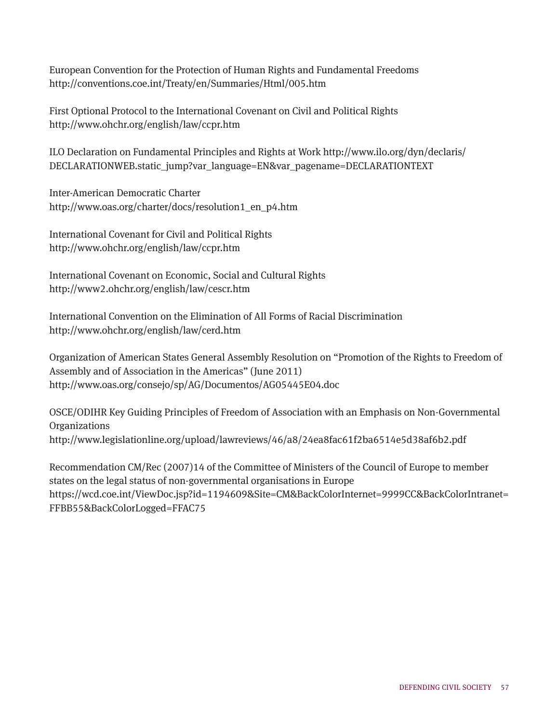European Convention for the Protection of Human Rights and Fundamental Freedoms http://conventions.coe.int/Treaty/en/Summaries/Html/005.htm

First Optional Protocol to the International Covenant on Civil and Political Rights http://www.ohchr.org/english/law/ccpr.htm

ILO Declaration on Fundamental Principles and Rights at Work http://www.ilo.org/dyn/declaris/ DECLARATIONWEB.static\_jump?var\_language=EN&var\_pagename=DECLARATIONTEXT

Inter-American Democratic Charter http://www.oas.org/charter/docs/resolution1\_en\_p4.htm

International Covenant for Civil and Political Rights http://www.ohchr.org/english/law/ccpr.htm

International Covenant on Economic, Social and Cultural Rights http://www2.ohchr.org/english/law/cescr.htm

International Convention on the Elimination of All Forms of Racial Discrimination http://www.ohchr.org/english/law/cerd.htm

Organization of American States General Assembly Resolution on "Promotion of the Rights to Freedom of Assembly and of Association in the Americas" (June 2011) http://www.oas.org/consejo/sp/AG/Documentos/AG05445E04.doc

OSCE/ODIHR Key Guiding Principles of Freedom of Association with an Emphasis on Non-Governmental Organizations http://www.legislationline.org/upload/lawreviews/46/a8/24ea8fac61f2ba6514e5d38af6b2.pdf

Recommendation CM/Rec (2007)14 of the Committee of Ministers of the Council of Europe to member states on the legal status of non-governmental organisations in Europe https://wcd.coe.int/ViewDoc.jsp?id=1194609&Site=CM&BackColorInternet=9999CC&BackColorIntranet= FFBB55&BackColorLogged=FFAC75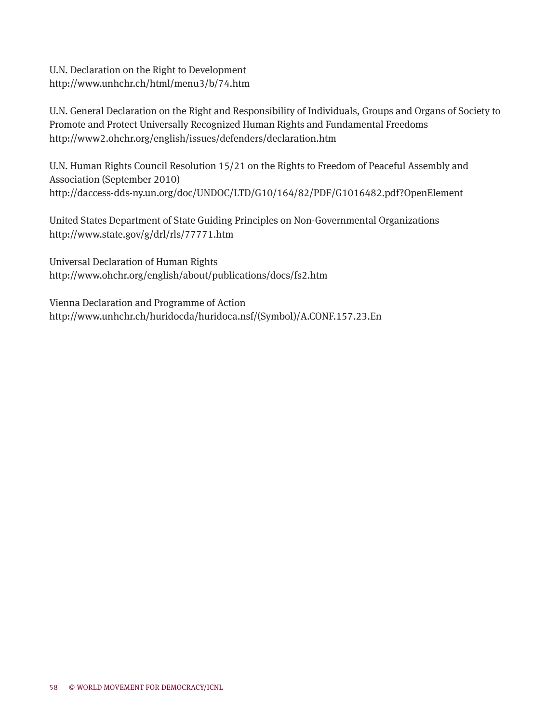U.N. Declaration on the Right to Development http://www.unhchr.ch/html/menu3/b/74.htm

U.N. General Declaration on the Right and Responsibility of Individuals, Groups and Organs of Society to Promote and Protect Universally Recognized Human Rights and Fundamental Freedoms http://www2.ohchr.org/english/issues/defenders/declaration.htm

U.N. Human Rights Council Resolution 15/21 on the Rights to Freedom of Peaceful Assembly and Association (September 2010) http://daccess-dds-ny.un.org/doc/UNDOC/LTD/G10/164/82/PDF/G1016482.pdf?OpenElement

United States Department of State Guiding Principles on Non-Governmental Organizations http://www.state.gov/g/drl/rls/77771.htm

Universal Declaration of Human Rights http://www.ohchr.org/english/about/publications/docs/fs2.htm

Vienna Declaration and Programme of Action http://www.unhchr.ch/huridocda/huridoca.nsf/(Symbol)/A.CONF.157.23.En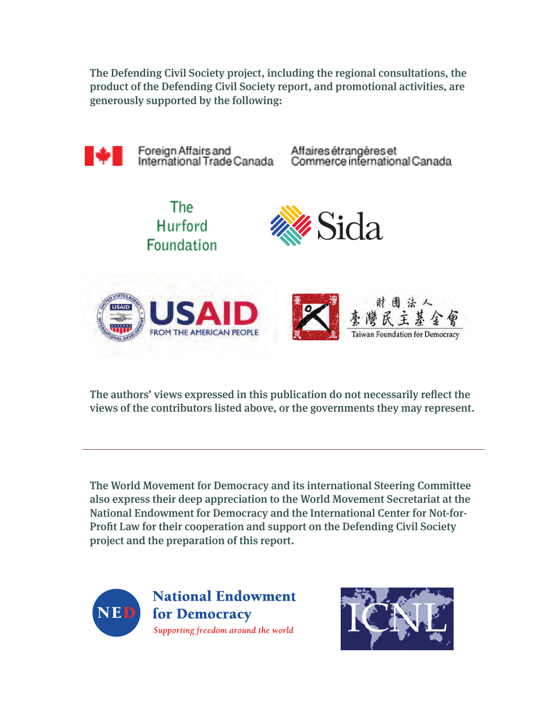The Defending Civil Society project, including the regional consultations, the product of the Defending Civil Society report, and promotional activities, are generously supported by the following:



The authors' views expressed in this publication do not necessarily reflect the views of the contributors listed above, or the governments they may represent.

The World Movement for Democracy and its international Steering Committee also express their deep appreciation to the World Movement Secretariat at the National Endowment for Democracy and the International Center for Not-for-Profit Law for their cooperation and support on the Defending Civil Society project and the preparation of this report.



**National Endowment** for Democracy Supporting freedom around the world